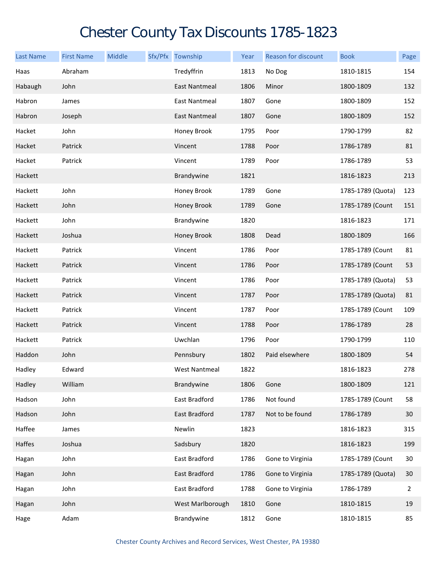## Chester County Tax Discounts 1785-1823

| <b>Last Name</b> | <b>First Name</b> | <b>Middle</b> | Sfx/Pfx Township     | Year | Reason for discount | <b>Book</b>       | Page |
|------------------|-------------------|---------------|----------------------|------|---------------------|-------------------|------|
| Haas             | Abraham           |               | Tredyffrin           | 1813 | No Dog              | 1810-1815         | 154  |
| Habaugh          | John              |               | East Nantmeal        | 1806 | Minor               | 1800-1809         | 132  |
| Habron           | James             |               | East Nantmeal        | 1807 | Gone                | 1800-1809         | 152  |
| Habron           | Joseph            |               | <b>East Nantmeal</b> | 1807 | Gone                | 1800-1809         | 152  |
| Hacket           | John              |               | Honey Brook          | 1795 | Poor                | 1790-1799         | 82   |
| Hacket           | Patrick           |               | Vincent              | 1788 | Poor                | 1786-1789         | 81   |
| Hacket           | Patrick           |               | Vincent              | 1789 | Poor                | 1786-1789         | 53   |
| Hackett          |                   |               | Brandywine           | 1821 |                     | 1816-1823         | 213  |
| Hackett          | John              |               | Honey Brook          | 1789 | Gone                | 1785-1789 (Quota) | 123  |
| Hackett          | John              |               | Honey Brook          | 1789 | Gone                | 1785-1789 (Count  | 151  |
| Hackett          | John              |               | Brandywine           | 1820 |                     | 1816-1823         | 171  |
| Hackett          | Joshua            |               | Honey Brook          | 1808 | Dead                | 1800-1809         | 166  |
| Hackett          | Patrick           |               | Vincent              | 1786 | Poor                | 1785-1789 (Count  | 81   |
| Hackett          | Patrick           |               | Vincent              | 1786 | Poor                | 1785-1789 (Count  | 53   |
| Hackett          | Patrick           |               | Vincent              | 1786 | Poor                | 1785-1789 (Quota) | 53   |
| Hackett          | Patrick           |               | Vincent              | 1787 | Poor                | 1785-1789 (Quota) | 81   |
| Hackett          | Patrick           |               | Vincent              | 1787 | Poor                | 1785-1789 (Count  | 109  |
| Hackett          | Patrick           |               | Vincent              | 1788 | Poor                | 1786-1789         | 28   |
| Hackett          | Patrick           |               | Uwchlan              | 1796 | Poor                | 1790-1799         | 110  |
| Haddon           | John              |               | Pennsbury            | 1802 | Paid elsewhere      | 1800-1809         | 54   |
| Hadley           | Edward            |               | West Nantmeal        | 1822 |                     | 1816-1823         | 278  |
| Hadley           | William           |               | Brandywine           | 1806 | Gone                | 1800-1809         | 121  |
| Hadson           | John              |               | East Bradford        | 1786 | Not found           | 1785-1789 (Count  | 58   |
| Hadson           | John              |               | East Bradford        | 1787 | Not to be found     | 1786-1789         | 30   |
| Haffee           | James             |               | Newlin               | 1823 |                     | 1816-1823         | 315  |
| Haffes           | Joshua            |               | Sadsbury             | 1820 |                     | 1816-1823         | 199  |
| Hagan            | John              |               | East Bradford        | 1786 | Gone to Virginia    | 1785-1789 (Count  | 30   |
| Hagan            | John              |               | East Bradford        | 1786 | Gone to Virginia    | 1785-1789 (Quota) | 30   |
| Hagan            | John              |               | East Bradford        | 1788 | Gone to Virginia    | 1786-1789         | 2    |
| Hagan            | John              |               | West Marlborough     | 1810 | Gone                | 1810-1815         | 19   |
| Hage             | Adam              |               | Brandywine           | 1812 | Gone                | 1810-1815         | 85   |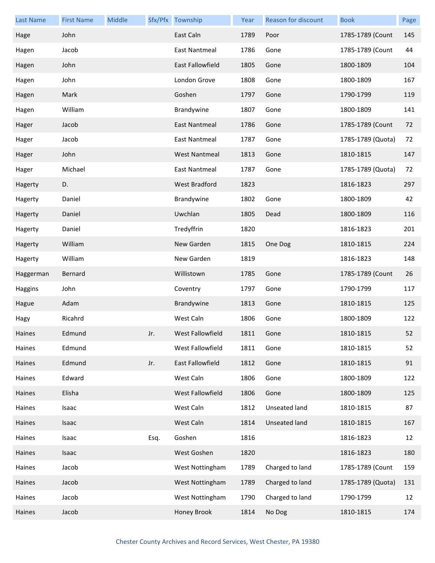| <b>Last Name</b> | <b>First Name</b> | Middle |      | Sfx/Pfx Township     | Year | Reason for discount | <b>Book</b>       | Page |
|------------------|-------------------|--------|------|----------------------|------|---------------------|-------------------|------|
| Hage             | John              |        |      | East Caln            | 1789 | Poor                | 1785-1789 (Count  | 145  |
| Hagen            | Jacob             |        |      | East Nantmeal        | 1786 | Gone                | 1785-1789 (Count  | 44   |
| Hagen            | John              |        |      | East Fallowfield     | 1805 | Gone                | 1800-1809         | 104  |
| Hagen            | John              |        |      | London Grove         | 1808 | Gone                | 1800-1809         | 167  |
| Hagen            | Mark              |        |      | Goshen               | 1797 | Gone                | 1790-1799         | 119  |
| Hagen            | William           |        |      | Brandywine           | 1807 | Gone                | 1800-1809         | 141  |
| Hager            | Jacob             |        |      | East Nantmeal        | 1786 | Gone                | 1785-1789 (Count  | 72   |
| Hager            | Jacob             |        |      | East Nantmeal        | 1787 | Gone                | 1785-1789 (Quota) | 72   |
| Hager            | John              |        |      | <b>West Nantmeal</b> | 1813 | Gone                | 1810-1815         | 147  |
| Hager            | Michael           |        |      | East Nantmeal        | 1787 | Gone                | 1785-1789 (Quota) | 72   |
| Hagerty          | D.                |        |      | <b>West Bradford</b> | 1823 |                     | 1816-1823         | 297  |
| Hagerty          | Daniel            |        |      | Brandywine           | 1802 | Gone                | 1800-1809         | 42   |
| Hagerty          | Daniel            |        |      | Uwchlan              | 1805 | Dead                | 1800-1809         | 116  |
| Hagerty          | Daniel            |        |      | Tredyffrin           | 1820 |                     | 1816-1823         | 201  |
| Hagerty          | William           |        |      | New Garden           | 1815 | One Dog             | 1810-1815         | 224  |
| Hagerty          | William           |        |      | New Garden           | 1819 |                     | 1816-1823         | 148  |
| Haggerman        | Bernard           |        |      | Willistown           | 1785 | Gone                | 1785-1789 (Count  | 26   |
| Haggins          | John              |        |      | Coventry             | 1797 | Gone                | 1790-1799         | 117  |
| Hague            | Adam              |        |      | Brandywine           | 1813 | Gone                | 1810-1815         | 125  |
| Hagy             | Ricahrd           |        |      | West Caln            | 1806 | Gone                | 1800-1809         | 122  |
| Haines           | Edmund            |        | Jr.  | West Fallowfield     | 1811 | Gone                | 1810-1815         | 52   |
| Haines           | Edmund            |        |      | West Fallowfield     | 1811 | Gone                | 1810-1815         | 52   |
| Haines           | Edmund            |        | Jr.  | East Fallowfield     | 1812 | Gone                | 1810-1815         | 91   |
| Haines           | Edward            |        |      | West Caln            | 1806 | Gone                | 1800-1809         | 122  |
| Haines           | Elisha            |        |      | West Fallowfield     | 1806 | Gone                | 1800-1809         | 125  |
| Haines           | Isaac             |        |      | West Caln            | 1812 | Unseated land       | 1810-1815         | 87   |
| Haines           | Isaac             |        |      | West Caln            | 1814 | Unseated land       | 1810-1815         | 167  |
| Haines           | Isaac             |        | Esq. | Goshen               | 1816 |                     | 1816-1823         | 12   |
| Haines           | Isaac             |        |      | West Goshen          | 1820 |                     | 1816-1823         | 180  |
| Haines           | Jacob             |        |      | West Nottingham      | 1789 | Charged to land     | 1785-1789 (Count  | 159  |
| Haines           | Jacob             |        |      | West Nottingham      | 1789 | Charged to land     | 1785-1789 (Quota) | 131  |
| Haines           | Jacob             |        |      | West Nottingham      | 1790 | Charged to land     | 1790-1799         | 12   |
| Haines           | Jacob             |        |      | Honey Brook          | 1814 | No Dog              | 1810-1815         | 174  |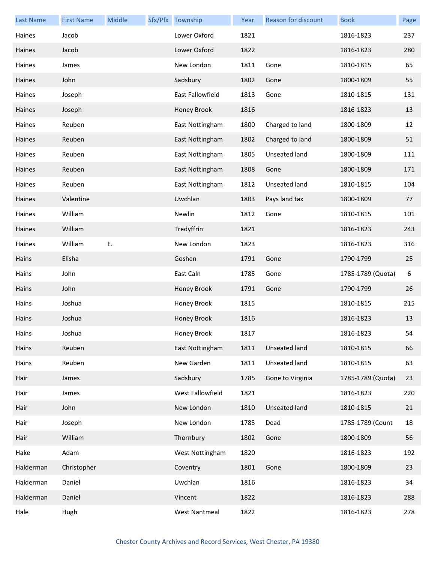| <b>Last Name</b> | <b>First Name</b> | Middle | Sfx/Pfx Township        | Year | Reason for discount  | <b>Book</b>       | Page |
|------------------|-------------------|--------|-------------------------|------|----------------------|-------------------|------|
| Haines           | Jacob             |        | Lower Oxford            | 1821 |                      | 1816-1823         | 237  |
| Haines           | Jacob             |        | Lower Oxford            | 1822 |                      | 1816-1823         | 280  |
| Haines           | James             |        | New London              | 1811 | Gone                 | 1810-1815         | 65   |
| Haines           | John              |        | Sadsbury                | 1802 | Gone                 | 1800-1809         | 55   |
| Haines           | Joseph            |        | <b>East Fallowfield</b> | 1813 | Gone                 | 1810-1815         | 131  |
| Haines           | Joseph            |        | Honey Brook             | 1816 |                      | 1816-1823         | 13   |
| Haines           | Reuben            |        | East Nottingham         | 1800 | Charged to land      | 1800-1809         | 12   |
| Haines           | Reuben            |        | East Nottingham         | 1802 | Charged to land      | 1800-1809         | 51   |
| Haines           | Reuben            |        | East Nottingham         | 1805 | Unseated land        | 1800-1809         | 111  |
| Haines           | Reuben            |        | East Nottingham         | 1808 | Gone                 | 1800-1809         | 171  |
| Haines           | Reuben            |        | East Nottingham         | 1812 | Unseated land        | 1810-1815         | 104  |
| Haines           | Valentine         |        | Uwchlan                 | 1803 | Pays land tax        | 1800-1809         | 77   |
| Haines           | William           |        | Newlin                  | 1812 | Gone                 | 1810-1815         | 101  |
| Haines           | William           |        | Tredyffrin              | 1821 |                      | 1816-1823         | 243  |
| Haines           | William           | E.     | New London              | 1823 |                      | 1816-1823         | 316  |
| Hains            | Elisha            |        | Goshen                  | 1791 | Gone                 | 1790-1799         | 25   |
| Hains            | John              |        | East Caln               | 1785 | Gone                 | 1785-1789 (Quota) | 6    |
| Hains            | John              |        | Honey Brook             | 1791 | Gone                 | 1790-1799         | 26   |
| Hains            | Joshua            |        | Honey Brook             | 1815 |                      | 1810-1815         | 215  |
| Hains            | Joshua            |        | Honey Brook             | 1816 |                      | 1816-1823         | 13   |
| Hains            | Joshua            |        | Honey Brook             | 1817 |                      | 1816-1823         | 54   |
| Hains            | Reuben            |        | East Nottingham         | 1811 | Unseated land        | 1810-1815         | 66   |
| Hains            | Reuben            |        | New Garden              | 1811 | Unseated land        | 1810-1815         | 63   |
| Hair             | James             |        | Sadsbury                | 1785 | Gone to Virginia     | 1785-1789 (Quota) | 23   |
| Hair             | James             |        | West Fallowfield        | 1821 |                      | 1816-1823         | 220  |
| Hair             | John              |        | New London              | 1810 | <b>Unseated land</b> | 1810-1815         | 21   |
| Hair             | Joseph            |        | New London              | 1785 | Dead                 | 1785-1789 (Count  | 18   |
| Hair             | William           |        | Thornbury               | 1802 | Gone                 | 1800-1809         | 56   |
| Hake             | Adam              |        | West Nottingham         | 1820 |                      | 1816-1823         | 192  |
| Halderman        | Christopher       |        | Coventry                | 1801 | Gone                 | 1800-1809         | 23   |
| Halderman        | Daniel            |        | Uwchlan                 | 1816 |                      | 1816-1823         | 34   |
| Halderman        | Daniel            |        | Vincent                 | 1822 |                      | 1816-1823         | 288  |
| Hale             | Hugh              |        | <b>West Nantmeal</b>    | 1822 |                      | 1816-1823         | 278  |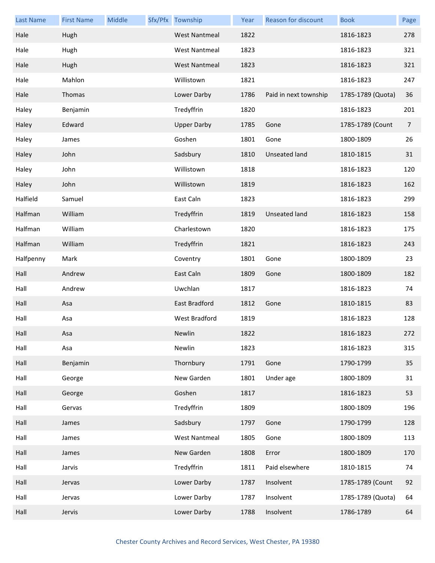| <b>Last Name</b> | <b>First Name</b> | Middle | Sfx/Pfx Township     | Year | Reason for discount   | <b>Book</b>       | Page           |
|------------------|-------------------|--------|----------------------|------|-----------------------|-------------------|----------------|
| Hale             | Hugh              |        | <b>West Nantmeal</b> | 1822 |                       | 1816-1823         | 278            |
| Hale             | Hugh              |        | <b>West Nantmeal</b> | 1823 |                       | 1816-1823         | 321            |
| Hale             | Hugh              |        | <b>West Nantmeal</b> | 1823 |                       | 1816-1823         | 321            |
| Hale             | Mahlon            |        | Willistown           | 1821 |                       | 1816-1823         | 247            |
| Hale             | Thomas            |        | Lower Darby          | 1786 | Paid in next township | 1785-1789 (Quota) | 36             |
| Haley            | Benjamin          |        | Tredyffrin           | 1820 |                       | 1816-1823         | 201            |
| Haley            | Edward            |        | <b>Upper Darby</b>   | 1785 | Gone                  | 1785-1789 (Count  | $\overline{7}$ |
| Haley            | James             |        | Goshen               | 1801 | Gone                  | 1800-1809         | 26             |
| Haley            | John              |        | Sadsbury             | 1810 | Unseated land         | 1810-1815         | 31             |
| Haley            | John              |        | Willistown           | 1818 |                       | 1816-1823         | 120            |
| Haley            | John              |        | Willistown           | 1819 |                       | 1816-1823         | 162            |
| Halfield         | Samuel            |        | East Caln            | 1823 |                       | 1816-1823         | 299            |
| Halfman          | William           |        | Tredyffrin           | 1819 | Unseated land         | 1816-1823         | 158            |
| Halfman          | William           |        | Charlestown          | 1820 |                       | 1816-1823         | 175            |
| Halfman          | William           |        | Tredyffrin           | 1821 |                       | 1816-1823         | 243            |
| Halfpenny        | Mark              |        | Coventry             | 1801 | Gone                  | 1800-1809         | 23             |
| Hall             | Andrew            |        | East Caln            | 1809 | Gone                  | 1800-1809         | 182            |
| Hall             | Andrew            |        | Uwchlan              | 1817 |                       | 1816-1823         | 74             |
| Hall             | Asa               |        | East Bradford        | 1812 | Gone                  | 1810-1815         | 83             |
| Hall             | Asa               |        | West Bradford        | 1819 |                       | 1816-1823         | 128            |
| Hall             | Asa               |        | Newlin               | 1822 |                       | 1816-1823         | 272            |
| Hall             | Asa               |        | Newlin               | 1823 |                       | 1816-1823         | 315            |
| Hall             | Benjamin          |        | Thornbury            | 1791 | Gone                  | 1790-1799         | 35             |
| Hall             | George            |        | New Garden           | 1801 | Under age             | 1800-1809         | 31             |
| Hall             | George            |        | Goshen               | 1817 |                       | 1816-1823         | 53             |
| Hall             | Gervas            |        | Tredyffrin           | 1809 |                       | 1800-1809         | 196            |
| Hall             | James             |        | Sadsbury             | 1797 | Gone                  | 1790-1799         | 128            |
| Hall             | James             |        | <b>West Nantmeal</b> | 1805 | Gone                  | 1800-1809         | 113            |
| Hall             | James             |        | New Garden           | 1808 | Error                 | 1800-1809         | 170            |
| Hall             | Jarvis            |        | Tredyffrin           | 1811 | Paid elsewhere        | 1810-1815         | 74             |
| Hall             | Jervas            |        | Lower Darby          | 1787 | Insolvent             | 1785-1789 (Count  | 92             |
| Hall             | Jervas            |        | Lower Darby          | 1787 | Insolvent             | 1785-1789 (Quota) | 64             |
| Hall             | Jervis            |        | Lower Darby          | 1788 | Insolvent             | 1786-1789         | 64             |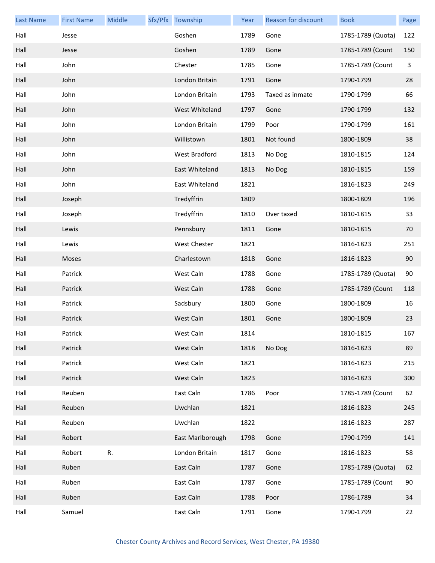| <b>Last Name</b> | <b>First Name</b> | Middle | Sfx/Pfx Township | Year | Reason for discount | <b>Book</b>       | Page |
|------------------|-------------------|--------|------------------|------|---------------------|-------------------|------|
| Hall             | Jesse             |        | Goshen           | 1789 | Gone                | 1785-1789 (Quota) | 122  |
| Hall             | Jesse             |        | Goshen           | 1789 | Gone                | 1785-1789 (Count  | 150  |
| Hall             | John              |        | Chester          | 1785 | Gone                | 1785-1789 (Count  | 3    |
| Hall             | John              |        | London Britain   | 1791 | Gone                | 1790-1799         | 28   |
| Hall             | John              |        | London Britain   | 1793 | Taxed as inmate     | 1790-1799         | 66   |
| Hall             | John              |        | West Whiteland   | 1797 | Gone                | 1790-1799         | 132  |
| Hall             | John              |        | London Britain   | 1799 | Poor                | 1790-1799         | 161  |
| Hall             | John              |        | Willistown       | 1801 | Not found           | 1800-1809         | 38   |
| Hall             | John              |        | West Bradford    | 1813 | No Dog              | 1810-1815         | 124  |
| Hall             | John              |        | East Whiteland   | 1813 | No Dog              | 1810-1815         | 159  |
| Hall             | John              |        | East Whiteland   | 1821 |                     | 1816-1823         | 249  |
| Hall             | Joseph            |        | Tredyffrin       | 1809 |                     | 1800-1809         | 196  |
| Hall             | Joseph            |        | Tredyffrin       | 1810 | Over taxed          | 1810-1815         | 33   |
| Hall             | Lewis             |        | Pennsbury        | 1811 | Gone                | 1810-1815         | 70   |
| Hall             | Lewis             |        | West Chester     | 1821 |                     | 1816-1823         | 251  |
| Hall             | Moses             |        | Charlestown      | 1818 | Gone                | 1816-1823         | 90   |
| Hall             | Patrick           |        | West Caln        | 1788 | Gone                | 1785-1789 (Quota) | 90   |
| Hall             | Patrick           |        | West Caln        | 1788 | Gone                | 1785-1789 (Count  | 118  |
| Hall             | Patrick           |        | Sadsbury         | 1800 | Gone                | 1800-1809         | 16   |
| Hall             | Patrick           |        | West Caln        | 1801 | Gone                | 1800-1809         | 23   |
| Hall             | Patrick           |        | West Caln        | 1814 |                     | 1810-1815         | 167  |
| Hall             | Patrick           |        | West Caln        | 1818 | No Dog              | 1816-1823         | 89   |
| Hall             | Patrick           |        | West Caln        | 1821 |                     | 1816-1823         | 215  |
| Hall             | Patrick           |        | West Caln        | 1823 |                     | 1816-1823         | 300  |
| Hall             | Reuben            |        | East Caln        | 1786 | Poor                | 1785-1789 (Count  | 62   |
| Hall             | Reuben            |        | Uwchlan          | 1821 |                     | 1816-1823         | 245  |
| Hall             | Reuben            |        | Uwchlan          | 1822 |                     | 1816-1823         | 287  |
| Hall             | Robert            |        | East Marlborough | 1798 | Gone                | 1790-1799         | 141  |
| Hall             | Robert            | R.     | London Britain   | 1817 | Gone                | 1816-1823         | 58   |
| Hall             | Ruben             |        | East Caln        | 1787 | Gone                | 1785-1789 (Quota) | 62   |
| Hall             | Ruben             |        | East Caln        | 1787 | Gone                | 1785-1789 (Count  | 90   |
| Hall             | Ruben             |        | East Caln        | 1788 | Poor                | 1786-1789         | 34   |
| Hall             | Samuel            |        | East Caln        | 1791 | Gone                | 1790-1799         | 22   |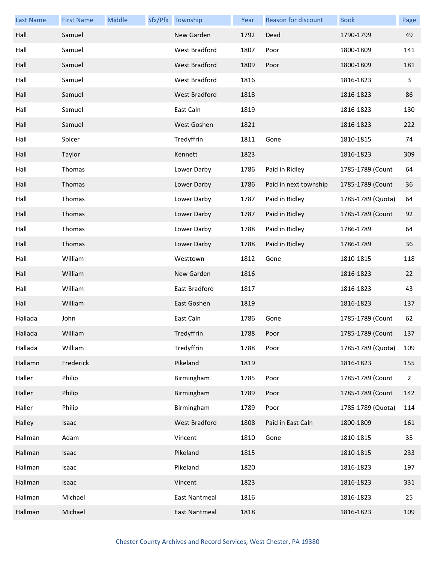| <b>Last Name</b> | <b>First Name</b> | Middle | Sfx/Pfx Township     | Year | <b>Reason for discount</b> | <b>Book</b>       | Page           |
|------------------|-------------------|--------|----------------------|------|----------------------------|-------------------|----------------|
| Hall             | Samuel            |        | New Garden           | 1792 | Dead                       | 1790-1799         | 49             |
| Hall             | Samuel            |        | West Bradford        | 1807 | Poor                       | 1800-1809         | 141            |
| Hall             | Samuel            |        | West Bradford        | 1809 | Poor                       | 1800-1809         | 181            |
| Hall             | Samuel            |        | West Bradford        | 1816 |                            | 1816-1823         | 3              |
| Hall             | Samuel            |        | West Bradford        | 1818 |                            | 1816-1823         | 86             |
| Hall             | Samuel            |        | East Caln            | 1819 |                            | 1816-1823         | 130            |
| Hall             | Samuel            |        | West Goshen          | 1821 |                            | 1816-1823         | 222            |
| Hall             | Spicer            |        | Tredyffrin           | 1811 | Gone                       | 1810-1815         | 74             |
| Hall             | Taylor            |        | Kennett              | 1823 |                            | 1816-1823         | 309            |
| Hall             | Thomas            |        | Lower Darby          | 1786 | Paid in Ridley             | 1785-1789 (Count  | 64             |
| Hall             | Thomas            |        | Lower Darby          | 1786 | Paid in next township      | 1785-1789 (Count  | 36             |
| Hall             | Thomas            |        | Lower Darby          | 1787 | Paid in Ridley             | 1785-1789 (Quota) | 64             |
| Hall             | Thomas            |        | Lower Darby          | 1787 | Paid in Ridley             | 1785-1789 (Count  | 92             |
| Hall             | Thomas            |        | Lower Darby          | 1788 | Paid in Ridley             | 1786-1789         | 64             |
| Hall             | Thomas            |        | Lower Darby          | 1788 | Paid in Ridley             | 1786-1789         | 36             |
| Hall             | William           |        | Westtown             | 1812 | Gone                       | 1810-1815         | 118            |
| Hall             | William           |        | New Garden           | 1816 |                            | 1816-1823         | 22             |
| Hall             | William           |        | East Bradford        | 1817 |                            | 1816-1823         | 43             |
| Hall             | William           |        | East Goshen          | 1819 |                            | 1816-1823         | 137            |
| Hallada          | John              |        | East Caln            | 1786 | Gone                       | 1785-1789 (Count  | 62             |
| Hallada          | William           |        | Tredyffrin           | 1788 | Poor                       | 1785-1789 (Count  | 137            |
| Hallada          | William           |        | Tredyffrin           | 1788 | Poor                       | 1785-1789 (Quota) | 109            |
| Hallamn          | Frederick         |        | Pikeland             | 1819 |                            | 1816-1823         | 155            |
| Haller           | Philip            |        | Birmingham           | 1785 | Poor                       | 1785-1789 (Count  | $\overline{2}$ |
| Haller           | Philip            |        | Birmingham           | 1789 | Poor                       | 1785-1789 (Count  | 142            |
| Haller           | Philip            |        | Birmingham           | 1789 | Poor                       | 1785-1789 (Quota) | 114            |
| Halley           | Isaac             |        | <b>West Bradford</b> | 1808 | Paid in East Caln          | 1800-1809         | 161            |
| Hallman          | Adam              |        | Vincent              | 1810 | Gone                       | 1810-1815         | 35             |
| Hallman          | Isaac             |        | Pikeland             | 1815 |                            | 1810-1815         | 233            |
| Hallman          | Isaac             |        | Pikeland             | 1820 |                            | 1816-1823         | 197            |
| Hallman          | Isaac             |        | Vincent              | 1823 |                            | 1816-1823         | 331            |
| Hallman          | Michael           |        | <b>East Nantmeal</b> | 1816 |                            | 1816-1823         | 25             |
| Hallman          | Michael           |        | East Nantmeal        | 1818 |                            | 1816-1823         | 109            |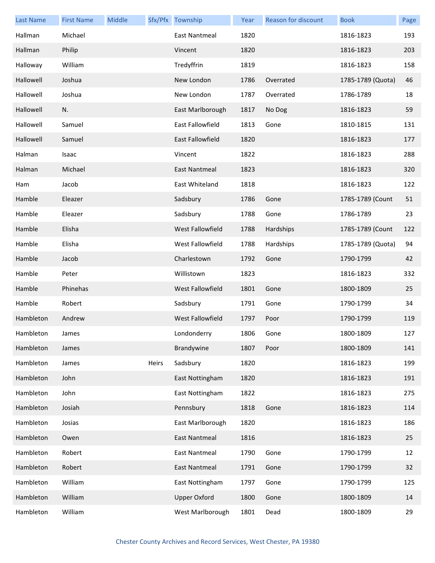| <b>Last Name</b> | <b>First Name</b> | Middle |       | Sfx/Pfx Township     | Year | Reason for discount | <b>Book</b>       | Page |
|------------------|-------------------|--------|-------|----------------------|------|---------------------|-------------------|------|
| Hallman          | Michael           |        |       | East Nantmeal        | 1820 |                     | 1816-1823         | 193  |
| Hallman          | Philip            |        |       | Vincent              | 1820 |                     | 1816-1823         | 203  |
| Halloway         | William           |        |       | Tredyffrin           | 1819 |                     | 1816-1823         | 158  |
| Hallowell        | Joshua            |        |       | New London           | 1786 | Overrated           | 1785-1789 (Quota) | 46   |
| Hallowell        | Joshua            |        |       | New London           | 1787 | Overrated           | 1786-1789         | 18   |
| Hallowell        | N.                |        |       | East Marlborough     | 1817 | No Dog              | 1816-1823         | 59   |
| Hallowell        | Samuel            |        |       | East Fallowfield     | 1813 | Gone                | 1810-1815         | 131  |
| Hallowell        | Samuel            |        |       | East Fallowfield     | 1820 |                     | 1816-1823         | 177  |
| Halman           | Isaac             |        |       | Vincent              | 1822 |                     | 1816-1823         | 288  |
| Halman           | Michael           |        |       | East Nantmeal        | 1823 |                     | 1816-1823         | 320  |
| Ham              | Jacob             |        |       | East Whiteland       | 1818 |                     | 1816-1823         | 122  |
| Hamble           | Eleazer           |        |       | Sadsbury             | 1786 | Gone                | 1785-1789 (Count  | 51   |
| Hamble           | Eleazer           |        |       | Sadsbury             | 1788 | Gone                | 1786-1789         | 23   |
| Hamble           | Elisha            |        |       | West Fallowfield     | 1788 | Hardships           | 1785-1789 (Count  | 122  |
| Hamble           | Elisha            |        |       | West Fallowfield     | 1788 | Hardships           | 1785-1789 (Quota) | 94   |
| Hamble           | Jacob             |        |       | Charlestown          | 1792 | Gone                | 1790-1799         | 42   |
| Hamble           | Peter             |        |       | Willistown           | 1823 |                     | 1816-1823         | 332  |
| Hamble           | Phinehas          |        |       | West Fallowfield     | 1801 | Gone                | 1800-1809         | 25   |
| Hamble           | Robert            |        |       | Sadsbury             | 1791 | Gone                | 1790-1799         | 34   |
| Hambleton        | Andrew            |        |       | West Fallowfield     | 1797 | Poor                | 1790-1799         | 119  |
| Hambleton        | James             |        |       | Londonderry          | 1806 | Gone                | 1800-1809         | 127  |
| Hambleton        | James             |        |       | Brandywine           | 1807 | Poor                | 1800-1809         | 141  |
| Hambleton        | James             |        | Heirs | Sadsbury             | 1820 |                     | 1816-1823         | 199  |
| Hambleton        | John              |        |       | East Nottingham      | 1820 |                     | 1816-1823         | 191  |
| Hambleton        | John              |        |       | East Nottingham      | 1822 |                     | 1816-1823         | 275  |
| Hambleton        | Josiah            |        |       | Pennsbury            | 1818 | Gone                | 1816-1823         | 114  |
| Hambleton        | Josias            |        |       | East Marlborough     | 1820 |                     | 1816-1823         | 186  |
| Hambleton        | Owen              |        |       | <b>East Nantmeal</b> | 1816 |                     | 1816-1823         | 25   |
| Hambleton        | Robert            |        |       | <b>East Nantmeal</b> | 1790 | Gone                | 1790-1799         | 12   |
| Hambleton        | Robert            |        |       | East Nantmeal        | 1791 | Gone                | 1790-1799         | 32   |
| Hambleton        | William           |        |       | East Nottingham      | 1797 | Gone                | 1790-1799         | 125  |
| Hambleton        | William           |        |       | <b>Upper Oxford</b>  | 1800 | Gone                | 1800-1809         | 14   |
| Hambleton        | William           |        |       | West Marlborough     | 1801 | Dead                | 1800-1809         | 29   |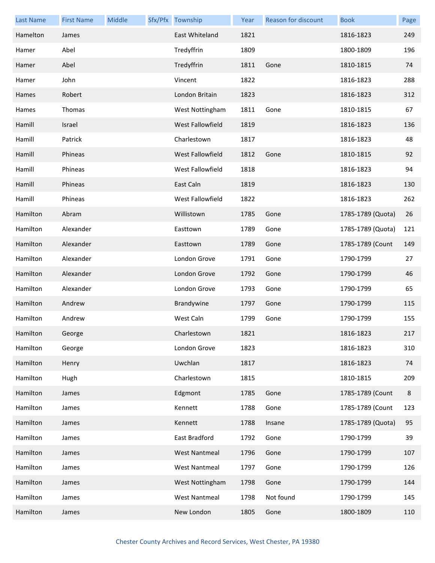| <b>Last Name</b> | <b>First Name</b> | Middle | Sfx/Pfx Township     | Year | <b>Reason for discount</b> | <b>Book</b>       | Page |
|------------------|-------------------|--------|----------------------|------|----------------------------|-------------------|------|
| Hamelton         | James             |        | East Whiteland       | 1821 |                            | 1816-1823         | 249  |
| Hamer            | Abel              |        | Tredyffrin           | 1809 |                            | 1800-1809         | 196  |
| Hamer            | Abel              |        | Tredyffrin           | 1811 | Gone                       | 1810-1815         | 74   |
| Hamer            | John              |        | Vincent              | 1822 |                            | 1816-1823         | 288  |
| Hames            | Robert            |        | London Britain       | 1823 |                            | 1816-1823         | 312  |
| Hames            | Thomas            |        | West Nottingham      | 1811 | Gone                       | 1810-1815         | 67   |
| Hamill           | Israel            |        | West Fallowfield     | 1819 |                            | 1816-1823         | 136  |
| Hamill           | Patrick           |        | Charlestown          | 1817 |                            | 1816-1823         | 48   |
| Hamill           | Phineas           |        | West Fallowfield     | 1812 | Gone                       | 1810-1815         | 92   |
| Hamill           | Phineas           |        | West Fallowfield     | 1818 |                            | 1816-1823         | 94   |
| Hamill           | Phineas           |        | East Caln            | 1819 |                            | 1816-1823         | 130  |
| Hamill           | Phineas           |        | West Fallowfield     | 1822 |                            | 1816-1823         | 262  |
| Hamilton         | Abram             |        | Willistown           | 1785 | Gone                       | 1785-1789 (Quota) | 26   |
| Hamilton         | Alexander         |        | Easttown             | 1789 | Gone                       | 1785-1789 (Quota) | 121  |
| Hamilton         | Alexander         |        | Easttown             | 1789 | Gone                       | 1785-1789 (Count  | 149  |
| Hamilton         | Alexander         |        | London Grove         | 1791 | Gone                       | 1790-1799         | 27   |
| Hamilton         | Alexander         |        | London Grove         | 1792 | Gone                       | 1790-1799         | 46   |
| Hamilton         | Alexander         |        | London Grove         | 1793 | Gone                       | 1790-1799         | 65   |
| Hamilton         | Andrew            |        | Brandywine           | 1797 | Gone                       | 1790-1799         | 115  |
| Hamilton         | Andrew            |        | West Caln            | 1799 | Gone                       | 1790-1799         | 155  |
| Hamilton         | George            |        | Charlestown          | 1821 |                            | 1816-1823         | 217  |
| Hamilton         | George            |        | London Grove         | 1823 |                            | 1816-1823         | 310  |
| Hamilton         | Henry             |        | Uwchlan              | 1817 |                            | 1816-1823         | 74   |
| Hamilton         | Hugh              |        | Charlestown          | 1815 |                            | 1810-1815         | 209  |
| Hamilton         | James             |        | Edgmont              | 1785 | Gone                       | 1785-1789 (Count  | 8    |
| Hamilton         | James             |        | Kennett              | 1788 | Gone                       | 1785-1789 (Count  | 123  |
| Hamilton         | James             |        | Kennett              | 1788 | Insane                     | 1785-1789 (Quota) | 95   |
| Hamilton         | James             |        | East Bradford        | 1792 | Gone                       | 1790-1799         | 39   |
| Hamilton         | James             |        | <b>West Nantmeal</b> | 1796 | Gone                       | 1790-1799         | 107  |
| Hamilton         | James             |        | <b>West Nantmeal</b> | 1797 | Gone                       | 1790-1799         | 126  |
| Hamilton         | James             |        | West Nottingham      | 1798 | Gone                       | 1790-1799         | 144  |
| Hamilton         | James             |        | <b>West Nantmeal</b> | 1798 | Not found                  | 1790-1799         | 145  |
| Hamilton         | James             |        | New London           | 1805 | Gone                       | 1800-1809         | 110  |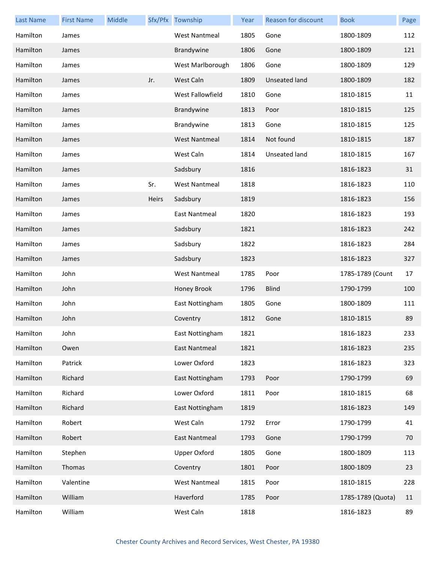| <b>Last Name</b> | <b>First Name</b> | Middle |       | Sfx/Pfx Township     | Year | Reason for discount | <b>Book</b>       | Page |
|------------------|-------------------|--------|-------|----------------------|------|---------------------|-------------------|------|
| Hamilton         | James             |        |       | <b>West Nantmeal</b> | 1805 | Gone                | 1800-1809         | 112  |
| Hamilton         | James             |        |       | Brandywine           | 1806 | Gone                | 1800-1809         | 121  |
| Hamilton         | James             |        |       | West Marlborough     | 1806 | Gone                | 1800-1809         | 129  |
| Hamilton         | James             |        | Jr.   | West Caln            | 1809 | Unseated land       | 1800-1809         | 182  |
| Hamilton         | James             |        |       | West Fallowfield     | 1810 | Gone                | 1810-1815         | 11   |
| Hamilton         | James             |        |       | Brandywine           | 1813 | Poor                | 1810-1815         | 125  |
| Hamilton         | James             |        |       | Brandywine           | 1813 | Gone                | 1810-1815         | 125  |
| Hamilton         | James             |        |       | <b>West Nantmeal</b> | 1814 | Not found           | 1810-1815         | 187  |
| Hamilton         | James             |        |       | West Caln            | 1814 | Unseated land       | 1810-1815         | 167  |
| Hamilton         | James             |        |       | Sadsbury             | 1816 |                     | 1816-1823         | 31   |
| Hamilton         | James             |        | Sr.   | <b>West Nantmeal</b> | 1818 |                     | 1816-1823         | 110  |
| Hamilton         | James             |        | Heirs | Sadsbury             | 1819 |                     | 1816-1823         | 156  |
| Hamilton         | James             |        |       | East Nantmeal        | 1820 |                     | 1816-1823         | 193  |
| Hamilton         | James             |        |       | Sadsbury             | 1821 |                     | 1816-1823         | 242  |
| Hamilton         | James             |        |       | Sadsbury             | 1822 |                     | 1816-1823         | 284  |
| Hamilton         | James             |        |       | Sadsbury             | 1823 |                     | 1816-1823         | 327  |
| Hamilton         | John              |        |       | <b>West Nantmeal</b> | 1785 | Poor                | 1785-1789 (Count  | 17   |
| Hamilton         | John              |        |       | Honey Brook          | 1796 | <b>Blind</b>        | 1790-1799         | 100  |
| Hamilton         | John              |        |       | East Nottingham      | 1805 | Gone                | 1800-1809         | 111  |
| Hamilton         | John              |        |       | Coventry             | 1812 | Gone                | 1810-1815         | 89   |
| Hamilton         | John              |        |       | East Nottingham      | 1821 |                     | 1816-1823         | 233  |
| Hamilton         | Owen              |        |       | East Nantmeal        | 1821 |                     | 1816-1823         | 235  |
| Hamilton         | Patrick           |        |       | Lower Oxford         | 1823 |                     | 1816-1823         | 323  |
| Hamilton         | Richard           |        |       | East Nottingham      | 1793 | Poor                | 1790-1799         | 69   |
| Hamilton         | Richard           |        |       | Lower Oxford         | 1811 | Poor                | 1810-1815         | 68   |
| Hamilton         | Richard           |        |       | East Nottingham      | 1819 |                     | 1816-1823         | 149  |
| Hamilton         | Robert            |        |       | West Caln            | 1792 | Error               | 1790-1799         | 41   |
| Hamilton         | Robert            |        |       | East Nantmeal        | 1793 | Gone                | 1790-1799         | 70   |
| Hamilton         | Stephen           |        |       | <b>Upper Oxford</b>  | 1805 | Gone                | 1800-1809         | 113  |
| Hamilton         | Thomas            |        |       | Coventry             | 1801 | Poor                | 1800-1809         | 23   |
| Hamilton         | Valentine         |        |       | <b>West Nantmeal</b> | 1815 | Poor                | 1810-1815         | 228  |
| Hamilton         | William           |        |       | Haverford            | 1785 | Poor                | 1785-1789 (Quota) | 11   |
| Hamilton         | William           |        |       | West Caln            | 1818 |                     | 1816-1823         | 89   |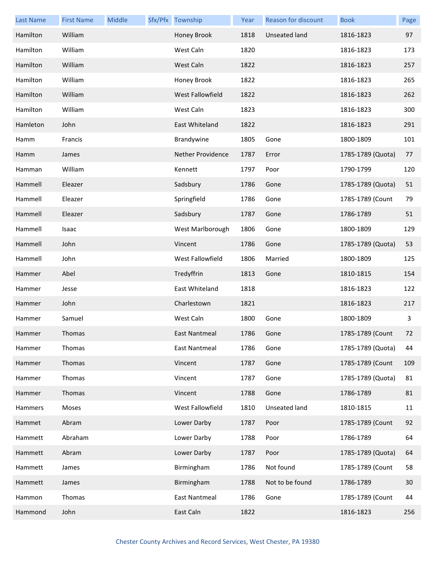| <b>Last Name</b> | <b>First Name</b> | Middle | Sfx/Pfx Township         | Year | Reason for discount  | <b>Book</b>       | Page |
|------------------|-------------------|--------|--------------------------|------|----------------------|-------------------|------|
| Hamilton         | William           |        | Honey Brook              | 1818 | <b>Unseated land</b> | 1816-1823         | 97   |
| Hamilton         | William           |        | West Caln                | 1820 |                      | 1816-1823         | 173  |
| Hamilton         | William           |        | West Caln                | 1822 |                      | 1816-1823         | 257  |
| Hamilton         | William           |        | Honey Brook              | 1822 |                      | 1816-1823         | 265  |
| Hamilton         | William           |        | West Fallowfield         | 1822 |                      | 1816-1823         | 262  |
| Hamilton         | William           |        | West Caln                | 1823 |                      | 1816-1823         | 300  |
| Hamleton         | John              |        | East Whiteland           | 1822 |                      | 1816-1823         | 291  |
| Hamm             | Francis           |        | Brandywine               | 1805 | Gone                 | 1800-1809         | 101  |
| Hamm             | James             |        | <b>Nether Providence</b> | 1787 | Error                | 1785-1789 (Quota) | 77   |
| Hamman           | William           |        | Kennett                  | 1797 | Poor                 | 1790-1799         | 120  |
| Hammell          | Eleazer           |        | Sadsbury                 | 1786 | Gone                 | 1785-1789 (Quota) | 51   |
| Hammell          | Eleazer           |        | Springfield              | 1786 | Gone                 | 1785-1789 (Count  | 79   |
| Hammell          | Eleazer           |        | Sadsbury                 | 1787 | Gone                 | 1786-1789         | 51   |
| Hammell          | Isaac             |        | West Marlborough         | 1806 | Gone                 | 1800-1809         | 129  |
| Hammell          | John              |        | Vincent                  | 1786 | Gone                 | 1785-1789 (Quota) | 53   |
| Hammell          | John              |        | West Fallowfield         | 1806 | Married              | 1800-1809         | 125  |
| Hammer           | Abel              |        | Tredyffrin               | 1813 | Gone                 | 1810-1815         | 154  |
| Hammer           | Jesse             |        | East Whiteland           | 1818 |                      | 1816-1823         | 122  |
| Hammer           | John              |        | Charlestown              | 1821 |                      | 1816-1823         | 217  |
| Hammer           | Samuel            |        | West Caln                | 1800 | Gone                 | 1800-1809         | 3    |
| Hammer           | <b>Thomas</b>     |        | East Nantmeal            | 1786 | Gone                 | 1785-1789 (Count  | 72   |
| Hammer           | Thomas            |        | East Nantmeal            | 1786 | Gone                 | 1785-1789 (Quota) | 44   |
| Hammer           | Thomas            |        | Vincent                  | 1787 | Gone                 | 1785-1789 (Count  | 109  |
| Hammer           | Thomas            |        | Vincent                  | 1787 | Gone                 | 1785-1789 (Quota) | 81   |
| Hammer           | Thomas            |        | Vincent                  | 1788 | Gone                 | 1786-1789         | 81   |
| Hammers          | Moses             |        | West Fallowfield         | 1810 | <b>Unseated land</b> | 1810-1815         | 11   |
| Hammet           | Abram             |        | Lower Darby              | 1787 | Poor                 | 1785-1789 (Count  | 92   |
| Hammett          | Abraham           |        | Lower Darby              | 1788 | Poor                 | 1786-1789         | 64   |
| Hammett          | Abram             |        | Lower Darby              | 1787 | Poor                 | 1785-1789 (Quota) | 64   |
| Hammett          | James             |        | Birmingham               | 1786 | Not found            | 1785-1789 (Count  | 58   |
| Hammett          | James             |        | Birmingham               | 1788 | Not to be found      | 1786-1789         | 30   |
| Hammon           | Thomas            |        | <b>East Nantmeal</b>     | 1786 | Gone                 | 1785-1789 (Count  | 44   |
| Hammond          | John              |        | East Caln                | 1822 |                      | 1816-1823         | 256  |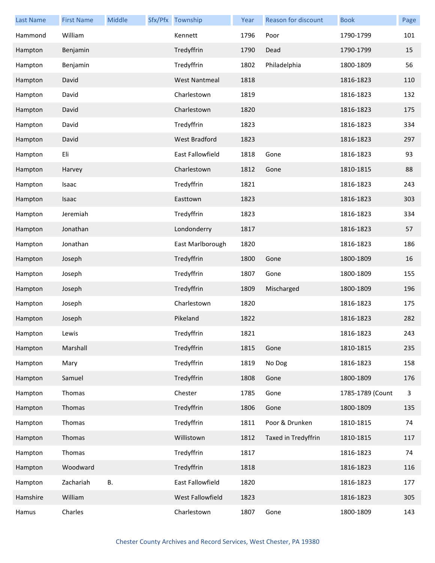| <b>Last Name</b> | <b>First Name</b> | Middle | Sfx/Pfx Township     | Year | Reason for discount | <b>Book</b>      | Page |
|------------------|-------------------|--------|----------------------|------|---------------------|------------------|------|
| Hammond          | William           |        | Kennett              | 1796 | Poor                | 1790-1799        | 101  |
| Hampton          | Benjamin          |        | Tredyffrin           | 1790 | Dead                | 1790-1799        | 15   |
| Hampton          | Benjamin          |        | Tredyffrin           | 1802 | Philadelphia        | 1800-1809        | 56   |
| Hampton          | David             |        | <b>West Nantmeal</b> | 1818 |                     | 1816-1823        | 110  |
| Hampton          | David             |        | Charlestown          | 1819 |                     | 1816-1823        | 132  |
| Hampton          | David             |        | Charlestown          | 1820 |                     | 1816-1823        | 175  |
| Hampton          | David             |        | Tredyffrin           | 1823 |                     | 1816-1823        | 334  |
| Hampton          | David             |        | <b>West Bradford</b> | 1823 |                     | 1816-1823        | 297  |
| Hampton          | Eli               |        | East Fallowfield     | 1818 | Gone                | 1816-1823        | 93   |
| Hampton          | Harvey            |        | Charlestown          | 1812 | Gone                | 1810-1815        | 88   |
| Hampton          | Isaac             |        | Tredyffrin           | 1821 |                     | 1816-1823        | 243  |
| Hampton          | Isaac             |        | Easttown             | 1823 |                     | 1816-1823        | 303  |
| Hampton          | Jeremiah          |        | Tredyffrin           | 1823 |                     | 1816-1823        | 334  |
| Hampton          | Jonathan          |        | Londonderry          | 1817 |                     | 1816-1823        | 57   |
| Hampton          | Jonathan          |        | East Marlborough     | 1820 |                     | 1816-1823        | 186  |
| Hampton          | Joseph            |        | Tredyffrin           | 1800 | Gone                | 1800-1809        | 16   |
| Hampton          | Joseph            |        | Tredyffrin           | 1807 | Gone                | 1800-1809        | 155  |
| Hampton          | Joseph            |        | Tredyffrin           | 1809 | Mischarged          | 1800-1809        | 196  |
| Hampton          | Joseph            |        | Charlestown          | 1820 |                     | 1816-1823        | 175  |
| Hampton          | Joseph            |        | Pikeland             | 1822 |                     | 1816-1823        | 282  |
| Hampton          | Lewis             |        | Tredyffrin           | 1821 |                     | 1816-1823        | 243  |
| Hampton          | Marshall          |        | Tredyffrin           | 1815 | Gone                | 1810-1815        | 235  |
| Hampton          | Mary              |        | Tredyffrin           | 1819 | No Dog              | 1816-1823        | 158  |
| Hampton          | Samuel            |        | Tredyffrin           | 1808 | Gone                | 1800-1809        | 176  |
| Hampton          | Thomas            |        | Chester              | 1785 | Gone                | 1785-1789 (Count | 3    |
| Hampton          | Thomas            |        | Tredyffrin           | 1806 | Gone                | 1800-1809        | 135  |
| Hampton          | Thomas            |        | Tredyffrin           | 1811 | Poor & Drunken      | 1810-1815        | 74   |
| Hampton          | Thomas            |        | Willistown           | 1812 | Taxed in Tredyffrin | 1810-1815        | 117  |
| Hampton          | Thomas            |        | Tredyffrin           | 1817 |                     | 1816-1823        | 74   |
| Hampton          | Woodward          |        | Tredyffrin           | 1818 |                     | 1816-1823        | 116  |
| Hampton          | Zachariah         | В.     | East Fallowfield     | 1820 |                     | 1816-1823        | 177  |
| Hamshire         | William           |        | West Fallowfield     | 1823 |                     | 1816-1823        | 305  |
| Hamus            | Charles           |        | Charlestown          | 1807 | Gone                | 1800-1809        | 143  |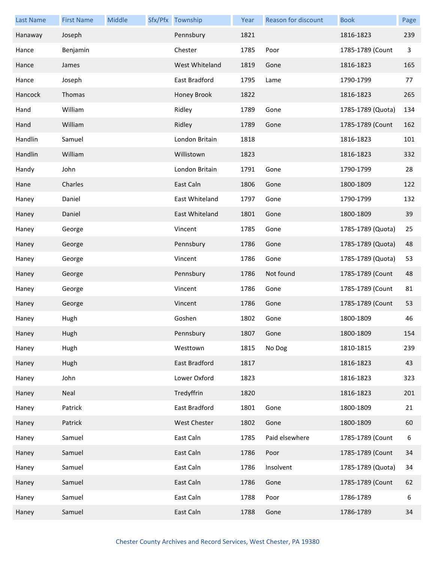| <b>Last Name</b> | <b>First Name</b> | Middle | Sfx/Pfx Township | Year | <b>Reason for discount</b> | <b>Book</b>       | Page |
|------------------|-------------------|--------|------------------|------|----------------------------|-------------------|------|
| Hanaway          | Joseph            |        | Pennsbury        | 1821 |                            | 1816-1823         | 239  |
| Hance            | Benjamin          |        | Chester          | 1785 | Poor                       | 1785-1789 (Count  | 3    |
| Hance            | James             |        | West Whiteland   | 1819 | Gone                       | 1816-1823         | 165  |
| Hance            | Joseph            |        | East Bradford    | 1795 | Lame                       | 1790-1799         | 77   |
| Hancock          | Thomas            |        | Honey Brook      | 1822 |                            | 1816-1823         | 265  |
| Hand             | William           |        | Ridley           | 1789 | Gone                       | 1785-1789 (Quota) | 134  |
| Hand             | William           |        | Ridley           | 1789 | Gone                       | 1785-1789 (Count  | 162  |
| Handlin          | Samuel            |        | London Britain   | 1818 |                            | 1816-1823         | 101  |
| Handlin          | William           |        | Willistown       | 1823 |                            | 1816-1823         | 332  |
| Handy            | John              |        | London Britain   | 1791 | Gone                       | 1790-1799         | 28   |
| Hane             | Charles           |        | East Caln        | 1806 | Gone                       | 1800-1809         | 122  |
| Haney            | Daniel            |        | East Whiteland   | 1797 | Gone                       | 1790-1799         | 132  |
| Haney            | Daniel            |        | East Whiteland   | 1801 | Gone                       | 1800-1809         | 39   |
| Haney            | George            |        | Vincent          | 1785 | Gone                       | 1785-1789 (Quota) | 25   |
| Haney            | George            |        | Pennsbury        | 1786 | Gone                       | 1785-1789 (Quota) | 48   |
| Haney            | George            |        | Vincent          | 1786 | Gone                       | 1785-1789 (Quota) | 53   |
| Haney            | George            |        | Pennsbury        | 1786 | Not found                  | 1785-1789 (Count  | 48   |
| Haney            | George            |        | Vincent          | 1786 | Gone                       | 1785-1789 (Count  | 81   |
| Haney            | George            |        | Vincent          | 1786 | Gone                       | 1785-1789 (Count  | 53   |
| Haney            | Hugh              |        | Goshen           | 1802 | Gone                       | 1800-1809         | 46   |
| Haney            | Hugh              |        | Pennsbury        | 1807 | Gone                       | 1800-1809         | 154  |
| Haney            | Hugh              |        | Westtown         | 1815 | No Dog                     | 1810-1815         | 239  |
| Haney            | Hugh              |        | East Bradford    | 1817 |                            | 1816-1823         | 43   |
| Haney            | John              |        | Lower Oxford     | 1823 |                            | 1816-1823         | 323  |
| Haney            | Neal              |        | Tredyffrin       | 1820 |                            | 1816-1823         | 201  |
| Haney            | Patrick           |        | East Bradford    | 1801 | Gone                       | 1800-1809         | 21   |
| Haney            | Patrick           |        | West Chester     | 1802 | Gone                       | 1800-1809         | 60   |
| Haney            | Samuel            |        | East Caln        | 1785 | Paid elsewhere             | 1785-1789 (Count  | 6    |
| Haney            | Samuel            |        | East Caln        | 1786 | Poor                       | 1785-1789 (Count  | 34   |
| Haney            | Samuel            |        | East Caln        | 1786 | Insolvent                  | 1785-1789 (Quota) | 34   |
| Haney            | Samuel            |        | East Caln        | 1786 | Gone                       | 1785-1789 (Count  | 62   |
| Haney            | Samuel            |        | East Caln        | 1788 | Poor                       | 1786-1789         | 6    |
| Haney            | Samuel            |        | East Caln        | 1788 | Gone                       | 1786-1789         | 34   |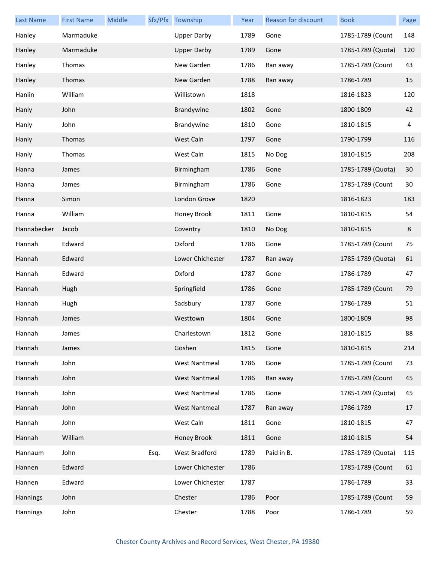| <b>Last Name</b> | <b>First Name</b> | Middle |      | Sfx/Pfx Township     | Year | Reason for discount | <b>Book</b>       | Page    |
|------------------|-------------------|--------|------|----------------------|------|---------------------|-------------------|---------|
| Hanley           | Marmaduke         |        |      | <b>Upper Darby</b>   | 1789 | Gone                | 1785-1789 (Count  | 148     |
| Hanley           | Marmaduke         |        |      | <b>Upper Darby</b>   | 1789 | Gone                | 1785-1789 (Quota) | 120     |
| Hanley           | Thomas            |        |      | New Garden           | 1786 | Ran away            | 1785-1789 (Count  | 43      |
| Hanley           | Thomas            |        |      | New Garden           | 1788 | Ran away            | 1786-1789         | 15      |
| Hanlin           | William           |        |      | Willistown           | 1818 |                     | 1816-1823         | 120     |
| Hanly            | John              |        |      | Brandywine           | 1802 | Gone                | 1800-1809         | 42      |
| Hanly            | John              |        |      | Brandywine           | 1810 | Gone                | 1810-1815         | 4       |
| Hanly            | Thomas            |        |      | West Caln            | 1797 | Gone                | 1790-1799         | 116     |
| Hanly            | Thomas            |        |      | West Caln            | 1815 | No Dog              | 1810-1815         | 208     |
| Hanna            | James             |        |      | Birmingham           | 1786 | Gone                | 1785-1789 (Quota) | 30      |
| Hanna            | James             |        |      | Birmingham           | 1786 | Gone                | 1785-1789 (Count  | 30      |
| Hanna            | Simon             |        |      | London Grove         | 1820 |                     | 1816-1823         | 183     |
| Hanna            | William           |        |      | Honey Brook          | 1811 | Gone                | 1810-1815         | 54      |
| Hannabecker      | Jacob             |        |      | Coventry             | 1810 | No Dog              | 1810-1815         | $\,8\,$ |
| Hannah           | Edward            |        |      | Oxford               | 1786 | Gone                | 1785-1789 (Count  | 75      |
| Hannah           | Edward            |        |      | Lower Chichester     | 1787 | Ran away            | 1785-1789 (Quota) | 61      |
| Hannah           | Edward            |        |      | Oxford               | 1787 | Gone                | 1786-1789         | 47      |
| Hannah           | Hugh              |        |      | Springfield          | 1786 | Gone                | 1785-1789 (Count  | 79      |
| Hannah           | Hugh              |        |      | Sadsbury             | 1787 | Gone                | 1786-1789         | 51      |
| Hannah           | James             |        |      | Westtown             | 1804 | Gone                | 1800-1809         | 98      |
| Hannah           | James             |        |      | Charlestown          | 1812 | Gone                | 1810-1815         | 88      |
| Hannah           | James             |        |      | Goshen               | 1815 | Gone                | 1810-1815         | 214     |
| Hannah           | John              |        |      | <b>West Nantmeal</b> | 1786 | Gone                | 1785-1789 (Count  | 73      |
| Hannah           | John              |        |      | <b>West Nantmeal</b> | 1786 | Ran away            | 1785-1789 (Count  | 45      |
| Hannah           | John              |        |      | <b>West Nantmeal</b> | 1786 | Gone                | 1785-1789 (Quota) | 45      |
| Hannah           | John              |        |      | <b>West Nantmeal</b> | 1787 | Ran away            | 1786-1789         | 17      |
| Hannah           | John              |        |      | West Caln            | 1811 | Gone                | 1810-1815         | 47      |
| Hannah           | William           |        |      | Honey Brook          | 1811 | Gone                | 1810-1815         | 54      |
| Hannaum          | John              |        | Esq. | West Bradford        | 1789 | Paid in B.          | 1785-1789 (Quota) | 115     |
| Hannen           | Edward            |        |      | Lower Chichester     | 1786 |                     | 1785-1789 (Count  | 61      |
| Hannen           | Edward            |        |      | Lower Chichester     | 1787 |                     | 1786-1789         | 33      |
| Hannings         | John              |        |      | Chester              | 1786 | Poor                | 1785-1789 (Count  | 59      |
| Hannings         | John              |        |      | Chester              | 1788 | Poor                | 1786-1789         | 59      |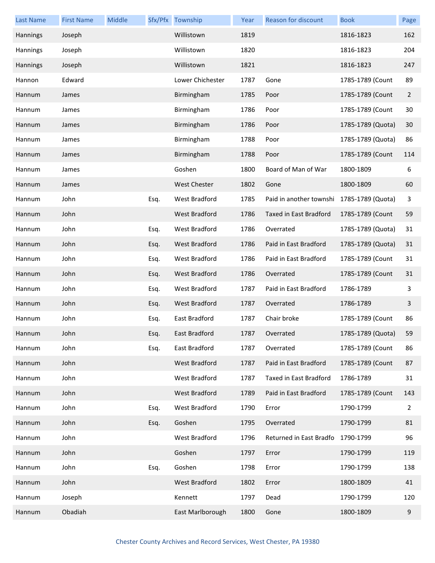| <b>Last Name</b> | <b>First Name</b> | Middle |      | Sfx/Pfx Township     | Year | <b>Reason for discount</b>                | <b>Book</b>       | Page           |
|------------------|-------------------|--------|------|----------------------|------|-------------------------------------------|-------------------|----------------|
| Hannings         | Joseph            |        |      | Willistown           | 1819 |                                           | 1816-1823         | 162            |
| Hannings         | Joseph            |        |      | Willistown           | 1820 |                                           | 1816-1823         | 204            |
| Hannings         | Joseph            |        |      | Willistown           | 1821 |                                           | 1816-1823         | 247            |
| Hannon           | Edward            |        |      | Lower Chichester     | 1787 | Gone                                      | 1785-1789 (Count  | 89             |
| Hannum           | James             |        |      | Birmingham           | 1785 | Poor                                      | 1785-1789 (Count  | $\overline{2}$ |
| Hannum           | James             |        |      | Birmingham           | 1786 | Poor                                      | 1785-1789 (Count  | 30             |
| Hannum           | James             |        |      | Birmingham           | 1786 | Poor                                      | 1785-1789 (Quota) | 30             |
| Hannum           | James             |        |      | Birmingham           | 1788 | Poor                                      | 1785-1789 (Quota) | 86             |
| Hannum           | James             |        |      | Birmingham           | 1788 | Poor                                      | 1785-1789 (Count  | 114            |
| Hannum           | James             |        |      | Goshen               | 1800 | Board of Man of War                       | 1800-1809         | 6              |
| Hannum           | James             |        |      | <b>West Chester</b>  | 1802 | Gone                                      | 1800-1809         | 60             |
| Hannum           | John              |        | Esq. | West Bradford        | 1785 | Paid in another townshi 1785-1789 (Quota) |                   | 3              |
| Hannum           | John              |        |      | <b>West Bradford</b> | 1786 | <b>Taxed in East Bradford</b>             | 1785-1789 (Count  | 59             |
| Hannum           | John              |        | Esq. | West Bradford        | 1786 | Overrated                                 | 1785-1789 (Quota) | 31             |
| Hannum           | John              |        | Esq. | <b>West Bradford</b> | 1786 | Paid in East Bradford                     | 1785-1789 (Quota) | 31             |
| Hannum           | John              |        | Esq. | West Bradford        | 1786 | Paid in East Bradford                     | 1785-1789 (Count  | 31             |
| Hannum           | John              |        | Esq. | <b>West Bradford</b> | 1786 | Overrated                                 | 1785-1789 (Count  | 31             |
| Hannum           | John              |        | Esq. | West Bradford        | 1787 | Paid in East Bradford                     | 1786-1789         | 3              |
| Hannum           | John              |        | Esq. | <b>West Bradford</b> | 1787 | Overrated                                 | 1786-1789         | 3              |
| Hannum           | John              |        | Esq. | East Bradford        | 1787 | Chair broke                               | 1785-1789 (Count  | 86             |
| Hannum           | John              |        | Esq. | East Bradford        | 1787 | Overrated                                 | 1785-1789 (Quota) | 59             |
| Hannum           | John              |        | Esq. | East Bradford        | 1787 | Overrated                                 | 1785-1789 (Count  | 86             |
| Hannum           | John              |        |      | West Bradford        | 1787 | Paid in East Bradford                     | 1785-1789 (Count  | 87             |
| Hannum           | John              |        |      | West Bradford        | 1787 | Taxed in East Bradford                    | 1786-1789         | 31             |
| Hannum           | John              |        |      | <b>West Bradford</b> | 1789 | Paid in East Bradford                     | 1785-1789 (Count  | 143            |
| Hannum           | John              |        | Esq. | <b>West Bradford</b> | 1790 | Error                                     | 1790-1799         | 2              |
| Hannum           | John              |        | Esq. | Goshen               | 1795 | Overrated                                 | 1790-1799         | 81             |
| Hannum           | John              |        |      | <b>West Bradford</b> | 1796 | Returned in East Bradfo                   | 1790-1799         | 96             |
| Hannum           | John              |        |      | Goshen               | 1797 | Error                                     | 1790-1799         | 119            |
| Hannum           | John              |        | Esq. | Goshen               | 1798 | Error                                     | 1790-1799         | 138            |
| Hannum           | John              |        |      | West Bradford        | 1802 | Error                                     | 1800-1809         | 41             |
| Hannum           | Joseph            |        |      | Kennett              | 1797 | Dead                                      | 1790-1799         | 120            |
| Hannum           | Obadiah           |        |      | East Marlborough     | 1800 | Gone                                      | 1800-1809         | 9              |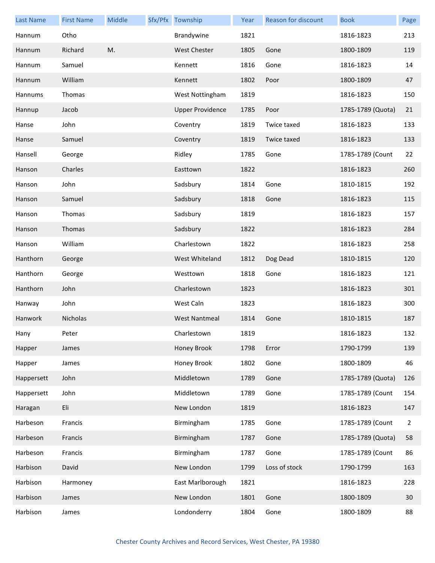| <b>Last Name</b> | <b>First Name</b> | Middle | Sfx/Pfx Township        | Year | Reason for discount | <b>Book</b>       | Page           |
|------------------|-------------------|--------|-------------------------|------|---------------------|-------------------|----------------|
| Hannum           | Otho              |        | Brandywine              | 1821 |                     | 1816-1823         | 213            |
| Hannum           | Richard           | M.     | <b>West Chester</b>     | 1805 | Gone                | 1800-1809         | 119            |
| Hannum           | Samuel            |        | Kennett                 | 1816 | Gone                | 1816-1823         | 14             |
| Hannum           | William           |        | Kennett                 | 1802 | Poor                | 1800-1809         | 47             |
| Hannums          | Thomas            |        | West Nottingham         | 1819 |                     | 1816-1823         | 150            |
| Hannup           | Jacob             |        | <b>Upper Providence</b> | 1785 | Poor                | 1785-1789 (Quota) | 21             |
| Hanse            | John              |        | Coventry                | 1819 | Twice taxed         | 1816-1823         | 133            |
| Hanse            | Samuel            |        | Coventry                | 1819 | Twice taxed         | 1816-1823         | 133            |
| Hansell          | George            |        | Ridley                  | 1785 | Gone                | 1785-1789 (Count  | 22             |
| Hanson           | Charles           |        | Easttown                | 1822 |                     | 1816-1823         | 260            |
| Hanson           | John              |        | Sadsbury                | 1814 | Gone                | 1810-1815         | 192            |
| Hanson           | Samuel            |        | Sadsbury                | 1818 | Gone                | 1816-1823         | 115            |
| Hanson           | Thomas            |        | Sadsbury                | 1819 |                     | 1816-1823         | 157            |
| Hanson           | Thomas            |        | Sadsbury                | 1822 |                     | 1816-1823         | 284            |
| Hanson           | William           |        | Charlestown             | 1822 |                     | 1816-1823         | 258            |
| Hanthorn         | George            |        | West Whiteland          | 1812 | Dog Dead            | 1810-1815         | 120            |
| Hanthorn         | George            |        | Westtown                | 1818 | Gone                | 1816-1823         | 121            |
| Hanthorn         | John              |        | Charlestown             | 1823 |                     | 1816-1823         | 301            |
| Hanway           | John              |        | West Caln               | 1823 |                     | 1816-1823         | 300            |
| Hanwork          | Nicholas          |        | <b>West Nantmeal</b>    | 1814 | Gone                | 1810-1815         | 187            |
| Hany             | Peter             |        | Charlestown             | 1819 |                     | 1816-1823         | 132            |
| Happer           | James             |        | Honey Brook             | 1798 | Error               | 1790-1799         | 139            |
| Happer           | James             |        | Honey Brook             | 1802 | Gone                | 1800-1809         | 46             |
| Happersett       | John              |        | Middletown              | 1789 | Gone                | 1785-1789 (Quota) | 126            |
| Happersett       | John              |        | Middletown              | 1789 | Gone                | 1785-1789 (Count  | 154            |
| Haragan          | Eli               |        | New London              | 1819 |                     | 1816-1823         | 147            |
| Harbeson         | Francis           |        | Birmingham              | 1785 | Gone                | 1785-1789 (Count  | $\overline{2}$ |
| Harbeson         | Francis           |        | Birmingham              | 1787 | Gone                | 1785-1789 (Quota) | 58             |
| Harbeson         | Francis           |        | Birmingham              | 1787 | Gone                | 1785-1789 (Count  | 86             |
| Harbison         | David             |        | New London              | 1799 | Loss of stock       | 1790-1799         | 163            |
| Harbison         | Harmoney          |        | East Marlborough        | 1821 |                     | 1816-1823         | 228            |
| Harbison         | James             |        | New London              | 1801 | Gone                | 1800-1809         | 30             |
| Harbison         | James             |        | Londonderry             | 1804 | Gone                | 1800-1809         | 88             |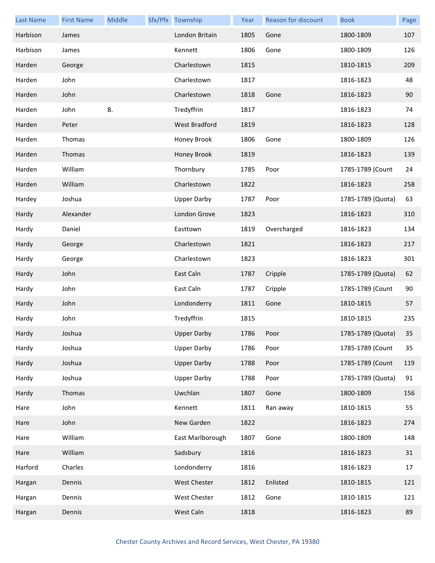| <b>Last Name</b> | <b>First Name</b> | Middle    | Sfx/Pfx Township    | Year | <b>Reason for discount</b> | <b>Book</b>       | Page |
|------------------|-------------------|-----------|---------------------|------|----------------------------|-------------------|------|
| Harbison         | James             |           | London Britain      | 1805 | Gone                       | 1800-1809         | 107  |
| Harbison         | James             |           | Kennett             | 1806 | Gone                       | 1800-1809         | 126  |
| Harden           | George            |           | Charlestown         | 1815 |                            | 1810-1815         | 209  |
| Harden           | John              |           | Charlestown         | 1817 |                            | 1816-1823         | 48   |
| Harden           | John              |           | Charlestown         | 1818 | Gone                       | 1816-1823         | 90   |
| Harden           | John              | <b>B.</b> | Tredyffrin          | 1817 |                            | 1816-1823         | 74   |
| Harden           | Peter             |           | West Bradford       | 1819 |                            | 1816-1823         | 128  |
| Harden           | Thomas            |           | Honey Brook         | 1806 | Gone                       | 1800-1809         | 126  |
| Harden           | Thomas            |           | Honey Brook         | 1819 |                            | 1816-1823         | 139  |
| Harden           | William           |           | Thornbury           | 1785 | Poor                       | 1785-1789 (Count  | 24   |
| Harden           | William           |           | Charlestown         | 1822 |                            | 1816-1823         | 258  |
| Hardey           | Joshua            |           | <b>Upper Darby</b>  | 1787 | Poor                       | 1785-1789 (Quota) | 63   |
| Hardy            | Alexander         |           | London Grove        | 1823 |                            | 1816-1823         | 310  |
| Hardy            | Daniel            |           | Easttown            | 1819 | Overcharged                | 1816-1823         | 134  |
| Hardy            | George            |           | Charlestown         | 1821 |                            | 1816-1823         | 217  |
| Hardy            | George            |           | Charlestown         | 1823 |                            | 1816-1823         | 301  |
| Hardy            | John              |           | East Caln           | 1787 | Cripple                    | 1785-1789 (Quota) | 62   |
| Hardy            | John              |           | East Caln           | 1787 | Cripple                    | 1785-1789 (Count  | 90   |
| Hardy            | John              |           | Londonderry         | 1811 | Gone                       | 1810-1815         | 57   |
| Hardy            | John              |           | Tredyffrin          | 1815 |                            | 1810-1815         | 235  |
| Hardy            | Joshua            |           | <b>Upper Darby</b>  | 1786 | Poor                       | 1785-1789 (Quota) | 35   |
| Hardy            | Joshua            |           | <b>Upper Darby</b>  | 1786 | Poor                       | 1785-1789 (Count  | 35   |
| Hardy            | Joshua            |           | <b>Upper Darby</b>  | 1788 | Poor                       | 1785-1789 (Count  | 119  |
| Hardy            | Joshua            |           | <b>Upper Darby</b>  | 1788 | Poor                       | 1785-1789 (Quota) | 91   |
| Hardy            | Thomas            |           | Uwchlan             | 1807 | Gone                       | 1800-1809         | 156  |
| Hare             | John              |           | Kennett             | 1811 | Ran away                   | 1810-1815         | 55   |
| Hare             | John              |           | New Garden          | 1822 |                            | 1816-1823         | 274  |
| Hare             | William           |           | East Marlborough    | 1807 | Gone                       | 1800-1809         | 148  |
| Hare             | William           |           | Sadsbury            | 1816 |                            | 1816-1823         | 31   |
| Harford          | Charles           |           | Londonderry         | 1816 |                            | 1816-1823         | 17   |
| Hargan           | Dennis            |           | <b>West Chester</b> | 1812 | Enlisted                   | 1810-1815         | 121  |
| Hargan           | Dennis            |           | West Chester        | 1812 | Gone                       | 1810-1815         | 121  |
| Hargan           | Dennis            |           | West Caln           | 1818 |                            | 1816-1823         | 89   |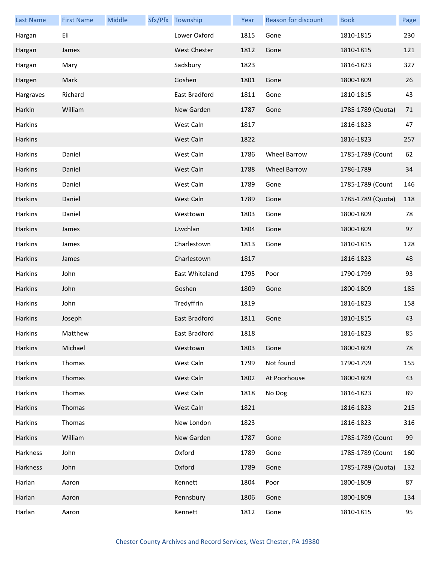| <b>Last Name</b> | <b>First Name</b> | Middle | Sfx/Pfx Township    | Year | <b>Reason for discount</b> | <b>Book</b>       | Page |
|------------------|-------------------|--------|---------------------|------|----------------------------|-------------------|------|
| Hargan           | Eli               |        | Lower Oxford        | 1815 | Gone                       | 1810-1815         | 230  |
| Hargan           | James             |        | <b>West Chester</b> | 1812 | Gone                       | 1810-1815         | 121  |
| Hargan           | Mary              |        | Sadsbury            | 1823 |                            | 1816-1823         | 327  |
| Hargen           | Mark              |        | Goshen              | 1801 | Gone                       | 1800-1809         | 26   |
| Hargraves        | Richard           |        | East Bradford       | 1811 | Gone                       | 1810-1815         | 43   |
| Harkin           | William           |        | New Garden          | 1787 | Gone                       | 1785-1789 (Quota) | 71   |
| Harkins          |                   |        | West Caln           | 1817 |                            | 1816-1823         | 47   |
| Harkins          |                   |        | West Caln           | 1822 |                            | 1816-1823         | 257  |
| Harkins          | Daniel            |        | West Caln           | 1786 | <b>Wheel Barrow</b>        | 1785-1789 (Count  | 62   |
| Harkins          | Daniel            |        | West Caln           | 1788 | Wheel Barrow               | 1786-1789         | 34   |
| Harkins          | Daniel            |        | West Caln           | 1789 | Gone                       | 1785-1789 (Count  | 146  |
| Harkins          | Daniel            |        | West Caln           | 1789 | Gone                       | 1785-1789 (Quota) | 118  |
| Harkins          | Daniel            |        | Westtown            | 1803 | Gone                       | 1800-1809         | 78   |
| Harkins          | James             |        | Uwchlan             | 1804 | Gone                       | 1800-1809         | 97   |
| Harkins          | James             |        | Charlestown         | 1813 | Gone                       | 1810-1815         | 128  |
| Harkins          | James             |        | Charlestown         | 1817 |                            | 1816-1823         | 48   |
| Harkins          | John              |        | East Whiteland      | 1795 | Poor                       | 1790-1799         | 93   |
| Harkins          | John              |        | Goshen              | 1809 | Gone                       | 1800-1809         | 185  |
| Harkins          | John              |        | Tredyffrin          | 1819 |                            | 1816-1823         | 158  |
| Harkins          | Joseph            |        | East Bradford       | 1811 | Gone                       | 1810-1815         | 43   |
| Harkins          | Matthew           |        | East Bradford       | 1818 |                            | 1816-1823         | 85   |
| Harkins          | Michael           |        | Westtown            | 1803 | Gone                       | 1800-1809         | 78   |
| Harkins          | Thomas            |        | West Caln           | 1799 | Not found                  | 1790-1799         | 155  |
| Harkins          | Thomas            |        | West Caln           | 1802 | At Poorhouse               | 1800-1809         | 43   |
| Harkins          | Thomas            |        | West Caln           | 1818 | No Dog                     | 1816-1823         | 89   |
| Harkins          | Thomas            |        | West Caln           | 1821 |                            | 1816-1823         | 215  |
| Harkins          | Thomas            |        | New London          | 1823 |                            | 1816-1823         | 316  |
| Harkins          | William           |        | New Garden          | 1787 | Gone                       | 1785-1789 (Count  | 99   |
| Harkness         | John              |        | Oxford              | 1789 | Gone                       | 1785-1789 (Count  | 160  |
| Harkness         | John              |        | Oxford              | 1789 | Gone                       | 1785-1789 (Quota) | 132  |
| Harlan           | Aaron             |        | Kennett             | 1804 | Poor                       | 1800-1809         | 87   |
| Harlan           | Aaron             |        | Pennsbury           | 1806 | Gone                       | 1800-1809         | 134  |
| Harlan           | Aaron             |        | Kennett             | 1812 | Gone                       | 1810-1815         | 95   |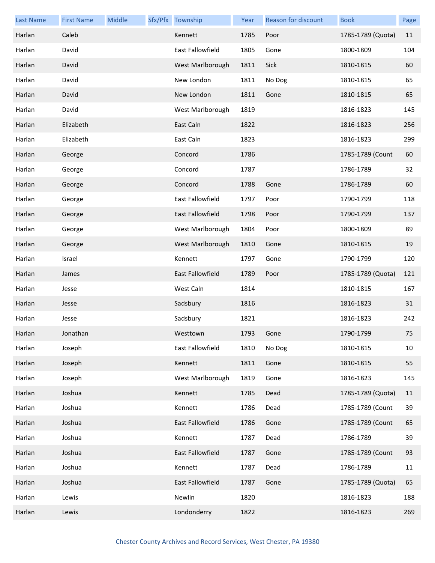| <b>Last Name</b> | <b>First Name</b> | Middle | Sfx/Pfx Township        | Year | <b>Reason for discount</b> | <b>Book</b>       | Page |
|------------------|-------------------|--------|-------------------------|------|----------------------------|-------------------|------|
| Harlan           | Caleb             |        | Kennett                 | 1785 | Poor                       | 1785-1789 (Quota) | 11   |
| Harlan           | David             |        | <b>East Fallowfield</b> | 1805 | Gone                       | 1800-1809         | 104  |
| Harlan           | David             |        | West Marlborough        | 1811 | Sick                       | 1810-1815         | 60   |
| Harlan           | David             |        | New London              | 1811 | No Dog                     | 1810-1815         | 65   |
| Harlan           | David             |        | New London              | 1811 | Gone                       | 1810-1815         | 65   |
| Harlan           | David             |        | West Marlborough        | 1819 |                            | 1816-1823         | 145  |
| Harlan           | Elizabeth         |        | East Caln               | 1822 |                            | 1816-1823         | 256  |
| Harlan           | Elizabeth         |        | East Caln               | 1823 |                            | 1816-1823         | 299  |
| Harlan           | George            |        | Concord                 | 1786 |                            | 1785-1789 (Count  | 60   |
| Harlan           | George            |        | Concord                 | 1787 |                            | 1786-1789         | 32   |
| Harlan           | George            |        | Concord                 | 1788 | Gone                       | 1786-1789         | 60   |
| Harlan           | George            |        | <b>East Fallowfield</b> | 1797 | Poor                       | 1790-1799         | 118  |
| Harlan           | George            |        | East Fallowfield        | 1798 | Poor                       | 1790-1799         | 137  |
| Harlan           | George            |        | West Marlborough        | 1804 | Poor                       | 1800-1809         | 89   |
| Harlan           | George            |        | West Marlborough        | 1810 | Gone                       | 1810-1815         | 19   |
| Harlan           | Israel            |        | Kennett                 | 1797 | Gone                       | 1790-1799         | 120  |
| Harlan           | James             |        | East Fallowfield        | 1789 | Poor                       | 1785-1789 (Quota) | 121  |
| Harlan           | Jesse             |        | West Caln               | 1814 |                            | 1810-1815         | 167  |
| Harlan           | Jesse             |        | Sadsbury                | 1816 |                            | 1816-1823         | 31   |
| Harlan           | Jesse             |        | Sadsbury                | 1821 |                            | 1816-1823         | 242  |
| Harlan           | Jonathan          |        | Westtown                | 1793 | Gone                       | 1790-1799         | 75   |
| Harlan           | Joseph            |        | East Fallowfield        | 1810 | No Dog                     | 1810-1815         | 10   |
| Harlan           | Joseph            |        | Kennett                 | 1811 | Gone                       | 1810-1815         | 55   |
| Harlan           | Joseph            |        | West Marlborough        | 1819 | Gone                       | 1816-1823         | 145  |
| Harlan           | Joshua            |        | Kennett                 | 1785 | Dead                       | 1785-1789 (Quota) | 11   |
| Harlan           | Joshua            |        | Kennett                 | 1786 | Dead                       | 1785-1789 (Count  | 39   |
| Harlan           | Joshua            |        | East Fallowfield        | 1786 | Gone                       | 1785-1789 (Count  | 65   |
| Harlan           | Joshua            |        | Kennett                 | 1787 | Dead                       | 1786-1789         | 39   |
| Harlan           | Joshua            |        | East Fallowfield        | 1787 | Gone                       | 1785-1789 (Count  | 93   |
| Harlan           | Joshua            |        | Kennett                 | 1787 | Dead                       | 1786-1789         | 11   |
| Harlan           | Joshua            |        | East Fallowfield        | 1787 | Gone                       | 1785-1789 (Quota) | 65   |
| Harlan           | Lewis             |        | Newlin                  | 1820 |                            | 1816-1823         | 188  |
| Harlan           | Lewis             |        | Londonderry             | 1822 |                            | 1816-1823         | 269  |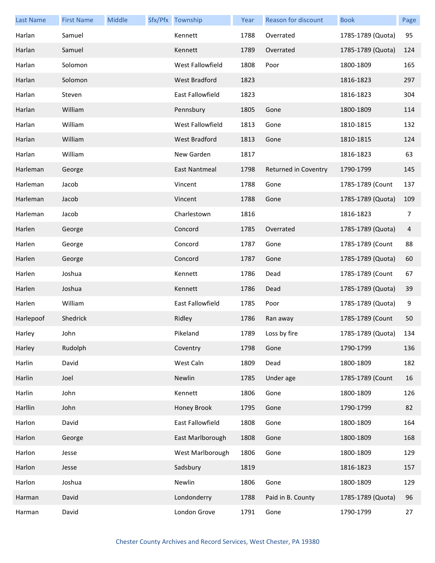| <b>Last Name</b> | <b>First Name</b> | Middle | Sfx/Pfx Township     | Year | Reason for discount  | <b>Book</b>       | Page |
|------------------|-------------------|--------|----------------------|------|----------------------|-------------------|------|
| Harlan           | Samuel            |        | Kennett              | 1788 | Overrated            | 1785-1789 (Quota) | 95   |
| Harlan           | Samuel            |        | Kennett              | 1789 | Overrated            | 1785-1789 (Quota) | 124  |
| Harlan           | Solomon           |        | West Fallowfield     | 1808 | Poor                 | 1800-1809         | 165  |
| Harlan           | Solomon           |        | <b>West Bradford</b> | 1823 |                      | 1816-1823         | 297  |
| Harlan           | Steven            |        | East Fallowfield     | 1823 |                      | 1816-1823         | 304  |
| Harlan           | William           |        | Pennsbury            | 1805 | Gone                 | 1800-1809         | 114  |
| Harlan           | William           |        | West Fallowfield     | 1813 | Gone                 | 1810-1815         | 132  |
| Harlan           | William           |        | <b>West Bradford</b> | 1813 | Gone                 | 1810-1815         | 124  |
| Harlan           | William           |        | New Garden           | 1817 |                      | 1816-1823         | 63   |
| Harleman         | George            |        | East Nantmeal        | 1798 | Returned in Coventry | 1790-1799         | 145  |
| Harleman         | Jacob             |        | Vincent              | 1788 | Gone                 | 1785-1789 (Count  | 137  |
| Harleman         | Jacob             |        | Vincent              | 1788 | Gone                 | 1785-1789 (Quota) | 109  |
| Harleman         | Jacob             |        | Charlestown          | 1816 |                      | 1816-1823         | 7    |
| Harlen           | George            |        | Concord              | 1785 | Overrated            | 1785-1789 (Quota) | 4    |
| Harlen           | George            |        | Concord              | 1787 | Gone                 | 1785-1789 (Count  | 88   |
| Harlen           | George            |        | Concord              | 1787 | Gone                 | 1785-1789 (Quota) | 60   |
| Harlen           | Joshua            |        | Kennett              | 1786 | Dead                 | 1785-1789 (Count  | 67   |
| Harlen           | Joshua            |        | Kennett              | 1786 | Dead                 | 1785-1789 (Quota) | 39   |
| Harlen           | William           |        | East Fallowfield     | 1785 | Poor                 | 1785-1789 (Quota) | 9    |
| Harlepoof        | Shedrick          |        | Ridley               | 1786 | Ran away             | 1785-1789 (Count  | 50   |
| Harley           | John              |        | Pikeland             | 1789 | Loss by fire         | 1785-1789 (Quota) | 134  |
| Harley           | Rudolph           |        | Coventry             | 1798 | Gone                 | 1790-1799         | 136  |
| Harlin           | David             |        | West Caln            | 1809 | Dead                 | 1800-1809         | 182  |
| Harlin           | Joel              |        | Newlin               | 1785 | Under age            | 1785-1789 (Count  | 16   |
| Harlin           | John              |        | Kennett              | 1806 | Gone                 | 1800-1809         | 126  |
| Harllin          | John              |        | Honey Brook          | 1795 | Gone                 | 1790-1799         | 82   |
| Harlon           | David             |        | East Fallowfield     | 1808 | Gone                 | 1800-1809         | 164  |
| Harlon           | George            |        | East Marlborough     | 1808 | Gone                 | 1800-1809         | 168  |
| Harlon           | Jesse             |        | West Marlborough     | 1806 | Gone                 | 1800-1809         | 129  |
| Harlon           | Jesse             |        | Sadsbury             | 1819 |                      | 1816-1823         | 157  |
| Harlon           | Joshua            |        | Newlin               | 1806 | Gone                 | 1800-1809         | 129  |
| Harman           | David             |        | Londonderry          | 1788 | Paid in B. County    | 1785-1789 (Quota) | 96   |
| Harman           | David             |        | London Grove         | 1791 | Gone                 | 1790-1799         | 27   |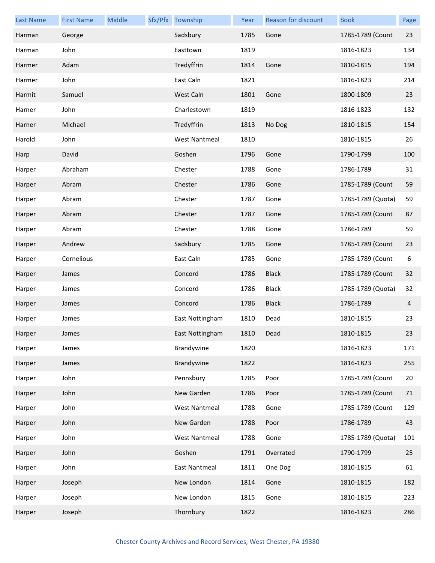| <b>Last Name</b> | <b>First Name</b> | Middle | Sfx/Pfx Township     | Year | <b>Reason for discount</b> | <b>Book</b>       | Page |
|------------------|-------------------|--------|----------------------|------|----------------------------|-------------------|------|
| Harman           | George            |        | Sadsbury             | 1785 | Gone                       | 1785-1789 (Count  | 23   |
| Harman           | John              |        | Easttown             | 1819 |                            | 1816-1823         | 134  |
| Harmer           | Adam              |        | Tredyffrin           | 1814 | Gone                       | 1810-1815         | 194  |
| Harmer           | John              |        | East Caln            | 1821 |                            | 1816-1823         | 214  |
| Harmit           | Samuel            |        | West Caln            | 1801 | Gone                       | 1800-1809         | 23   |
| Harner           | John              |        | Charlestown          | 1819 |                            | 1816-1823         | 132  |
| Harner           | Michael           |        | Tredyffrin           | 1813 | No Dog                     | 1810-1815         | 154  |
| Harold           | John              |        | <b>West Nantmeal</b> | 1810 |                            | 1810-1815         | 26   |
| Harp             | David             |        | Goshen               | 1796 | Gone                       | 1790-1799         | 100  |
| Harper           | Abraham           |        | Chester              | 1788 | Gone                       | 1786-1789         | 31   |
| Harper           | Abram             |        | Chester              | 1786 | Gone                       | 1785-1789 (Count  | 59   |
| Harper           | Abram             |        | Chester              | 1787 | Gone                       | 1785-1789 (Quota) | 59   |
| Harper           | Abram             |        | Chester              | 1787 | Gone                       | 1785-1789 (Count  | 87   |
| Harper           | Abram             |        | Chester              | 1788 | Gone                       | 1786-1789         | 59   |
| Harper           | Andrew            |        | Sadsbury             | 1785 | Gone                       | 1785-1789 (Count  | 23   |
| Harper           | Cornelious        |        | East Caln            | 1785 | Gone                       | 1785-1789 (Count  | 6    |
| Harper           | James             |        | Concord              | 1786 | <b>Black</b>               | 1785-1789 (Count  | 32   |
| Harper           | James             |        | Concord              | 1786 | <b>Black</b>               | 1785-1789 (Quota) | 32   |
| Harper           | James             |        | Concord              | 1786 | <b>Black</b>               | 1786-1789         | 4    |
| Harper           | James             |        | East Nottingham      | 1810 | Dead                       | 1810-1815         | 23   |
| Harper           | James             |        | East Nottingham      | 1810 | Dead                       | 1810-1815         | 23   |
| Harper           | James             |        | Brandywine           | 1820 |                            | 1816-1823         | 171  |
| Harper           | James             |        | Brandywine           | 1822 |                            | 1816-1823         | 255  |
| Harper           | John              |        | Pennsbury            | 1785 | Poor                       | 1785-1789 (Count  | 20   |
| Harper           | John              |        | New Garden           | 1786 | Poor                       | 1785-1789 (Count  | 71   |
| Harper           | John              |        | <b>West Nantmeal</b> | 1788 | Gone                       | 1785-1789 (Count  | 129  |
| Harper           | John              |        | New Garden           | 1788 | Poor                       | 1786-1789         | 43   |
| Harper           | John              |        | <b>West Nantmeal</b> | 1788 | Gone                       | 1785-1789 (Quota) | 101  |
| Harper           | John              |        | Goshen               | 1791 | Overrated                  | 1790-1799         | 25   |
| Harper           | John              |        | <b>East Nantmeal</b> | 1811 | One Dog                    | 1810-1815         | 61   |
| Harper           | Joseph            |        | New London           | 1814 | Gone                       | 1810-1815         | 182  |
| Harper           | Joseph            |        | New London           | 1815 | Gone                       | 1810-1815         | 223  |
| Harper           | Joseph            |        | Thornbury            | 1822 |                            | 1816-1823         | 286  |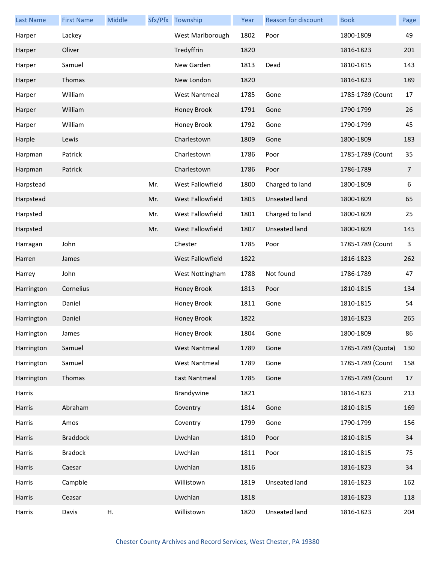| Last Name  | <b>First Name</b> | Middle |     | Sfx/Pfx Township     | Year | Reason for discount  | <b>Book</b>       | Page           |
|------------|-------------------|--------|-----|----------------------|------|----------------------|-------------------|----------------|
| Harper     | Lackey            |        |     | West Marlborough     | 1802 | Poor                 | 1800-1809         | 49             |
| Harper     | Oliver            |        |     | Tredyffrin           | 1820 |                      | 1816-1823         | 201            |
| Harper     | Samuel            |        |     | New Garden           | 1813 | Dead                 | 1810-1815         | 143            |
| Harper     | Thomas            |        |     | New London           | 1820 |                      | 1816-1823         | 189            |
| Harper     | William           |        |     | <b>West Nantmeal</b> | 1785 | Gone                 | 1785-1789 (Count  | 17             |
| Harper     | William           |        |     | Honey Brook          | 1791 | Gone                 | 1790-1799         | 26             |
| Harper     | William           |        |     | Honey Brook          | 1792 | Gone                 | 1790-1799         | 45             |
| Harple     | Lewis             |        |     | Charlestown          | 1809 | Gone                 | 1800-1809         | 183            |
| Harpman    | Patrick           |        |     | Charlestown          | 1786 | Poor                 | 1785-1789 (Count  | 35             |
| Harpman    | Patrick           |        |     | Charlestown          | 1786 | Poor                 | 1786-1789         | $\overline{7}$ |
| Harpstead  |                   |        | Mr. | West Fallowfield     | 1800 | Charged to land      | 1800-1809         | 6              |
| Harpstead  |                   |        | Mr. | West Fallowfield     | 1803 | Unseated land        | 1800-1809         | 65             |
| Harpsted   |                   |        | Mr. | West Fallowfield     | 1801 | Charged to land      | 1800-1809         | 25             |
| Harpsted   |                   |        | Mr. | West Fallowfield     | 1807 | <b>Unseated land</b> | 1800-1809         | 145            |
| Harragan   | John              |        |     | Chester              | 1785 | Poor                 | 1785-1789 (Count  | 3              |
| Harren     | James             |        |     | West Fallowfield     | 1822 |                      | 1816-1823         | 262            |
| Harrey     | John              |        |     | West Nottingham      | 1788 | Not found            | 1786-1789         | 47             |
| Harrington | Cornelius         |        |     | Honey Brook          | 1813 | Poor                 | 1810-1815         | 134            |
| Harrington | Daniel            |        |     | Honey Brook          | 1811 | Gone                 | 1810-1815         | 54             |
| Harrington | Daniel            |        |     | Honey Brook          | 1822 |                      | 1816-1823         | 265            |
| Harrington | James             |        |     | Honey Brook          | 1804 | Gone                 | 1800-1809         | 86             |
| Harrington | Samuel            |        |     | <b>West Nantmeal</b> | 1789 | Gone                 | 1785-1789 (Quota) | 130            |
| Harrington | Samuel            |        |     | <b>West Nantmeal</b> | 1789 | Gone                 | 1785-1789 (Count  | 158            |
| Harrington | Thomas            |        |     | East Nantmeal        | 1785 | Gone                 | 1785-1789 (Count  | 17             |
| Harris     |                   |        |     | Brandywine           | 1821 |                      | 1816-1823         | 213            |
| Harris     | Abraham           |        |     | Coventry             | 1814 | Gone                 | 1810-1815         | 169            |
| Harris     | Amos              |        |     | Coventry             | 1799 | Gone                 | 1790-1799         | 156            |
| Harris     | <b>Braddock</b>   |        |     | Uwchlan              | 1810 | Poor                 | 1810-1815         | 34             |
| Harris     | <b>Bradock</b>    |        |     | Uwchlan              | 1811 | Poor                 | 1810-1815         | 75             |
| Harris     | Caesar            |        |     | Uwchlan              | 1816 |                      | 1816-1823         | 34             |
| Harris     | Campble           |        |     | Willistown           | 1819 | Unseated land        | 1816-1823         | 162            |
| Harris     | Ceasar            |        |     | Uwchlan              | 1818 |                      | 1816-1823         | 118            |
| Harris     | Davis             | Η.     |     | Willistown           | 1820 | Unseated land        | 1816-1823         | 204            |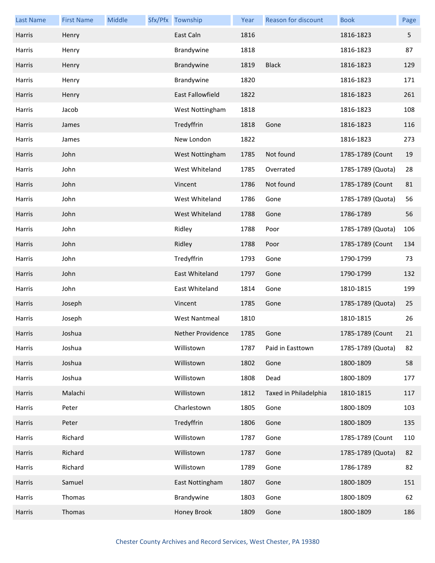| <b>Last Name</b> | <b>First Name</b> | Middle | Sfx/Pfx Township        | Year | Reason for discount   | <b>Book</b>       | Page |
|------------------|-------------------|--------|-------------------------|------|-----------------------|-------------------|------|
| Harris           | Henry             |        | East Caln               | 1816 |                       | 1816-1823         | 5    |
| Harris           | Henry             |        | Brandywine              | 1818 |                       | 1816-1823         | 87   |
| Harris           | Henry             |        | Brandywine              | 1819 | <b>Black</b>          | 1816-1823         | 129  |
| Harris           | Henry             |        | Brandywine              | 1820 |                       | 1816-1823         | 171  |
| <b>Harris</b>    | Henry             |        | <b>East Fallowfield</b> | 1822 |                       | 1816-1823         | 261  |
| Harris           | Jacob             |        | West Nottingham         | 1818 |                       | 1816-1823         | 108  |
| Harris           | James             |        | Tredyffrin              | 1818 | Gone                  | 1816-1823         | 116  |
| Harris           | James             |        | New London              | 1822 |                       | 1816-1823         | 273  |
| <b>Harris</b>    | John              |        | West Nottingham         | 1785 | Not found             | 1785-1789 (Count  | 19   |
| Harris           | John              |        | West Whiteland          | 1785 | Overrated             | 1785-1789 (Quota) | 28   |
| Harris           | John              |        | Vincent                 | 1786 | Not found             | 1785-1789 (Count  | 81   |
| Harris           | John              |        | West Whiteland          | 1786 | Gone                  | 1785-1789 (Quota) | 56   |
| <b>Harris</b>    | John              |        | West Whiteland          | 1788 | Gone                  | 1786-1789         | 56   |
| Harris           | John              |        | Ridley                  | 1788 | Poor                  | 1785-1789 (Quota) | 106  |
| Harris           | John              |        | Ridley                  | 1788 | Poor                  | 1785-1789 (Count  | 134  |
| Harris           | John              |        | Tredyffrin              | 1793 | Gone                  | 1790-1799         | 73   |
| Harris           | John              |        | East Whiteland          | 1797 | Gone                  | 1790-1799         | 132  |
| Harris           | John              |        | East Whiteland          | 1814 | Gone                  | 1810-1815         | 199  |
| Harris           | Joseph            |        | Vincent                 | 1785 | Gone                  | 1785-1789 (Quota) | 25   |
| Harris           | Joseph            |        | <b>West Nantmeal</b>    | 1810 |                       | 1810-1815         | 26   |
| Harris           | Joshua            |        | Nether Providence       | 1785 | Gone                  | 1785-1789 (Count  | 21   |
| Harris           | Joshua            |        | Willistown              | 1787 | Paid in Easttown      | 1785-1789 (Quota) | 82   |
| Harris           | Joshua            |        | Willistown              | 1802 | Gone                  | 1800-1809         | 58   |
| Harris           | Joshua            |        | Willistown              | 1808 | Dead                  | 1800-1809         | 177  |
| Harris           | Malachi           |        | Willistown              | 1812 | Taxed in Philadelphia | 1810-1815         | 117  |
| Harris           | Peter             |        | Charlestown             | 1805 | Gone                  | 1800-1809         | 103  |
| Harris           | Peter             |        | Tredyffrin              | 1806 | Gone                  | 1800-1809         | 135  |
| Harris           | Richard           |        | Willistown              | 1787 | Gone                  | 1785-1789 (Count  | 110  |
| Harris           | Richard           |        | Willistown              | 1787 | Gone                  | 1785-1789 (Quota) | 82   |
| Harris           | Richard           |        | Willistown              | 1789 | Gone                  | 1786-1789         | 82   |
| Harris           | Samuel            |        | East Nottingham         | 1807 | Gone                  | 1800-1809         | 151  |
| Harris           | Thomas            |        | Brandywine              | 1803 | Gone                  | 1800-1809         | 62   |
| Harris           | Thomas            |        | Honey Brook             | 1809 | Gone                  | 1800-1809         | 186  |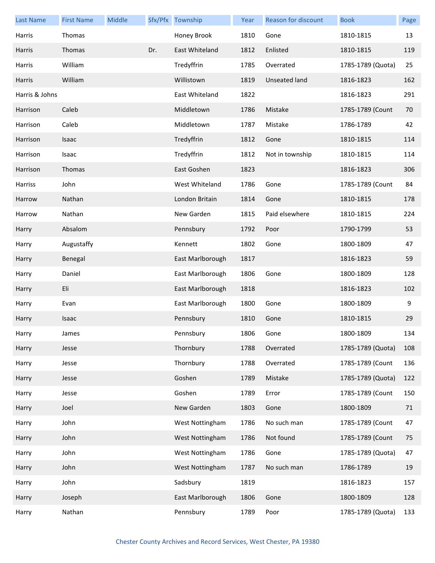| <b>Last Name</b> | <b>First Name</b> | Middle |     | Sfx/Pfx Township | Year | Reason for discount | <b>Book</b>       | Page |
|------------------|-------------------|--------|-----|------------------|------|---------------------|-------------------|------|
| Harris           | Thomas            |        |     | Honey Brook      | 1810 | Gone                | 1810-1815         | 13   |
| Harris           | Thomas            |        | Dr. | East Whiteland   | 1812 | Enlisted            | 1810-1815         | 119  |
| Harris           | William           |        |     | Tredyffrin       | 1785 | Overrated           | 1785-1789 (Quota) | 25   |
| Harris           | William           |        |     | Willistown       | 1819 | Unseated land       | 1816-1823         | 162  |
| Harris & Johns   |                   |        |     | East Whiteland   | 1822 |                     | 1816-1823         | 291  |
| Harrison         | Caleb             |        |     | Middletown       | 1786 | Mistake             | 1785-1789 (Count  | 70   |
| Harrison         | Caleb             |        |     | Middletown       | 1787 | Mistake             | 1786-1789         | 42   |
| Harrison         | Isaac             |        |     | Tredyffrin       | 1812 | Gone                | 1810-1815         | 114  |
| Harrison         | Isaac             |        |     | Tredyffrin       | 1812 | Not in township     | 1810-1815         | 114  |
| Harrison         | Thomas            |        |     | East Goshen      | 1823 |                     | 1816-1823         | 306  |
| Harriss          | John              |        |     | West Whiteland   | 1786 | Gone                | 1785-1789 (Count  | 84   |
| Harrow           | Nathan            |        |     | London Britain   | 1814 | Gone                | 1810-1815         | 178  |
| Harrow           | Nathan            |        |     | New Garden       | 1815 | Paid elsewhere      | 1810-1815         | 224  |
| Harry            | Absalom           |        |     | Pennsbury        | 1792 | Poor                | 1790-1799         | 53   |
| Harry            | Augustaffy        |        |     | Kennett          | 1802 | Gone                | 1800-1809         | 47   |
| Harry            | Benegal           |        |     | East Marlborough | 1817 |                     | 1816-1823         | 59   |
| Harry            | Daniel            |        |     | East Marlborough | 1806 | Gone                | 1800-1809         | 128  |
| Harry            | Eli               |        |     | East Marlborough | 1818 |                     | 1816-1823         | 102  |
| Harry            | Evan              |        |     | East Marlborough | 1800 | Gone                | 1800-1809         | 9    |
| Harry            | Isaac             |        |     | Pennsbury        | 1810 | Gone                | 1810-1815         | 29   |
| Harry            | James             |        |     | Pennsbury        | 1806 | Gone                | 1800-1809         | 134  |
| Harry            | Jesse             |        |     | Thornbury        | 1788 | Overrated           | 1785-1789 (Quota) | 108  |
| Harry            | Jesse             |        |     | Thornbury        | 1788 | Overrated           | 1785-1789 (Count  | 136  |
| Harry            | Jesse             |        |     | Goshen           | 1789 | Mistake             | 1785-1789 (Quota) | 122  |
| Harry            | Jesse             |        |     | Goshen           | 1789 | Error               | 1785-1789 (Count  | 150  |
| Harry            | Joel              |        |     | New Garden       | 1803 | Gone                | 1800-1809         | 71   |
| Harry            | John              |        |     | West Nottingham  | 1786 | No such man         | 1785-1789 (Count  | 47   |
| Harry            | John              |        |     | West Nottingham  | 1786 | Not found           | 1785-1789 (Count  | 75   |
| Harry            | John              |        |     | West Nottingham  | 1786 | Gone                | 1785-1789 (Quota) | 47   |
| Harry            | John              |        |     | West Nottingham  | 1787 | No such man         | 1786-1789         | 19   |
| Harry            | John              |        |     | Sadsbury         | 1819 |                     | 1816-1823         | 157  |
| Harry            | Joseph            |        |     | East Marlborough | 1806 | Gone                | 1800-1809         | 128  |
| Harry            | Nathan            |        |     | Pennsbury        | 1789 | Poor                | 1785-1789 (Quota) | 133  |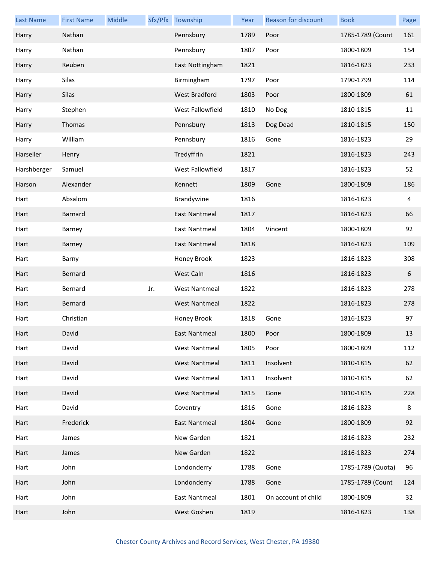| <b>Last Name</b> | <b>First Name</b> | Middle |     | Sfx/Pfx Township     | Year | Reason for discount | <b>Book</b>       | Page |
|------------------|-------------------|--------|-----|----------------------|------|---------------------|-------------------|------|
| Harry            | Nathan            |        |     | Pennsbury            | 1789 | Poor                | 1785-1789 (Count  | 161  |
| Harry            | Nathan            |        |     | Pennsbury            | 1807 | Poor                | 1800-1809         | 154  |
| Harry            | Reuben            |        |     | East Nottingham      | 1821 |                     | 1816-1823         | 233  |
| Harry            | Silas             |        |     | Birmingham           | 1797 | Poor                | 1790-1799         | 114  |
| Harry            | Silas             |        |     | <b>West Bradford</b> | 1803 | Poor                | 1800-1809         | 61   |
| Harry            | Stephen           |        |     | West Fallowfield     | 1810 | No Dog              | 1810-1815         | 11   |
| Harry            | Thomas            |        |     | Pennsbury            | 1813 | Dog Dead            | 1810-1815         | 150  |
| Harry            | William           |        |     | Pennsbury            | 1816 | Gone                | 1816-1823         | 29   |
| Harseller        | Henry             |        |     | Tredyffrin           | 1821 |                     | 1816-1823         | 243  |
| Harshberger      | Samuel            |        |     | West Fallowfield     | 1817 |                     | 1816-1823         | 52   |
| Harson           | Alexander         |        |     | Kennett              | 1809 | Gone                | 1800-1809         | 186  |
| Hart             | Absalom           |        |     | Brandywine           | 1816 |                     | 1816-1823         | 4    |
| Hart             | Barnard           |        |     | <b>East Nantmeal</b> | 1817 |                     | 1816-1823         | 66   |
| Hart             | Barney            |        |     | <b>East Nantmeal</b> | 1804 | Vincent             | 1800-1809         | 92   |
| Hart             | Barney            |        |     | <b>East Nantmeal</b> | 1818 |                     | 1816-1823         | 109  |
| Hart             | Barny             |        |     | Honey Brook          | 1823 |                     | 1816-1823         | 308  |
| Hart             | Bernard           |        |     | West Caln            | 1816 |                     | 1816-1823         | 6    |
| Hart             | Bernard           |        | Jr. | <b>West Nantmeal</b> | 1822 |                     | 1816-1823         | 278  |
| Hart             | Bernard           |        |     | <b>West Nantmeal</b> | 1822 |                     | 1816-1823         | 278  |
| Hart             | Christian         |        |     | Honey Brook          | 1818 | Gone                | 1816-1823         | 97   |
| Hart             | David             |        |     | East Nantmeal        | 1800 | Poor                | 1800-1809         | 13   |
| Hart             | David             |        |     | West Nantmeal        | 1805 | Poor                | 1800-1809         | 112  |
| Hart             | David             |        |     | <b>West Nantmeal</b> | 1811 | Insolvent           | 1810-1815         | 62   |
| Hart             | David             |        |     | <b>West Nantmeal</b> | 1811 | Insolvent           | 1810-1815         | 62   |
| Hart             | David             |        |     | <b>West Nantmeal</b> | 1815 | Gone                | 1810-1815         | 228  |
| Hart             | David             |        |     | Coventry             | 1816 | Gone                | 1816-1823         | 8    |
| Hart             | Frederick         |        |     | <b>East Nantmeal</b> | 1804 | Gone                | 1800-1809         | 92   |
| Hart             | James             |        |     | New Garden           | 1821 |                     | 1816-1823         | 232  |
| Hart             | James             |        |     | New Garden           | 1822 |                     | 1816-1823         | 274  |
| Hart             | John              |        |     | Londonderry          | 1788 | Gone                | 1785-1789 (Quota) | 96   |
| Hart             | John              |        |     | Londonderry          | 1788 | Gone                | 1785-1789 (Count  | 124  |
| Hart             | John              |        |     | <b>East Nantmeal</b> | 1801 | On account of child | 1800-1809         | 32   |
| Hart             | John              |        |     | West Goshen          | 1819 |                     | 1816-1823         | 138  |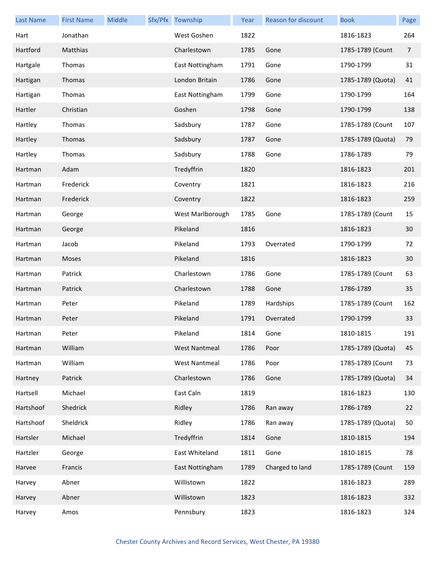| <b>Last Name</b> | <b>First Name</b> | Middle | Sfx/Pfx Township     | Year | Reason for discount | <b>Book</b>       | Page |
|------------------|-------------------|--------|----------------------|------|---------------------|-------------------|------|
| Hart             | Jonathan          |        | West Goshen          | 1822 |                     | 1816-1823         | 264  |
| Hartford         | Matthias          |        | Charlestown          | 1785 | Gone                | 1785-1789 (Count  | 7    |
| Hartgale         | Thomas            |        | East Nottingham      | 1791 | Gone                | 1790-1799         | 31   |
| Hartigan         | Thomas            |        | London Britain       | 1786 | Gone                | 1785-1789 (Quota) | 41   |
| Hartigan         | Thomas            |        | East Nottingham      | 1799 | Gone                | 1790-1799         | 164  |
| Hartler          | Christian         |        | Goshen               | 1798 | Gone                | 1790-1799         | 138  |
| Hartley          | Thomas            |        | Sadsbury             | 1787 | Gone                | 1785-1789 (Count  | 107  |
| Hartley          | Thomas            |        | Sadsbury             | 1787 | Gone                | 1785-1789 (Quota) | 79   |
| Hartley          | Thomas            |        | Sadsbury             | 1788 | Gone                | 1786-1789         | 79   |
| Hartman          | Adam              |        | Tredyffrin           | 1820 |                     | 1816-1823         | 201  |
| Hartman          | Frederick         |        | Coventry             | 1821 |                     | 1816-1823         | 216  |
| Hartman          | Frederick         |        | Coventry             | 1822 |                     | 1816-1823         | 259  |
| Hartman          | George            |        | West Marlborough     | 1785 | Gone                | 1785-1789 (Count  | 15   |
| Hartman          | George            |        | Pikeland             | 1816 |                     | 1816-1823         | 30   |
| Hartman          | Jacob             |        | Pikeland             | 1793 | Overrated           | 1790-1799         | 72   |
| Hartman          | Moses             |        | Pikeland             | 1816 |                     | 1816-1823         | 30   |
| Hartman          | Patrick           |        | Charlestown          | 1786 | Gone                | 1785-1789 (Count  | 63   |
| Hartman          | Patrick           |        | Charlestown          | 1788 | Gone                | 1786-1789         | 35   |
| Hartman          | Peter             |        | Pikeland             | 1789 | Hardships           | 1785-1789 (Count  | 162  |
| Hartman          | Peter             |        | Pikeland             | 1791 | Overrated           | 1790-1799         | 33   |
| Hartman          | Peter             |        | Pikeland             | 1814 | Gone                | 1810-1815         | 191  |
| Hartman          | William           |        | <b>West Nantmeal</b> | 1786 | Poor                | 1785-1789 (Quota) | 45   |
| Hartman          | William           |        | <b>West Nantmeal</b> | 1786 | Poor                | 1785-1789 (Count  | 73   |
| Hartney          | Patrick           |        | Charlestown          | 1786 | Gone                | 1785-1789 (Quota) | 34   |
| Hartsell         | Michael           |        | East Caln            | 1819 |                     | 1816-1823         | 130  |
| Hartshoof        | Shedrick          |        | Ridley               | 1786 | Ran away            | 1786-1789         | 22   |
| Hartshoof        | Sheldrick         |        | Ridley               | 1786 | Ran away            | 1785-1789 (Quota) | 50   |
| Hartsler         | Michael           |        | Tredyffrin           | 1814 | Gone                | 1810-1815         | 194  |
| Hartzler         | George            |        | East Whiteland       | 1811 | Gone                | 1810-1815         | 78   |
| Harvee           | Francis           |        | East Nottingham      | 1789 | Charged to land     | 1785-1789 (Count  | 159  |
| Harvey           | Abner             |        | Willistown           | 1822 |                     | 1816-1823         | 289  |
| Harvey           | Abner             |        | Willistown           | 1823 |                     | 1816-1823         | 332  |
| Harvey           | Amos              |        | Pennsbury            | 1823 |                     | 1816-1823         | 324  |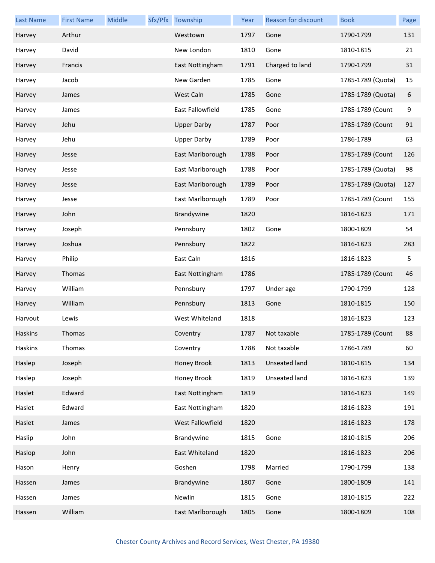| <b>Last Name</b> | <b>First Name</b> | Middle | Sfx/Pfx Township        | Year | Reason for discount | <b>Book</b>       | Page |
|------------------|-------------------|--------|-------------------------|------|---------------------|-------------------|------|
| Harvey           | Arthur            |        | Westtown                | 1797 | Gone                | 1790-1799         | 131  |
| Harvey           | David             |        | New London              | 1810 | Gone                | 1810-1815         | 21   |
| Harvey           | Francis           |        | East Nottingham         | 1791 | Charged to land     | 1790-1799         | 31   |
| Harvey           | Jacob             |        | New Garden              | 1785 | Gone                | 1785-1789 (Quota) | 15   |
| Harvey           | James             |        | West Caln               | 1785 | Gone                | 1785-1789 (Quota) | 6    |
| Harvey           | James             |        | <b>East Fallowfield</b> | 1785 | Gone                | 1785-1789 (Count  | 9    |
| Harvey           | Jehu              |        | <b>Upper Darby</b>      | 1787 | Poor                | 1785-1789 (Count  | 91   |
| Harvey           | Jehu              |        | <b>Upper Darby</b>      | 1789 | Poor                | 1786-1789         | 63   |
| Harvey           | Jesse             |        | East Marlborough        | 1788 | Poor                | 1785-1789 (Count  | 126  |
| Harvey           | Jesse             |        | East Marlborough        | 1788 | Poor                | 1785-1789 (Quota) | 98   |
| Harvey           | Jesse             |        | East Marlborough        | 1789 | Poor                | 1785-1789 (Quota) | 127  |
| Harvey           | Jesse             |        | East Marlborough        | 1789 | Poor                | 1785-1789 (Count  | 155  |
| Harvey           | John              |        | Brandywine              | 1820 |                     | 1816-1823         | 171  |
| Harvey           | Joseph            |        | Pennsbury               | 1802 | Gone                | 1800-1809         | 54   |
| Harvey           | Joshua            |        | Pennsbury               | 1822 |                     | 1816-1823         | 283  |
| Harvey           | Philip            |        | East Caln               | 1816 |                     | 1816-1823         | 5    |
| Harvey           | Thomas            |        | East Nottingham         | 1786 |                     | 1785-1789 (Count  | 46   |
| Harvey           | William           |        | Pennsbury               | 1797 | Under age           | 1790-1799         | 128  |
| Harvey           | William           |        | Pennsbury               | 1813 | Gone                | 1810-1815         | 150  |
| Harvout          | Lewis             |        | West Whiteland          | 1818 |                     | 1816-1823         | 123  |
| Haskins          | Thomas            |        | Coventry                | 1787 | Not taxable         | 1785-1789 (Count  | 88   |
| Haskins          | Thomas            |        | Coventry                | 1788 | Not taxable         | 1786-1789         | 60   |
| Haslep           | Joseph            |        | Honey Brook             | 1813 | Unseated land       | 1810-1815         | 134  |
| Haslep           | Joseph            |        | Honey Brook             | 1819 | Unseated land       | 1816-1823         | 139  |
| Haslet           | Edward            |        | East Nottingham         | 1819 |                     | 1816-1823         | 149  |
| Haslet           | Edward            |        | East Nottingham         | 1820 |                     | 1816-1823         | 191  |
| Haslet           | James             |        | West Fallowfield        | 1820 |                     | 1816-1823         | 178  |
| Haslip           | John              |        | Brandywine              | 1815 | Gone                | 1810-1815         | 206  |
| Haslop           | John              |        | East Whiteland          | 1820 |                     | 1816-1823         | 206  |
| Hason            | Henry             |        | Goshen                  | 1798 | Married             | 1790-1799         | 138  |
| Hassen           | James             |        | Brandywine              | 1807 | Gone                | 1800-1809         | 141  |
| Hassen           | James             |        | Newlin                  | 1815 | Gone                | 1810-1815         | 222  |
| Hassen           | William           |        | East Marlborough        | 1805 | Gone                | 1800-1809         | 108  |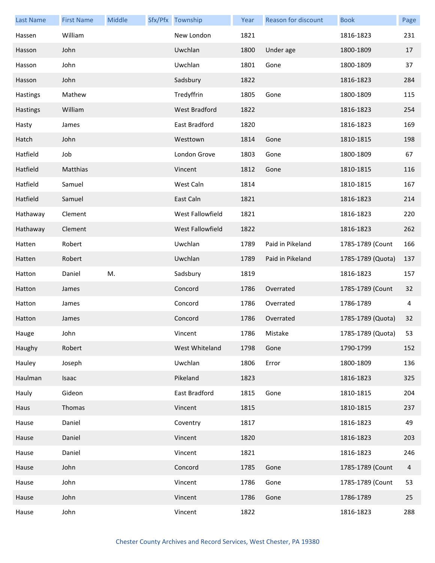| <b>Last Name</b> | <b>First Name</b> | Middle | Sfx/Pfx Township     | Year | Reason for discount | <b>Book</b>          | Page |
|------------------|-------------------|--------|----------------------|------|---------------------|----------------------|------|
| Hassen           | William           |        | New London           | 1821 |                     | 1816-1823            | 231  |
| Hasson           | John              |        | Uwchlan              | 1800 | Under age           | 1800-1809            | 17   |
| Hasson           | John              |        | Uwchlan              | 1801 | Gone                | 1800-1809            | 37   |
| Hasson           | John              |        | Sadsbury             | 1822 |                     | 1816-1823            | 284  |
| Hastings         | Mathew            |        | Tredyffrin           | 1805 | Gone                | 1800-1809            | 115  |
| Hastings         | William           |        | <b>West Bradford</b> | 1822 |                     | 1816-1823            | 254  |
| Hasty            | James             |        | East Bradford        | 1820 |                     | 1816-1823            | 169  |
| Hatch            | John              |        | Westtown             | 1814 | Gone                | 1810-1815            | 198  |
| Hatfield         | Job               |        | London Grove         | 1803 | Gone                | 1800-1809            | 67   |
| Hatfield         | Matthias          |        | Vincent              | 1812 | Gone                | 1810-1815            | 116  |
| Hatfield         | Samuel            |        | West Caln            | 1814 |                     | 1810-1815            | 167  |
| Hatfield         | Samuel            |        | East Caln            | 1821 |                     | 1816-1823            | 214  |
| Hathaway         | Clement           |        | West Fallowfield     | 1821 |                     | 1816-1823            | 220  |
| Hathaway         | Clement           |        | West Fallowfield     | 1822 |                     | 1816-1823            | 262  |
| Hatten           | Robert            |        | Uwchlan              | 1789 | Paid in Pikeland    | 1785-1789 (Count     | 166  |
| Hatten           | Robert            |        | Uwchlan              | 1789 | Paid in Pikeland    | 1785-1789 (Quota)    | 137  |
| Hatton           | Daniel            | M.     | Sadsbury             | 1819 |                     | 1816-1823            | 157  |
| Hatton           | James             |        | Concord              | 1786 | Overrated           | 1785-1789 (Count     | 32   |
| Hatton           | James             |        | Concord              | 1786 | Overrated           | 1786-1789            | 4    |
| Hatton           | James             |        | Concord              | 1786 | Overrated           | 1785-1789 (Quota)    | 32   |
| Hauge            | John              |        | Vincent              | 1786 | Mistake             | 1785-1789 (Quota) 53 |      |
| Haughy           | Robert            |        | West Whiteland       | 1798 | Gone                | 1790-1799            | 152  |
| Hauley           | Joseph            |        | Uwchlan              | 1806 | Error               | 1800-1809            | 136  |
| Haulman          | Isaac             |        | Pikeland             | 1823 |                     | 1816-1823            | 325  |
| Hauly            | Gideon            |        | East Bradford        | 1815 | Gone                | 1810-1815            | 204  |
| Haus             | Thomas            |        | Vincent              | 1815 |                     | 1810-1815            | 237  |
| Hause            | Daniel            |        | Coventry             | 1817 |                     | 1816-1823            | 49   |
| Hause            | Daniel            |        | Vincent              | 1820 |                     | 1816-1823            | 203  |
| Hause            | Daniel            |        | Vincent              | 1821 |                     | 1816-1823            | 246  |
| Hause            | John              |        | Concord              | 1785 | Gone                | 1785-1789 (Count     | 4    |
| Hause            | John              |        | Vincent              | 1786 | Gone                | 1785-1789 (Count     | 53   |
| Hause            | John              |        | Vincent              | 1786 | Gone                | 1786-1789            | 25   |
| Hause            | John              |        | Vincent              | 1822 |                     | 1816-1823            | 288  |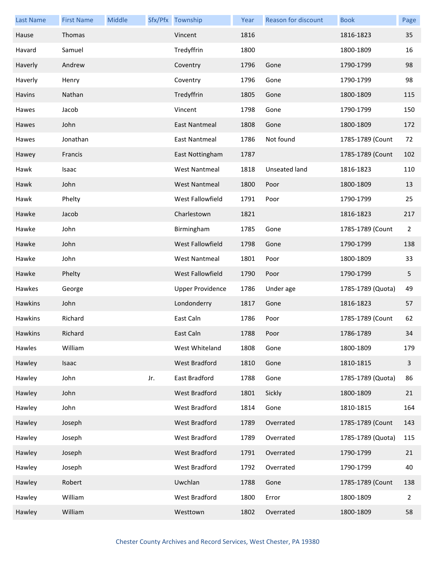| <b>Last Name</b> | <b>First Name</b> | Middle |     | Sfx/Pfx Township        | Year | Reason for discount | <b>Book</b>       | Page           |
|------------------|-------------------|--------|-----|-------------------------|------|---------------------|-------------------|----------------|
| Hause            | Thomas            |        |     | Vincent                 | 1816 |                     | 1816-1823         | 35             |
| Havard           | Samuel            |        |     | Tredyffrin              | 1800 |                     | 1800-1809         | 16             |
| Haverly          | Andrew            |        |     | Coventry                | 1796 | Gone                | 1790-1799         | 98             |
| Haverly          | Henry             |        |     | Coventry                | 1796 | Gone                | 1790-1799         | 98             |
| Havins           | Nathan            |        |     | Tredyffrin              | 1805 | Gone                | 1800-1809         | 115            |
| Hawes            | Jacob             |        |     | Vincent                 | 1798 | Gone                | 1790-1799         | 150            |
| Hawes            | John              |        |     | <b>East Nantmeal</b>    | 1808 | Gone                | 1800-1809         | 172            |
| Hawes            | Jonathan          |        |     | East Nantmeal           | 1786 | Not found           | 1785-1789 (Count  | 72             |
| Hawey            | Francis           |        |     | East Nottingham         | 1787 |                     | 1785-1789 (Count  | 102            |
| Hawk             | Isaac             |        |     | <b>West Nantmeal</b>    | 1818 | Unseated land       | 1816-1823         | 110            |
| Hawk             | John              |        |     | <b>West Nantmeal</b>    | 1800 | Poor                | 1800-1809         | 13             |
| Hawk             | Phelty            |        |     | West Fallowfield        | 1791 | Poor                | 1790-1799         | 25             |
| Hawke            | Jacob             |        |     | Charlestown             | 1821 |                     | 1816-1823         | 217            |
| Hawke            | John              |        |     | Birmingham              | 1785 | Gone                | 1785-1789 (Count  | $\overline{2}$ |
| Hawke            | John              |        |     | West Fallowfield        | 1798 | Gone                | 1790-1799         | 138            |
| Hawke            | John              |        |     | <b>West Nantmeal</b>    | 1801 | Poor                | 1800-1809         | 33             |
| Hawke            | Phelty            |        |     | West Fallowfield        | 1790 | Poor                | 1790-1799         | 5              |
| Hawkes           | George            |        |     | <b>Upper Providence</b> | 1786 | Under age           | 1785-1789 (Quota) | 49             |
| Hawkins          | John              |        |     | Londonderry             | 1817 | Gone                | 1816-1823         | 57             |
| Hawkins          | Richard           |        |     | East Caln               | 1786 | Poor                | 1785-1789 (Count  | 62             |
| Hawkins          | Richard           |        |     | East Caln               | 1788 | Poor                | 1786-1789         | 34             |
| Hawles           | William           |        |     | West Whiteland          | 1808 | Gone                | 1800-1809         | 179            |
| Hawley           | Isaac             |        |     | West Bradford           | 1810 | Gone                | 1810-1815         | 3              |
| Hawley           | John              |        | Jr. | East Bradford           | 1788 | Gone                | 1785-1789 (Quota) | 86             |
| Hawley           | John              |        |     | <b>West Bradford</b>    | 1801 | Sickly              | 1800-1809         | 21             |
| Hawley           | John              |        |     | West Bradford           | 1814 | Gone                | 1810-1815         | 164            |
| Hawley           | Joseph            |        |     | <b>West Bradford</b>    | 1789 | Overrated           | 1785-1789 (Count  | 143            |
| Hawley           | Joseph            |        |     | West Bradford           | 1789 | Overrated           | 1785-1789 (Quota) | 115            |
| Hawley           | Joseph            |        |     | <b>West Bradford</b>    | 1791 | Overrated           | 1790-1799         | 21             |
| Hawley           | Joseph            |        |     | West Bradford           | 1792 | Overrated           | 1790-1799         | 40             |
| Hawley           | Robert            |        |     | Uwchlan                 | 1788 | Gone                | 1785-1789 (Count  | 138            |
| Hawley           | William           |        |     | West Bradford           | 1800 | Error               | 1800-1809         | 2              |
| Hawley           | William           |        |     | Westtown                | 1802 | Overrated           | 1800-1809         | 58             |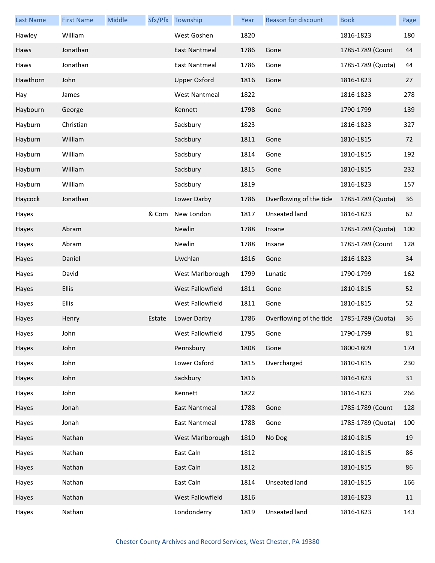| <b>Last Name</b> | <b>First Name</b> | Middle |        | Sfx/Pfx Township     | Year | <b>Reason for discount</b> | <b>Book</b>       | Page |
|------------------|-------------------|--------|--------|----------------------|------|----------------------------|-------------------|------|
| Hawley           | William           |        |        | West Goshen          | 1820 |                            | 1816-1823         | 180  |
| Haws             | Jonathan          |        |        | East Nantmeal        | 1786 | Gone                       | 1785-1789 (Count  | 44   |
| Haws             | Jonathan          |        |        | <b>East Nantmeal</b> | 1786 | Gone                       | 1785-1789 (Quota) | 44   |
| Hawthorn         | John              |        |        | <b>Upper Oxford</b>  | 1816 | Gone                       | 1816-1823         | 27   |
| Hay              | James             |        |        | <b>West Nantmeal</b> | 1822 |                            | 1816-1823         | 278  |
| Haybourn         | George            |        |        | Kennett              | 1798 | Gone                       | 1790-1799         | 139  |
| Hayburn          | Christian         |        |        | Sadsbury             | 1823 |                            | 1816-1823         | 327  |
| Hayburn          | William           |        |        | Sadsbury             | 1811 | Gone                       | 1810-1815         | 72   |
| Hayburn          | William           |        |        | Sadsbury             | 1814 | Gone                       | 1810-1815         | 192  |
| Hayburn          | William           |        |        | Sadsbury             | 1815 | Gone                       | 1810-1815         | 232  |
| Hayburn          | William           |        |        | Sadsbury             | 1819 |                            | 1816-1823         | 157  |
| Haycock          | Jonathan          |        |        | Lower Darby          | 1786 | Overflowing of the tide    | 1785-1789 (Quota) | 36   |
| Hayes            |                   |        | & Com  | New London           | 1817 | Unseated land              | 1816-1823         | 62   |
| Hayes            | Abram             |        |        | Newlin               | 1788 | Insane                     | 1785-1789 (Quota) | 100  |
| Hayes            | Abram             |        |        | Newlin               | 1788 | Insane                     | 1785-1789 (Count  | 128  |
| Hayes            | Daniel            |        |        | Uwchlan              | 1816 | Gone                       | 1816-1823         | 34   |
| Hayes            | David             |        |        | West Marlborough     | 1799 | Lunatic                    | 1790-1799         | 162  |
| Hayes            | Ellis             |        |        | West Fallowfield     | 1811 | Gone                       | 1810-1815         | 52   |
| Hayes            | <b>Ellis</b>      |        |        | West Fallowfield     | 1811 | Gone                       | 1810-1815         | 52   |
| Hayes            | Henry             |        | Estate | Lower Darby          | 1786 | Overflowing of the tide    | 1785-1789 (Quota) | 36   |
| Hayes            | John              |        |        | West Fallowfield     | 1795 | Gone                       | 1790-1799         | 81   |
| Hayes            | John              |        |        | Pennsbury            | 1808 | Gone                       | 1800-1809         | 174  |
| Hayes            | John              |        |        | Lower Oxford         | 1815 | Overcharged                | 1810-1815         | 230  |
| Hayes            | John              |        |        | Sadsbury             | 1816 |                            | 1816-1823         | 31   |
| Hayes            | John              |        |        | Kennett              | 1822 |                            | 1816-1823         | 266  |
| Hayes            | Jonah             |        |        | <b>East Nantmeal</b> | 1788 | Gone                       | 1785-1789 (Count  | 128  |
| Hayes            | Jonah             |        |        | East Nantmeal        | 1788 | Gone                       | 1785-1789 (Quota) | 100  |
| Hayes            | Nathan            |        |        | West Marlborough     | 1810 | No Dog                     | 1810-1815         | 19   |
| Hayes            | Nathan            |        |        | East Caln            | 1812 |                            | 1810-1815         | 86   |
| Hayes            | Nathan            |        |        | East Caln            | 1812 |                            | 1810-1815         | 86   |
| Hayes            | Nathan            |        |        | East Caln            | 1814 | Unseated land              | 1810-1815         | 166  |
| Hayes            | Nathan            |        |        | West Fallowfield     | 1816 |                            | 1816-1823         | 11   |
| Hayes            | Nathan            |        |        | Londonderry          | 1819 | Unseated land              | 1816-1823         | 143  |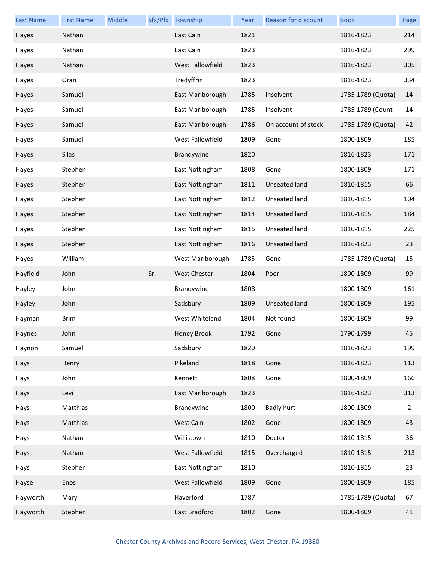| <b>Last Name</b> | <b>First Name</b> | Middle |     | Sfx/Pfx Township    | Year | Reason for discount  | <b>Book</b>       | Page |
|------------------|-------------------|--------|-----|---------------------|------|----------------------|-------------------|------|
| Hayes            | Nathan            |        |     | East Caln           | 1821 |                      | 1816-1823         | 214  |
| Hayes            | Nathan            |        |     | East Caln           | 1823 |                      | 1816-1823         | 299  |
| Hayes            | Nathan            |        |     | West Fallowfield    | 1823 |                      | 1816-1823         | 305  |
| Hayes            | Oran              |        |     | Tredyffrin          | 1823 |                      | 1816-1823         | 334  |
| Hayes            | Samuel            |        |     | East Marlborough    | 1785 | Insolvent            | 1785-1789 (Quota) | 14   |
| Hayes            | Samuel            |        |     | East Marlborough    | 1785 | Insolvent            | 1785-1789 (Count  | 14   |
| Hayes            | Samuel            |        |     | East Marlborough    | 1786 | On account of stock  | 1785-1789 (Quota) | 42   |
| Hayes            | Samuel            |        |     | West Fallowfield    | 1809 | Gone                 | 1800-1809         | 185  |
| Hayes            | Silas             |        |     | Brandywine          | 1820 |                      | 1816-1823         | 171  |
| Hayes            | Stephen           |        |     | East Nottingham     | 1808 | Gone                 | 1800-1809         | 171  |
| Hayes            | Stephen           |        |     | East Nottingham     | 1811 | <b>Unseated land</b> | 1810-1815         | 66   |
| Hayes            | Stephen           |        |     | East Nottingham     | 1812 | Unseated land        | 1810-1815         | 104  |
| Hayes            | Stephen           |        |     | East Nottingham     | 1814 | Unseated land        | 1810-1815         | 184  |
| Hayes            | Stephen           |        |     | East Nottingham     | 1815 | Unseated land        | 1810-1815         | 225  |
| Hayes            | Stephen           |        |     | East Nottingham     | 1816 | <b>Unseated land</b> | 1816-1823         | 23   |
| Hayes            | William           |        |     | West Marlborough    | 1785 | Gone                 | 1785-1789 (Quota) | 15   |
| Hayfield         | John              |        | Sr. | <b>West Chester</b> | 1804 | Poor                 | 1800-1809         | 99   |
| Hayley           | John              |        |     | Brandywine          | 1808 |                      | 1800-1809         | 161  |
| Hayley           | John              |        |     | Sadsbury            | 1809 | <b>Unseated land</b> | 1800-1809         | 195  |
| Hayman           | <b>Brim</b>       |        |     | West Whiteland      | 1804 | Not found            | 1800-1809         | 99   |
| Haynes           | John              |        |     | Honey Brook         | 1792 | Gone                 | 1790-1799         | 45   |
| Haynon           | Samuel            |        |     | Sadsbury            | 1820 |                      | 1816-1823         | 199  |
| Hays             | Henry             |        |     | Pikeland            | 1818 | Gone                 | 1816-1823         | 113  |
| Hays             | John              |        |     | Kennett             | 1808 | Gone                 | 1800-1809         | 166  |
| Hays             | Levi              |        |     | East Marlborough    | 1823 |                      | 1816-1823         | 313  |
| Hays             | Matthias          |        |     | Brandywine          | 1800 | <b>Badly hurt</b>    | 1800-1809         | 2    |
| Hays             | Matthias          |        |     | West Caln           | 1802 | Gone                 | 1800-1809         | 43   |
| Hays             | Nathan            |        |     | Willistown          | 1810 | Doctor               | 1810-1815         | 36   |
| Hays             | Nathan            |        |     | West Fallowfield    | 1815 | Overcharged          | 1810-1815         | 213  |
| Hays             | Stephen           |        |     | East Nottingham     | 1810 |                      | 1810-1815         | 23   |
| Hayse            | Enos              |        |     | West Fallowfield    | 1809 | Gone                 | 1800-1809         | 185  |
| Hayworth         | Mary              |        |     | Haverford           | 1787 |                      | 1785-1789 (Quota) | 67   |
| Hayworth         | Stephen           |        |     | East Bradford       | 1802 | Gone                 | 1800-1809         | 41   |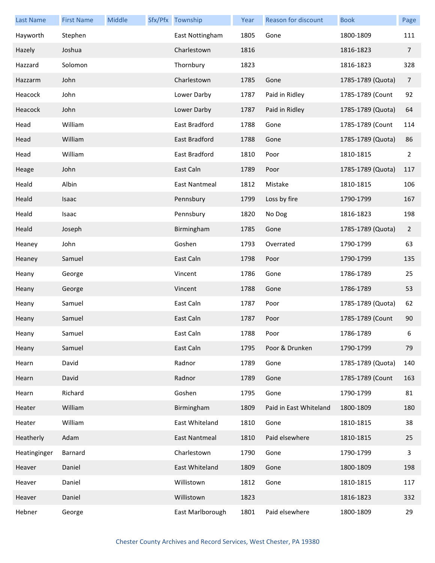| <b>Last Name</b> | <b>First Name</b> | Middle | Sfx/Pfx Township | Year | Reason for discount    | <b>Book</b>       | Page           |
|------------------|-------------------|--------|------------------|------|------------------------|-------------------|----------------|
| Hayworth         | Stephen           |        | East Nottingham  | 1805 | Gone                   | 1800-1809         | 111            |
| Hazely           | Joshua            |        | Charlestown      | 1816 |                        | 1816-1823         | $\overline{7}$ |
| Hazzard          | Solomon           |        | Thornbury        | 1823 |                        | 1816-1823         | 328            |
| Hazzarm          | John              |        | Charlestown      | 1785 | Gone                   | 1785-1789 (Quota) | 7              |
| Heacock          | John              |        | Lower Darby      | 1787 | Paid in Ridley         | 1785-1789 (Count  | 92             |
| Heacock          | John              |        | Lower Darby      | 1787 | Paid in Ridley         | 1785-1789 (Quota) | 64             |
| Head             | William           |        | East Bradford    | 1788 | Gone                   | 1785-1789 (Count  | 114            |
| Head             | William           |        | East Bradford    | 1788 | Gone                   | 1785-1789 (Quota) | 86             |
| Head             | William           |        | East Bradford    | 1810 | Poor                   | 1810-1815         | $\overline{2}$ |
| Heage            | John              |        | East Caln        | 1789 | Poor                   | 1785-1789 (Quota) | 117            |
| Heald            | Albin             |        | East Nantmeal    | 1812 | Mistake                | 1810-1815         | 106            |
| Heald            | Isaac             |        | Pennsbury        | 1799 | Loss by fire           | 1790-1799         | 167            |
| Heald            | Isaac             |        | Pennsbury        | 1820 | No Dog                 | 1816-1823         | 198            |
| Heald            | Joseph            |        | Birmingham       | 1785 | Gone                   | 1785-1789 (Quota) | $\overline{2}$ |
| Heaney           | John              |        | Goshen           | 1793 | Overrated              | 1790-1799         | 63             |
| Heaney           | Samuel            |        | East Caln        | 1798 | Poor                   | 1790-1799         | 135            |
| Heany            | George            |        | Vincent          | 1786 | Gone                   | 1786-1789         | 25             |
| Heany            | George            |        | Vincent          | 1788 | Gone                   | 1786-1789         | 53             |
| Heany            | Samuel            |        | East Caln        | 1787 | Poor                   | 1785-1789 (Quota) | 62             |
| Heany            | Samuel            |        | East Caln        | 1787 | Poor                   | 1785-1789 (Count  | 90             |
| Heany            | Samuel            |        | East Caln        | 1788 | Poor                   | 1786-1789         | 6              |
| Heany            | Samuel            |        | East Caln        | 1795 | Poor & Drunken         | 1790-1799         | 79             |
| Hearn            | David             |        | Radnor           | 1789 | Gone                   | 1785-1789 (Quota) | 140            |
| Hearn            | David             |        | Radnor           | 1789 | Gone                   | 1785-1789 (Count  | 163            |
| Hearn            | Richard           |        | Goshen           | 1795 | Gone                   | 1790-1799         | 81             |
| Heater           | William           |        | Birmingham       | 1809 | Paid in East Whiteland | 1800-1809         | 180            |
| Heater           | William           |        | East Whiteland   | 1810 | Gone                   | 1810-1815         | 38             |
| Heatherly        | Adam              |        | East Nantmeal    | 1810 | Paid elsewhere         | 1810-1815         | 25             |
| Heatinginger     | Barnard           |        | Charlestown      | 1790 | Gone                   | 1790-1799         | 3              |
| Heaver           | Daniel            |        | East Whiteland   | 1809 | Gone                   | 1800-1809         | 198            |
| Heaver           | Daniel            |        | Willistown       | 1812 | Gone                   | 1810-1815         | 117            |
| Heaver           | Daniel            |        | Willistown       | 1823 |                        | 1816-1823         | 332            |
| Hebner           | George            |        | East Marlborough | 1801 | Paid elsewhere         | 1800-1809         | 29             |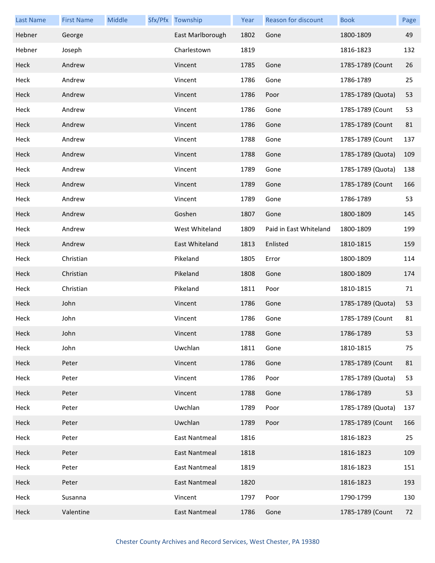| <b>Last Name</b> | <b>First Name</b> | Middle | Sfx/Pfx Township     | Year | <b>Reason for discount</b> | <b>Book</b>       | Page |
|------------------|-------------------|--------|----------------------|------|----------------------------|-------------------|------|
| Hebner           | George            |        | East Marlborough     | 1802 | Gone                       | 1800-1809         | 49   |
| Hebner           | Joseph            |        | Charlestown          | 1819 |                            | 1816-1823         | 132  |
| Heck             | Andrew            |        | Vincent              | 1785 | Gone                       | 1785-1789 (Count  | 26   |
| Heck             | Andrew            |        | Vincent              | 1786 | Gone                       | 1786-1789         | 25   |
| Heck             | Andrew            |        | Vincent              | 1786 | Poor                       | 1785-1789 (Quota) | 53   |
| Heck             | Andrew            |        | Vincent              | 1786 | Gone                       | 1785-1789 (Count  | 53   |
| Heck             | Andrew            |        | Vincent              | 1786 | Gone                       | 1785-1789 (Count  | 81   |
| Heck             | Andrew            |        | Vincent              | 1788 | Gone                       | 1785-1789 (Count  | 137  |
| Heck             | Andrew            |        | Vincent              | 1788 | Gone                       | 1785-1789 (Quota) | 109  |
| Heck             | Andrew            |        | Vincent              | 1789 | Gone                       | 1785-1789 (Quota) | 138  |
| Heck             | Andrew            |        | Vincent              | 1789 | Gone                       | 1785-1789 (Count  | 166  |
| Heck             | Andrew            |        | Vincent              | 1789 | Gone                       | 1786-1789         | 53   |
| Heck             | Andrew            |        | Goshen               | 1807 | Gone                       | 1800-1809         | 145  |
| Heck             | Andrew            |        | West Whiteland       | 1809 | Paid in East Whiteland     | 1800-1809         | 199  |
| Heck             | Andrew            |        | East Whiteland       | 1813 | Enlisted                   | 1810-1815         | 159  |
| Heck             | Christian         |        | Pikeland             | 1805 | Error                      | 1800-1809         | 114  |
| Heck             | Christian         |        | Pikeland             | 1808 | Gone                       | 1800-1809         | 174  |
| Heck             | Christian         |        | Pikeland             | 1811 | Poor                       | 1810-1815         | 71   |
| Heck             | John              |        | Vincent              | 1786 | Gone                       | 1785-1789 (Quota) | 53   |
| Heck             | John              |        | Vincent              | 1786 | Gone                       | 1785-1789 (Count  | 81   |
| Heck             | John              |        | Vincent              | 1788 | Gone                       | 1786-1789         | 53   |
| Heck             | John              |        | Uwchlan              | 1811 | Gone                       | 1810-1815         | 75   |
| Heck             | Peter             |        | Vincent              | 1786 | Gone                       | 1785-1789 (Count  | 81   |
| Heck             | Peter             |        | Vincent              | 1786 | Poor                       | 1785-1789 (Quota) | 53   |
| Heck             | Peter             |        | Vincent              | 1788 | Gone                       | 1786-1789         | 53   |
| Heck             | Peter             |        | Uwchlan              | 1789 | Poor                       | 1785-1789 (Quota) | 137  |
| Heck             | Peter             |        | Uwchlan              | 1789 | Poor                       | 1785-1789 (Count  | 166  |
| Heck             | Peter             |        | <b>East Nantmeal</b> | 1816 |                            | 1816-1823         | 25   |
| Heck             | Peter             |        | East Nantmeal        | 1818 |                            | 1816-1823         | 109  |
| Heck             | Peter             |        | East Nantmeal        | 1819 |                            | 1816-1823         | 151  |
| Heck             | Peter             |        | East Nantmeal        | 1820 |                            | 1816-1823         | 193  |
| Heck             | Susanna           |        | Vincent              | 1797 | Poor                       | 1790-1799         | 130  |
| Heck             | Valentine         |        | <b>East Nantmeal</b> | 1786 | Gone                       | 1785-1789 (Count  | 72   |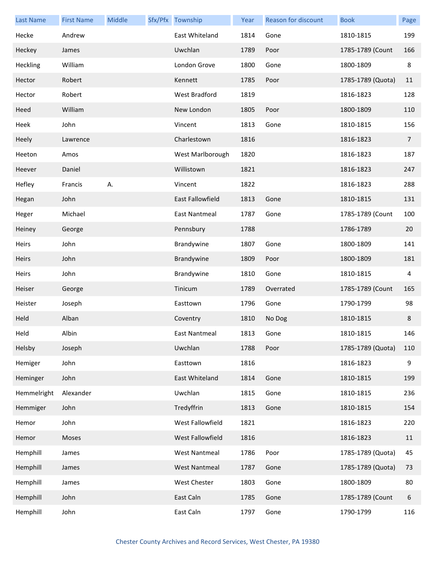| <b>Last Name</b> | <b>First Name</b> | Middle | Sfx/Pfx Township     | Year | Reason for discount | <b>Book</b>       | Page           |
|------------------|-------------------|--------|----------------------|------|---------------------|-------------------|----------------|
| Hecke            | Andrew            |        | East Whiteland       | 1814 | Gone                | 1810-1815         | 199            |
| Heckey           | James             |        | Uwchlan              | 1789 | Poor                | 1785-1789 (Count  | 166            |
| Heckling         | William           |        | London Grove         | 1800 | Gone                | 1800-1809         | 8              |
| Hector           | Robert            |        | Kennett              | 1785 | Poor                | 1785-1789 (Quota) | 11             |
| Hector           | Robert            |        | West Bradford        | 1819 |                     | 1816-1823         | 128            |
| Heed             | William           |        | New London           | 1805 | Poor                | 1800-1809         | 110            |
| Heek             | John              |        | Vincent              | 1813 | Gone                | 1810-1815         | 156            |
| <b>Heely</b>     | Lawrence          |        | Charlestown          | 1816 |                     | 1816-1823         | $\overline{7}$ |
| Heeton           | Amos              |        | West Marlborough     | 1820 |                     | 1816-1823         | 187            |
| Heever           | Daniel            |        | Willistown           | 1821 |                     | 1816-1823         | 247            |
| Hefley           | Francis           | Α.     | Vincent              | 1822 |                     | 1816-1823         | 288            |
| Hegan            | John              |        | East Fallowfield     | 1813 | Gone                | 1810-1815         | 131            |
| Heger            | Michael           |        | East Nantmeal        | 1787 | Gone                | 1785-1789 (Count  | 100            |
| Heiney           | George            |        | Pennsbury            | 1788 |                     | 1786-1789         | 20             |
| Heirs            | John              |        | Brandywine           | 1807 | Gone                | 1800-1809         | 141            |
| <b>Heirs</b>     | John              |        | Brandywine           | 1809 | Poor                | 1800-1809         | 181            |
| Heirs            | John              |        | Brandywine           | 1810 | Gone                | 1810-1815         | 4              |
| Heiser           | George            |        | Tinicum              | 1789 | Overrated           | 1785-1789 (Count  | 165            |
| Heister          | Joseph            |        | Easttown             | 1796 | Gone                | 1790-1799         | 98             |
| Held             | Alban             |        | Coventry             | 1810 | No Dog              | 1810-1815         | 8              |
| Held             | Albin             |        | East Nantmeal        | 1813 | Gone                | 1810-1815         | 146            |
| Helsby           | Joseph            |        | Uwchlan              | 1788 | Poor                | 1785-1789 (Quota) | 110            |
| Hemiger          | John              |        | Easttown             | 1816 |                     | 1816-1823         | 9              |
| Heminger         | John              |        | East Whiteland       | 1814 | Gone                | 1810-1815         | 199            |
| Hemmelright      | Alexander         |        | Uwchlan              | 1815 | Gone                | 1810-1815         | 236            |
| Hemmiger         | John              |        | Tredyffrin           | 1813 | Gone                | 1810-1815         | 154            |
| Hemor            | John              |        | West Fallowfield     | 1821 |                     | 1816-1823         | 220            |
| Hemor            | Moses             |        | West Fallowfield     | 1816 |                     | 1816-1823         | 11             |
| Hemphill         | James             |        | <b>West Nantmeal</b> | 1786 | Poor                | 1785-1789 (Quota) | 45             |
| Hemphill         | James             |        | <b>West Nantmeal</b> | 1787 | Gone                | 1785-1789 (Quota) | 73             |
| Hemphill         | James             |        | West Chester         | 1803 | Gone                | 1800-1809         | 80             |
| Hemphill         | John              |        | East Caln            | 1785 | Gone                | 1785-1789 (Count  | 6              |
| Hemphill         | John              |        | East Caln            | 1797 | Gone                | 1790-1799         | 116            |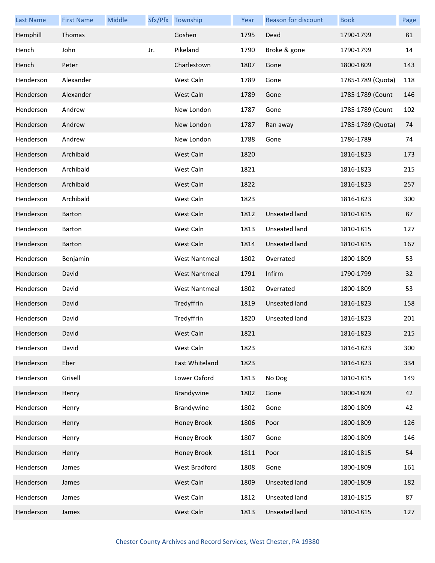| <b>Last Name</b> | <b>First Name</b> | Middle |     | Sfx/Pfx Township     | Year | Reason for discount | <b>Book</b>       | Page |
|------------------|-------------------|--------|-----|----------------------|------|---------------------|-------------------|------|
| Hemphill         | Thomas            |        |     | Goshen               | 1795 | Dead                | 1790-1799         | 81   |
| Hench            | John              |        | Jr. | Pikeland             | 1790 | Broke & gone        | 1790-1799         | 14   |
| Hench            | Peter             |        |     | Charlestown          | 1807 | Gone                | 1800-1809         | 143  |
| Henderson        | Alexander         |        |     | West Caln            | 1789 | Gone                | 1785-1789 (Quota) | 118  |
| Henderson        | Alexander         |        |     | West Caln            | 1789 | Gone                | 1785-1789 (Count  | 146  |
| Henderson        | Andrew            |        |     | New London           | 1787 | Gone                | 1785-1789 (Count  | 102  |
| Henderson        | Andrew            |        |     | New London           | 1787 | Ran away            | 1785-1789 (Quota) | 74   |
| Henderson        | Andrew            |        |     | New London           | 1788 | Gone                | 1786-1789         | 74   |
| Henderson        | Archibald         |        |     | West Caln            | 1820 |                     | 1816-1823         | 173  |
| Henderson        | Archibald         |        |     | West Caln            | 1821 |                     | 1816-1823         | 215  |
| Henderson        | Archibald         |        |     | West Caln            | 1822 |                     | 1816-1823         | 257  |
| Henderson        | Archibald         |        |     | West Caln            | 1823 |                     | 1816-1823         | 300  |
| Henderson        | <b>Barton</b>     |        |     | West Caln            | 1812 | Unseated land       | 1810-1815         | 87   |
| Henderson        | Barton            |        |     | West Caln            | 1813 | Unseated land       | 1810-1815         | 127  |
| Henderson        | <b>Barton</b>     |        |     | West Caln            | 1814 | Unseated land       | 1810-1815         | 167  |
| Henderson        | Benjamin          |        |     | <b>West Nantmeal</b> | 1802 | Overrated           | 1800-1809         | 53   |
| Henderson        | David             |        |     | <b>West Nantmeal</b> | 1791 | Infirm              | 1790-1799         | 32   |
| Henderson        | David             |        |     | <b>West Nantmeal</b> | 1802 | Overrated           | 1800-1809         | 53   |
| Henderson        | David             |        |     | Tredyffrin           | 1819 | Unseated land       | 1816-1823         | 158  |
| Henderson        | David             |        |     | Tredyffrin           | 1820 | Unseated land       | 1816-1823         | 201  |
| Henderson        | David             |        |     | West Caln            | 1821 |                     | 1816-1823         | 215  |
| Henderson        | David             |        |     | West Caln            | 1823 |                     | 1816-1823         | 300  |
| Henderson        | Eber              |        |     | East Whiteland       | 1823 |                     | 1816-1823         | 334  |
| Henderson        | Grisell           |        |     | Lower Oxford         | 1813 | No Dog              | 1810-1815         | 149  |
| Henderson        | Henry             |        |     | Brandywine           | 1802 | Gone                | 1800-1809         | 42   |
| Henderson        | Henry             |        |     | Brandywine           | 1802 | Gone                | 1800-1809         | 42   |
| Henderson        | Henry             |        |     | Honey Brook          | 1806 | Poor                | 1800-1809         | 126  |
| Henderson        | Henry             |        |     | Honey Brook          | 1807 | Gone                | 1800-1809         | 146  |
| Henderson        | Henry             |        |     | Honey Brook          | 1811 | Poor                | 1810-1815         | 54   |
| Henderson        | James             |        |     | West Bradford        | 1808 | Gone                | 1800-1809         | 161  |
| Henderson        | James             |        |     | West Caln            | 1809 | Unseated land       | 1800-1809         | 182  |
| Henderson        | James             |        |     | West Caln            | 1812 | Unseated land       | 1810-1815         | 87   |
| Henderson        | James             |        |     | West Caln            | 1813 | Unseated land       | 1810-1815         | 127  |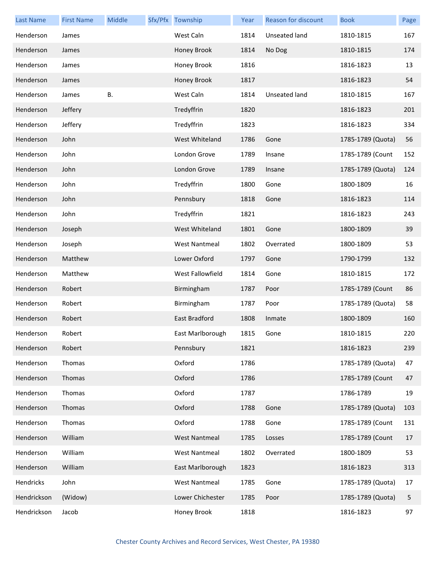| <b>Last Name</b> | <b>First Name</b> | Middle    | Sfx/Pfx Township     | Year | Reason for discount | <b>Book</b>       | Page |
|------------------|-------------------|-----------|----------------------|------|---------------------|-------------------|------|
| Henderson        | James             |           | West Caln            | 1814 | Unseated land       | 1810-1815         | 167  |
| Henderson        | James             |           | Honey Brook          | 1814 | No Dog              | 1810-1815         | 174  |
| Henderson        | James             |           | Honey Brook          | 1816 |                     | 1816-1823         | 13   |
| Henderson        | James             |           | Honey Brook          | 1817 |                     | 1816-1823         | 54   |
| Henderson        | James             | <b>B.</b> | West Caln            | 1814 | Unseated land       | 1810-1815         | 167  |
| Henderson        | Jeffery           |           | Tredyffrin           | 1820 |                     | 1816-1823         | 201  |
| Henderson        | Jeffery           |           | Tredyffrin           | 1823 |                     | 1816-1823         | 334  |
| Henderson        | John              |           | West Whiteland       | 1786 | Gone                | 1785-1789 (Quota) | 56   |
| Henderson        | John              |           | London Grove         | 1789 | Insane              | 1785-1789 (Count  | 152  |
| Henderson        | John              |           | London Grove         | 1789 | Insane              | 1785-1789 (Quota) | 124  |
| Henderson        | John              |           | Tredyffrin           | 1800 | Gone                | 1800-1809         | 16   |
| Henderson        | John              |           | Pennsbury            | 1818 | Gone                | 1816-1823         | 114  |
| Henderson        | John              |           | Tredyffrin           | 1821 |                     | 1816-1823         | 243  |
| Henderson        | Joseph            |           | West Whiteland       | 1801 | Gone                | 1800-1809         | 39   |
| Henderson        | Joseph            |           | <b>West Nantmeal</b> | 1802 | Overrated           | 1800-1809         | 53   |
| Henderson        | Matthew           |           | Lower Oxford         | 1797 | Gone                | 1790-1799         | 132  |
| Henderson        | Matthew           |           | West Fallowfield     | 1814 | Gone                | 1810-1815         | 172  |
| Henderson        | Robert            |           | Birmingham           | 1787 | Poor                | 1785-1789 (Count  | 86   |
| Henderson        | Robert            |           | Birmingham           | 1787 | Poor                | 1785-1789 (Quota) | 58   |
| Henderson        | Robert            |           | East Bradford        | 1808 | Inmate              | 1800-1809         | 160  |
| Henderson        | Robert            |           | East Marlborough     | 1815 | Gone                | 1810-1815         | 220  |
| Henderson        | Robert            |           | Pennsbury            | 1821 |                     | 1816-1823         | 239  |
| Henderson        | Thomas            |           | Oxford               | 1786 |                     | 1785-1789 (Quota) | 47   |
| Henderson        | Thomas            |           | Oxford               | 1786 |                     | 1785-1789 (Count  | 47   |
| Henderson        | Thomas            |           | Oxford               | 1787 |                     | 1786-1789         | 19   |
| Henderson        | Thomas            |           | Oxford               | 1788 | Gone                | 1785-1789 (Quota) | 103  |
| Henderson        | Thomas            |           | Oxford               | 1788 | Gone                | 1785-1789 (Count  | 131  |
| Henderson        | William           |           | <b>West Nantmeal</b> | 1785 | Losses              | 1785-1789 (Count  | 17   |
| Henderson        | William           |           | <b>West Nantmeal</b> | 1802 | Overrated           | 1800-1809         | 53   |
| Henderson        | William           |           | East Marlborough     | 1823 |                     | 1816-1823         | 313  |
| Hendricks        | John              |           | <b>West Nantmeal</b> | 1785 | Gone                | 1785-1789 (Quota) | 17   |
| Hendrickson      | (Widow)           |           | Lower Chichester     | 1785 | Poor                | 1785-1789 (Quota) | 5    |
| Hendrickson      | Jacob             |           | Honey Brook          | 1818 |                     | 1816-1823         | 97   |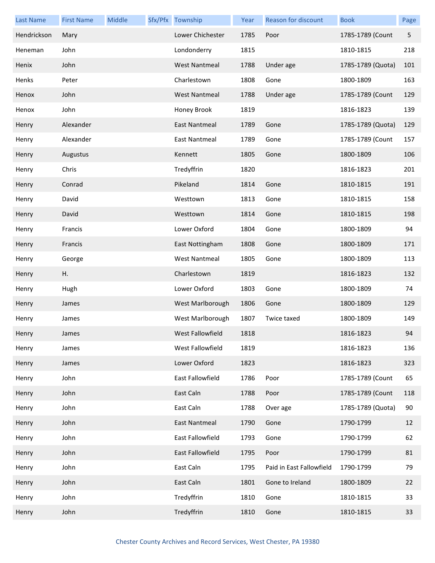| <b>Last Name</b> | <b>First Name</b> | Middle | Sfx/Pfx Township     | Year | Reason for discount      | <b>Book</b>       | Page |
|------------------|-------------------|--------|----------------------|------|--------------------------|-------------------|------|
| Hendrickson      | Mary              |        | Lower Chichester     | 1785 | Poor                     | 1785-1789 (Count  | 5    |
| Heneman          | John              |        | Londonderry          | 1815 |                          | 1810-1815         | 218  |
| Henix            | John              |        | <b>West Nantmeal</b> | 1788 | Under age                | 1785-1789 (Quota) | 101  |
| Henks            | Peter             |        | Charlestown          | 1808 | Gone                     | 1800-1809         | 163  |
| Henox            | John              |        | <b>West Nantmeal</b> | 1788 | Under age                | 1785-1789 (Count  | 129  |
| Henox            | John              |        | Honey Brook          | 1819 |                          | 1816-1823         | 139  |
| Henry            | Alexander         |        | East Nantmeal        | 1789 | Gone                     | 1785-1789 (Quota) | 129  |
| Henry            | Alexander         |        | East Nantmeal        | 1789 | Gone                     | 1785-1789 (Count  | 157  |
| Henry            | Augustus          |        | Kennett              | 1805 | Gone                     | 1800-1809         | 106  |
| Henry            | Chris             |        | Tredyffrin           | 1820 |                          | 1816-1823         | 201  |
| Henry            | Conrad            |        | Pikeland             | 1814 | Gone                     | 1810-1815         | 191  |
| Henry            | David             |        | Westtown             | 1813 | Gone                     | 1810-1815         | 158  |
| Henry            | David             |        | Westtown             | 1814 | Gone                     | 1810-1815         | 198  |
| Henry            | Francis           |        | Lower Oxford         | 1804 | Gone                     | 1800-1809         | 94   |
| Henry            | Francis           |        | East Nottingham      | 1808 | Gone                     | 1800-1809         | 171  |
| Henry            | George            |        | <b>West Nantmeal</b> | 1805 | Gone                     | 1800-1809         | 113  |
| Henry            | Η.                |        | Charlestown          | 1819 |                          | 1816-1823         | 132  |
| Henry            | Hugh              |        | Lower Oxford         | 1803 | Gone                     | 1800-1809         | 74   |
| Henry            | James             |        | West Marlborough     | 1806 | Gone                     | 1800-1809         | 129  |
| Henry            | James             |        | West Marlborough     | 1807 | Twice taxed              | 1800-1809         | 149  |
| Henry            | James             |        | West Fallowfield     | 1818 |                          | 1816-1823         | 94   |
| Henry            | James             |        | West Fallowfield     | 1819 |                          | 1816-1823         | 136  |
| Henry            | James             |        | Lower Oxford         | 1823 |                          | 1816-1823         | 323  |
| Henry            | John              |        | East Fallowfield     | 1786 | Poor                     | 1785-1789 (Count  | 65   |
| Henry            | John              |        | East Caln            | 1788 | Poor                     | 1785-1789 (Count  | 118  |
| Henry            | John              |        | East Caln            | 1788 | Over age                 | 1785-1789 (Quota) | 90   |
| Henry            | John              |        | East Nantmeal        | 1790 | Gone                     | 1790-1799         | 12   |
| Henry            | John              |        | East Fallowfield     | 1793 | Gone                     | 1790-1799         | 62   |
| Henry            | John              |        | East Fallowfield     | 1795 | Poor                     | 1790-1799         | 81   |
| Henry            | John              |        | East Caln            | 1795 | Paid in East Fallowfield | 1790-1799         | 79   |
| Henry            | John              |        | East Caln            | 1801 | Gone to Ireland          | 1800-1809         | 22   |
| Henry            | John              |        | Tredyffrin           | 1810 | Gone                     | 1810-1815         | 33   |
| Henry            | John              |        | Tredyffrin           | 1810 | Gone                     | 1810-1815         | 33   |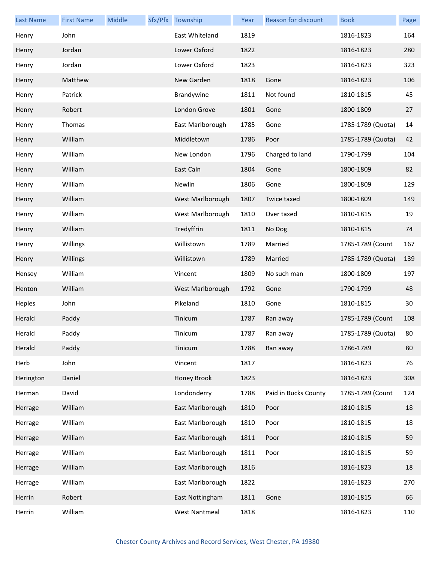| <b>Last Name</b> | <b>First Name</b> | Middle | Sfx/Pfx Township     | Year | Reason for discount  | <b>Book</b>       | Page |
|------------------|-------------------|--------|----------------------|------|----------------------|-------------------|------|
| Henry            | John              |        | East Whiteland       | 1819 |                      | 1816-1823         | 164  |
| Henry            | Jordan            |        | Lower Oxford         | 1822 |                      | 1816-1823         | 280  |
| Henry            | Jordan            |        | Lower Oxford         | 1823 |                      | 1816-1823         | 323  |
| Henry            | Matthew           |        | New Garden           | 1818 | Gone                 | 1816-1823         | 106  |
| Henry            | Patrick           |        | Brandywine           | 1811 | Not found            | 1810-1815         | 45   |
| Henry            | Robert            |        | London Grove         | 1801 | Gone                 | 1800-1809         | 27   |
| Henry            | Thomas            |        | East Marlborough     | 1785 | Gone                 | 1785-1789 (Quota) | 14   |
| Henry            | William           |        | Middletown           | 1786 | Poor                 | 1785-1789 (Quota) | 42   |
| Henry            | William           |        | New London           | 1796 | Charged to land      | 1790-1799         | 104  |
| Henry            | William           |        | East Caln            | 1804 | Gone                 | 1800-1809         | 82   |
| Henry            | William           |        | Newlin               | 1806 | Gone                 | 1800-1809         | 129  |
| Henry            | William           |        | West Marlborough     | 1807 | Twice taxed          | 1800-1809         | 149  |
| Henry            | William           |        | West Marlborough     | 1810 | Over taxed           | 1810-1815         | 19   |
| Henry            | William           |        | Tredyffrin           | 1811 | No Dog               | 1810-1815         | 74   |
| Henry            | Willings          |        | Willistown           | 1789 | Married              | 1785-1789 (Count  | 167  |
| Henry            | Willings          |        | Willistown           | 1789 | Married              | 1785-1789 (Quota) | 139  |
| Hensey           | William           |        | Vincent              | 1809 | No such man          | 1800-1809         | 197  |
| Henton           | William           |        | West Marlborough     | 1792 | Gone                 | 1790-1799         | 48   |
| Heples           | John              |        | Pikeland             | 1810 | Gone                 | 1810-1815         | 30   |
| Herald           | Paddy             |        | Tinicum              | 1787 | Ran away             | 1785-1789 (Count  | 108  |
| Herald           | Paddy             |        | Tinicum              | 1787 | Ran away             | 1785-1789 (Quota) | 80   |
| Herald           | Paddy             |        | Tinicum              | 1788 | Ran away             | 1786-1789         | 80   |
| Herb             | John              |        | Vincent              | 1817 |                      | 1816-1823         | 76   |
| Herington        | Daniel            |        | Honey Brook          | 1823 |                      | 1816-1823         | 308  |
| Herman           | David             |        | Londonderry          | 1788 | Paid in Bucks County | 1785-1789 (Count  | 124  |
| Herrage          | William           |        | East Marlborough     | 1810 | Poor                 | 1810-1815         | 18   |
| Herrage          | William           |        | East Marlborough     | 1810 | Poor                 | 1810-1815         | 18   |
| Herrage          | William           |        | East Marlborough     | 1811 | Poor                 | 1810-1815         | 59   |
| Herrage          | William           |        | East Marlborough     | 1811 | Poor                 | 1810-1815         | 59   |
| Herrage          | William           |        | East Marlborough     | 1816 |                      | 1816-1823         | 18   |
| Herrage          | William           |        | East Marlborough     | 1822 |                      | 1816-1823         | 270  |
| Herrin           | Robert            |        | East Nottingham      | 1811 | Gone                 | 1810-1815         | 66   |
| Herrin           | William           |        | <b>West Nantmeal</b> | 1818 |                      | 1816-1823         | 110  |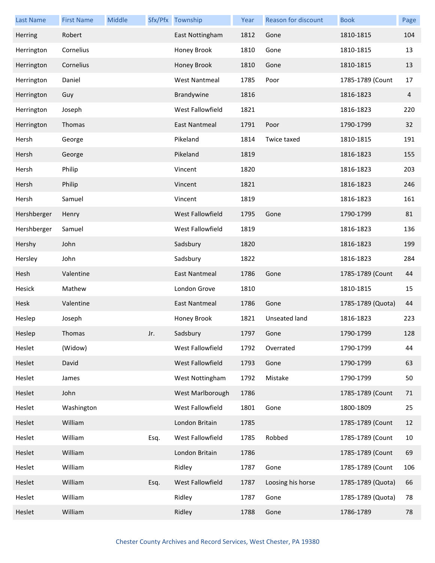| <b>Last Name</b> | <b>First Name</b> | Middle |      | Sfx/Pfx Township        | Year | Reason for discount | <b>Book</b>       | Page           |
|------------------|-------------------|--------|------|-------------------------|------|---------------------|-------------------|----------------|
| Herring          | Robert            |        |      | East Nottingham         | 1812 | Gone                | 1810-1815         | 104            |
| Herrington       | Cornelius         |        |      | Honey Brook             | 1810 | Gone                | 1810-1815         | 13             |
| Herrington       | Cornelius         |        |      | Honey Brook             | 1810 | Gone                | 1810-1815         | 13             |
| Herrington       | Daniel            |        |      | <b>West Nantmeal</b>    | 1785 | Poor                | 1785-1789 (Count  | 17             |
| Herrington       | Guy               |        |      | Brandywine              | 1816 |                     | 1816-1823         | $\overline{4}$ |
| Herrington       | Joseph            |        |      | West Fallowfield        | 1821 |                     | 1816-1823         | 220            |
| Herrington       | Thomas            |        |      | East Nantmeal           | 1791 | Poor                | 1790-1799         | 32             |
| Hersh            | George            |        |      | Pikeland                | 1814 | Twice taxed         | 1810-1815         | 191            |
| Hersh            | George            |        |      | Pikeland                | 1819 |                     | 1816-1823         | 155            |
| Hersh            | Philip            |        |      | Vincent                 | 1820 |                     | 1816-1823         | 203            |
| Hersh            | Philip            |        |      | Vincent                 | 1821 |                     | 1816-1823         | 246            |
| Hersh            | Samuel            |        |      | Vincent                 | 1819 |                     | 1816-1823         | 161            |
| Hershberger      | Henry             |        |      | <b>West Fallowfield</b> | 1795 | Gone                | 1790-1799         | 81             |
| Hershberger      | Samuel            |        |      | West Fallowfield        | 1819 |                     | 1816-1823         | 136            |
| Hershy           | John              |        |      | Sadsbury                | 1820 |                     | 1816-1823         | 199            |
| Hersley          | John              |        |      | Sadsbury                | 1822 |                     | 1816-1823         | 284            |
| Hesh             | Valentine         |        |      | East Nantmeal           | 1786 | Gone                | 1785-1789 (Count  | 44             |
| Hesick           | Mathew            |        |      | London Grove            | 1810 |                     | 1810-1815         | 15             |
| Hesk             | Valentine         |        |      | <b>East Nantmeal</b>    | 1786 | Gone                | 1785-1789 (Quota) | 44             |
| Heslep           | Joseph            |        |      | Honey Brook             | 1821 | Unseated land       | 1816-1823         | 223            |
| Heslep           | Thomas            |        | Jr.  | Sadsbury                | 1797 | Gone                | 1790-1799         | 128            |
| Heslet           | (Widow)           |        |      | West Fallowfield        | 1792 | Overrated           | 1790-1799         | 44             |
| Heslet           | David             |        |      | West Fallowfield        | 1793 | Gone                | 1790-1799         | 63             |
| Heslet           | James             |        |      | West Nottingham         | 1792 | Mistake             | 1790-1799         | 50             |
| Heslet           | John              |        |      | West Marlborough        | 1786 |                     | 1785-1789 (Count  | 71             |
| Heslet           | Washington        |        |      | West Fallowfield        | 1801 | Gone                | 1800-1809         | 25             |
| Heslet           | William           |        |      | London Britain          | 1785 |                     | 1785-1789 (Count  | 12             |
| Heslet           | William           |        | Esq. | West Fallowfield        | 1785 | Robbed              | 1785-1789 (Count  | 10             |
| Heslet           | William           |        |      | London Britain          | 1786 |                     | 1785-1789 (Count  | 69             |
| Heslet           | William           |        |      | Ridley                  | 1787 | Gone                | 1785-1789 (Count  | 106            |
| Heslet           | William           |        | Esq. | West Fallowfield        | 1787 | Loosing his horse   | 1785-1789 (Quota) | 66             |
| Heslet           | William           |        |      | Ridley                  | 1787 | Gone                | 1785-1789 (Quota) | 78             |
| Heslet           | William           |        |      | Ridley                  | 1788 | Gone                | 1786-1789         | 78             |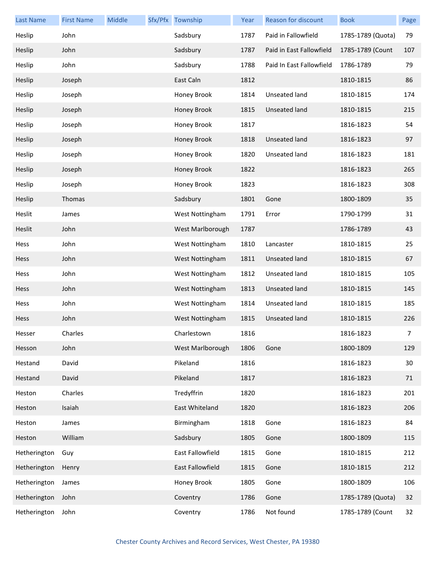| <b>Last Name</b> | <b>First Name</b> | Middle | Sfx/Pfx Township       | Year | <b>Reason for discount</b> | <b>Book</b>       | Page        |
|------------------|-------------------|--------|------------------------|------|----------------------------|-------------------|-------------|
| Heslip           | John              |        | Sadsbury               | 1787 | Paid in Fallowfield        | 1785-1789 (Quota) | 79          |
| Heslip           | John              |        | Sadsbury               | 1787 | Paid in East Fallowfield   | 1785-1789 (Count  | 107         |
| Heslip           | John              |        | Sadsbury               | 1788 | Paid In East Fallowfield   | 1786-1789         | 79          |
| Heslip           | Joseph            |        | East Caln              | 1812 |                            | 1810-1815         | 86          |
| Heslip           | Joseph            |        | Honey Brook            | 1814 | Unseated land              | 1810-1815         | 174         |
| Heslip           | Joseph            |        | Honey Brook            | 1815 | Unseated land              | 1810-1815         | 215         |
| Heslip           | Joseph            |        | Honey Brook            | 1817 |                            | 1816-1823         | 54          |
| Heslip           | Joseph            |        | Honey Brook            | 1818 | <b>Unseated land</b>       | 1816-1823         | 97          |
| Heslip           | Joseph            |        | Honey Brook            | 1820 | Unseated land              | 1816-1823         | 181         |
| Heslip           | Joseph            |        | Honey Brook            | 1822 |                            | 1816-1823         | 265         |
| Heslip           | Joseph            |        | Honey Brook            | 1823 |                            | 1816-1823         | 308         |
| Heslip           | Thomas            |        | Sadsbury               | 1801 | Gone                       | 1800-1809         | 35          |
| Heslit           | James             |        | West Nottingham        | 1791 | Error                      | 1790-1799         | 31          |
| Heslit           | John              |        | West Marlborough       | 1787 |                            | 1786-1789         | 43          |
| Hess             | John              |        | West Nottingham        | 1810 | Lancaster                  | 1810-1815         | 25          |
| <b>Hess</b>      | John              |        | <b>West Nottingham</b> | 1811 | <b>Unseated land</b>       | 1810-1815         | 67          |
| Hess             | John              |        | West Nottingham        | 1812 | Unseated land              | 1810-1815         | 105         |
| Hess             | John              |        | West Nottingham        | 1813 | Unseated land              | 1810-1815         | 145         |
| Hess             | John              |        | West Nottingham        | 1814 | Unseated land              | 1810-1815         | 185         |
| Hess             | John              |        | West Nottingham        | 1815 | <b>Unseated land</b>       | 1810-1815         | 226         |
| Hesser           | Charles           |        | Charlestown            | 1816 |                            | 1816-1823         | $7^{\circ}$ |
| Hesson           | John              |        | West Marlborough       | 1806 | Gone                       | 1800-1809         | 129         |
| Hestand          | David             |        | Pikeland               | 1816 |                            | 1816-1823         | 30          |
| Hestand          | David             |        | Pikeland               | 1817 |                            | 1816-1823         | 71          |
| Heston           | Charles           |        | Tredyffrin             | 1820 |                            | 1816-1823         | 201         |
| Heston           | Isaiah            |        | East Whiteland         | 1820 |                            | 1816-1823         | 206         |
| Heston           | James             |        | Birmingham             | 1818 | Gone                       | 1816-1823         | 84          |
| Heston           | William           |        | Sadsbury               | 1805 | Gone                       | 1800-1809         | 115         |
| Hetherington     | Guy               |        | East Fallowfield       | 1815 | Gone                       | 1810-1815         | 212         |
| Hetherington     | Henry             |        | East Fallowfield       | 1815 | Gone                       | 1810-1815         | 212         |
| Hetherington     | James             |        | Honey Brook            | 1805 | Gone                       | 1800-1809         | 106         |
| Hetherington     | John              |        | Coventry               | 1786 | Gone                       | 1785-1789 (Quota) | 32          |
| Hetherington     | John              |        | Coventry               | 1786 | Not found                  | 1785-1789 (Count  | 32          |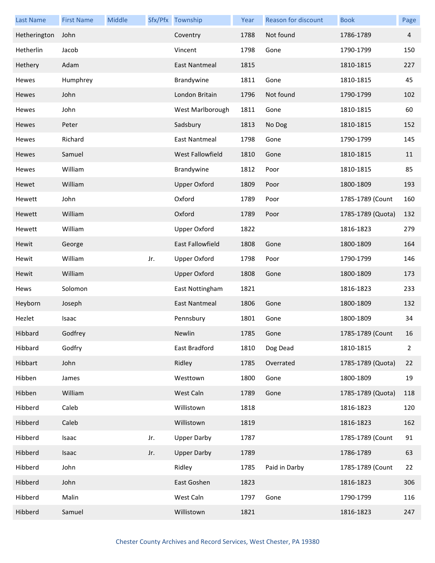| <b>Last Name</b> | <b>First Name</b> | Middle |     | Sfx/Pfx Township     | Year | Reason for discount | <b>Book</b>       | Page           |
|------------------|-------------------|--------|-----|----------------------|------|---------------------|-------------------|----------------|
| Hetherington     | John              |        |     | Coventry             | 1788 | Not found           | 1786-1789         | $\overline{4}$ |
| Hetherlin        | Jacob             |        |     | Vincent              | 1798 | Gone                | 1790-1799         | 150            |
| Hethery          | Adam              |        |     | <b>East Nantmeal</b> | 1815 |                     | 1810-1815         | 227            |
| Hewes            | Humphrey          |        |     | Brandywine           | 1811 | Gone                | 1810-1815         | 45             |
| Hewes            | John              |        |     | London Britain       | 1796 | Not found           | 1790-1799         | 102            |
| Hewes            | John              |        |     | West Marlborough     | 1811 | Gone                | 1810-1815         | 60             |
| Hewes            | Peter             |        |     | Sadsbury             | 1813 | No Dog              | 1810-1815         | 152            |
| Hewes            | Richard           |        |     | East Nantmeal        | 1798 | Gone                | 1790-1799         | 145            |
| Hewes            | Samuel            |        |     | West Fallowfield     | 1810 | Gone                | 1810-1815         | 11             |
| Hewes            | William           |        |     | Brandywine           | 1812 | Poor                | 1810-1815         | 85             |
| Hewet            | William           |        |     | <b>Upper Oxford</b>  | 1809 | Poor                | 1800-1809         | 193            |
| Hewett           | John              |        |     | Oxford               | 1789 | Poor                | 1785-1789 (Count  | 160            |
| Hewett           | William           |        |     | Oxford               | 1789 | Poor                | 1785-1789 (Quota) | 132            |
| Hewett           | William           |        |     | <b>Upper Oxford</b>  | 1822 |                     | 1816-1823         | 279            |
| Hewit            | George            |        |     | East Fallowfield     | 1808 | Gone                | 1800-1809         | 164            |
| Hewit            | William           |        | Jr. | <b>Upper Oxford</b>  | 1798 | Poor                | 1790-1799         | 146            |
| Hewit            | William           |        |     | <b>Upper Oxford</b>  | 1808 | Gone                | 1800-1809         | 173            |
| Hews             | Solomon           |        |     | East Nottingham      | 1821 |                     | 1816-1823         | 233            |
| Heyborn          | Joseph            |        |     | East Nantmeal        | 1806 | Gone                | 1800-1809         | 132            |
| Hezlet           | Isaac             |        |     | Pennsbury            | 1801 | Gone                | 1800-1809         | 34             |
| Hibbard          | Godfrey           |        |     | Newlin               | 1785 | Gone                | 1785-1789 (Count  | 16             |
| Hibbard          | Godfry            |        |     | East Bradford        | 1810 | Dog Dead            | 1810-1815         | 2              |
| Hibbart          | John              |        |     | Ridley               | 1785 | Overrated           | 1785-1789 (Quota) | 22             |
| Hibben           | James             |        |     | Westtown             | 1800 | Gone                | 1800-1809         | 19             |
| Hibben           | William           |        |     | West Caln            | 1789 | Gone                | 1785-1789 (Quota) | 118            |
| Hibberd          | Caleb             |        |     | Willistown           | 1818 |                     | 1816-1823         | 120            |
| Hibberd          | Caleb             |        |     | Willistown           | 1819 |                     | 1816-1823         | 162            |
| Hibberd          | Isaac             |        | Jr. | <b>Upper Darby</b>   | 1787 |                     | 1785-1789 (Count  | 91             |
| Hibberd          | Isaac             |        | Jr. | <b>Upper Darby</b>   | 1789 |                     | 1786-1789         | 63             |
| Hibberd          | John              |        |     | Ridley               | 1785 | Paid in Darby       | 1785-1789 (Count  | 22             |
| Hibberd          | John              |        |     | East Goshen          | 1823 |                     | 1816-1823         | 306            |
| Hibberd          | Malin             |        |     | West Caln            | 1797 | Gone                | 1790-1799         | 116            |
| Hibberd          | Samuel            |        |     | Willistown           | 1821 |                     | 1816-1823         | 247            |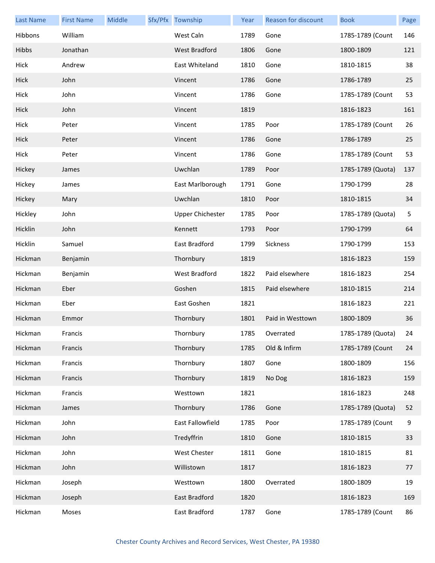| <b>Last Name</b> | <b>First Name</b> | Middle | Sfx/Pfx Township        | Year | Reason for discount | <b>Book</b>       | Page        |
|------------------|-------------------|--------|-------------------------|------|---------------------|-------------------|-------------|
| Hibbons          | William           |        | West Caln               | 1789 | Gone                | 1785-1789 (Count  | 146         |
| Hibbs            | Jonathan          |        | <b>West Bradford</b>    | 1806 | Gone                | 1800-1809         | 121         |
| Hick             | Andrew            |        | East Whiteland          | 1810 | Gone                | 1810-1815         | 38          |
| Hick             | John              |        | Vincent                 | 1786 | Gone                | 1786-1789         | 25          |
| Hick             | John              |        | Vincent                 | 1786 | Gone                | 1785-1789 (Count  | 53          |
| Hick             | John              |        | Vincent                 | 1819 |                     | 1816-1823         | 161         |
| Hick             | Peter             |        | Vincent                 | 1785 | Poor                | 1785-1789 (Count  | 26          |
| Hick             | Peter             |        | Vincent                 | 1786 | Gone                | 1786-1789         | 25          |
| Hick             | Peter             |        | Vincent                 | 1786 | Gone                | 1785-1789 (Count  | 53          |
| Hickey           | James             |        | Uwchlan                 | 1789 | Poor                | 1785-1789 (Quota) | 137         |
| Hickey           | James             |        | East Marlborough        | 1791 | Gone                | 1790-1799         | 28          |
| Hickey           | Mary              |        | Uwchlan                 | 1810 | Poor                | 1810-1815         | 34          |
| Hickley          | John              |        | <b>Upper Chichester</b> | 1785 | Poor                | 1785-1789 (Quota) | $\mathsf S$ |
| Hicklin          | John              |        | Kennett                 | 1793 | Poor                | 1790-1799         | 64          |
| Hicklin          | Samuel            |        | East Bradford           | 1799 | Sickness            | 1790-1799         | 153         |
| Hickman          | Benjamin          |        | Thornbury               | 1819 |                     | 1816-1823         | 159         |
| Hickman          | Benjamin          |        | West Bradford           | 1822 | Paid elsewhere      | 1816-1823         | 254         |
| Hickman          | Eber              |        | Goshen                  | 1815 | Paid elsewhere      | 1810-1815         | 214         |
| Hickman          | Eber              |        | East Goshen             | 1821 |                     | 1816-1823         | 221         |
| Hickman          | Emmor             |        | Thornbury               | 1801 | Paid in Westtown    | 1800-1809         | 36          |
| Hickman          | Francis           |        | Thornbury               | 1785 | Overrated           | 1785-1789 (Quota) | 24          |
| Hickman          | Francis           |        | Thornbury               | 1785 | Old & Infirm        | 1785-1789 (Count  | 24          |
| Hickman          | Francis           |        | Thornbury               | 1807 | Gone                | 1800-1809         | 156         |
| Hickman          | Francis           |        | Thornbury               | 1819 | No Dog              | 1816-1823         | 159         |
| Hickman          | Francis           |        | Westtown                | 1821 |                     | 1816-1823         | 248         |
| Hickman          | James             |        | Thornbury               | 1786 | Gone                | 1785-1789 (Quota) | 52          |
| Hickman          | John              |        | East Fallowfield        | 1785 | Poor                | 1785-1789 (Count  | 9           |
| Hickman          | John              |        | Tredyffrin              | 1810 | Gone                | 1810-1815         | 33          |
| Hickman          | John              |        | West Chester            | 1811 | Gone                | 1810-1815         | 81          |
| Hickman          | John              |        | Willistown              | 1817 |                     | 1816-1823         | 77          |
| Hickman          | Joseph            |        | Westtown                | 1800 | Overrated           | 1800-1809         | 19          |
| Hickman          | Joseph            |        | East Bradford           | 1820 |                     | 1816-1823         | 169         |
| Hickman          | Moses             |        | East Bradford           | 1787 | Gone                | 1785-1789 (Count  | 86          |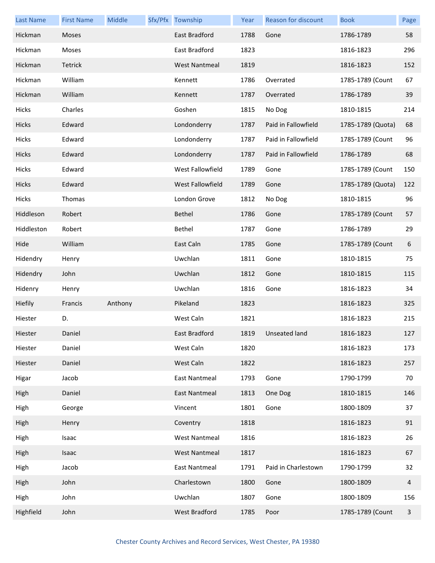| <b>Last Name</b> | <b>First Name</b> | Middle  | Sfx/Pfx Township     | Year | Reason for discount | <b>Book</b>       | Page |
|------------------|-------------------|---------|----------------------|------|---------------------|-------------------|------|
| Hickman          | Moses             |         | East Bradford        | 1788 | Gone                | 1786-1789         | 58   |
| Hickman          | Moses             |         | East Bradford        | 1823 |                     | 1816-1823         | 296  |
| Hickman          | Tetrick           |         | <b>West Nantmeal</b> | 1819 |                     | 1816-1823         | 152  |
| Hickman          | William           |         | Kennett              | 1786 | Overrated           | 1785-1789 (Count  | 67   |
| Hickman          | William           |         | Kennett              | 1787 | Overrated           | 1786-1789         | 39   |
| Hicks            | Charles           |         | Goshen               | 1815 | No Dog              | 1810-1815         | 214  |
| Hicks            | Edward            |         | Londonderry          | 1787 | Paid in Fallowfield | 1785-1789 (Quota) | 68   |
| Hicks            | Edward            |         | Londonderry          | 1787 | Paid in Fallowfield | 1785-1789 (Count  | 96   |
| <b>Hicks</b>     | Edward            |         | Londonderry          | 1787 | Paid in Fallowfield | 1786-1789         | 68   |
| Hicks            | Edward            |         | West Fallowfield     | 1789 | Gone                | 1785-1789 (Count  | 150  |
| Hicks            | Edward            |         | West Fallowfield     | 1789 | Gone                | 1785-1789 (Quota) | 122  |
| Hicks            | Thomas            |         | London Grove         | 1812 | No Dog              | 1810-1815         | 96   |
| Hiddleson        | Robert            |         | Bethel               | 1786 | Gone                | 1785-1789 (Count  | 57   |
| Hiddleston       | Robert            |         | Bethel               | 1787 | Gone                | 1786-1789         | 29   |
| Hide             | William           |         | East Caln            | 1785 | Gone                | 1785-1789 (Count  | 6    |
| Hidendry         | Henry             |         | Uwchlan              | 1811 | Gone                | 1810-1815         | 75   |
| Hidendry         | John              |         | Uwchlan              | 1812 | Gone                | 1810-1815         | 115  |
| Hidenry          | Henry             |         | Uwchlan              | 1816 | Gone                | 1816-1823         | 34   |
| Hiefily          | Francis           | Anthony | Pikeland             | 1823 |                     | 1816-1823         | 325  |
| Hiester          | D.                |         | West Caln            | 1821 |                     | 1816-1823         | 215  |
| Hiester          | Daniel            |         | East Bradford        |      | 1819 Unseated land  | 1816-1823         | 127  |
| Hiester          | Daniel            |         | West Caln            | 1820 |                     | 1816-1823         | 173  |
| Hiester          | Daniel            |         | West Caln            | 1822 |                     | 1816-1823         | 257  |
| Higar            | Jacob             |         | East Nantmeal        | 1793 | Gone                | 1790-1799         | 70   |
| High             | Daniel            |         | East Nantmeal        | 1813 | One Dog             | 1810-1815         | 146  |
| High             | George            |         | Vincent              | 1801 | Gone                | 1800-1809         | 37   |
| High             | Henry             |         | Coventry             | 1818 |                     | 1816-1823         | 91   |
| High             | Isaac             |         | <b>West Nantmeal</b> | 1816 |                     | 1816-1823         | 26   |
| High             | Isaac             |         | <b>West Nantmeal</b> | 1817 |                     | 1816-1823         | 67   |
| High             | Jacob             |         | East Nantmeal        | 1791 | Paid in Charlestown | 1790-1799         | 32   |
| High             | John              |         | Charlestown          | 1800 | Gone                | 1800-1809         | 4    |
| High             | John              |         | Uwchlan              | 1807 | Gone                | 1800-1809         | 156  |
| Highfield        | John              |         | West Bradford        | 1785 | Poor                | 1785-1789 (Count  | 3    |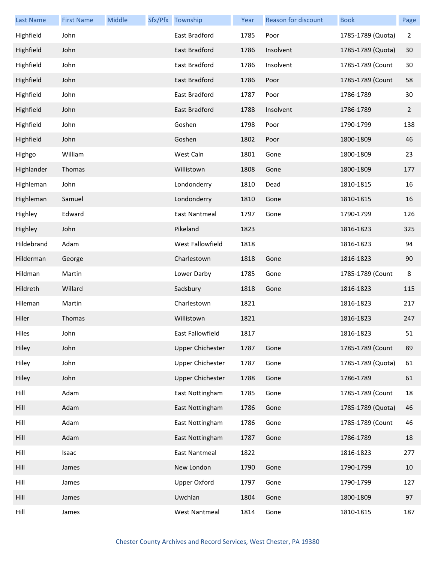| <b>Last Name</b> | <b>First Name</b> | Middle | Sfx/Pfx Township        | Year | Reason for discount | <b>Book</b>       | Page         |
|------------------|-------------------|--------|-------------------------|------|---------------------|-------------------|--------------|
| Highfield        | John              |        | East Bradford           | 1785 | Poor                | 1785-1789 (Quota) | 2            |
| Highfield        | John              |        | East Bradford           | 1786 | Insolvent           | 1785-1789 (Quota) | 30           |
| Highfield        | John              |        | East Bradford           | 1786 | Insolvent           | 1785-1789 (Count  | 30           |
| Highfield        | John              |        | East Bradford           | 1786 | Poor                | 1785-1789 (Count  | 58           |
| Highfield        | John              |        | East Bradford           | 1787 | Poor                | 1786-1789         | 30           |
| Highfield        | John              |        | East Bradford           | 1788 | Insolvent           | 1786-1789         | $\mathbf{2}$ |
| Highfield        | John              |        | Goshen                  | 1798 | Poor                | 1790-1799         | 138          |
| Highfield        | John              |        | Goshen                  | 1802 | Poor                | 1800-1809         | 46           |
| Highgo           | William           |        | West Caln               | 1801 | Gone                | 1800-1809         | 23           |
| Highlander       | Thomas            |        | Willistown              | 1808 | Gone                | 1800-1809         | 177          |
| Highleman        | John              |        | Londonderry             | 1810 | Dead                | 1810-1815         | 16           |
| Highleman        | Samuel            |        | Londonderry             | 1810 | Gone                | 1810-1815         | 16           |
| Highley          | Edward            |        | East Nantmeal           | 1797 | Gone                | 1790-1799         | 126          |
| Highley          | John              |        | Pikeland                | 1823 |                     | 1816-1823         | 325          |
| Hildebrand       | Adam              |        | West Fallowfield        | 1818 |                     | 1816-1823         | 94           |
| Hilderman        | George            |        | Charlestown             | 1818 | Gone                | 1816-1823         | 90           |
| Hildman          | Martin            |        | Lower Darby             | 1785 | Gone                | 1785-1789 (Count  | $\,8\,$      |
| Hildreth         | Willard           |        | Sadsbury                | 1818 | Gone                | 1816-1823         | 115          |
| Hileman          | Martin            |        | Charlestown             | 1821 |                     | 1816-1823         | 217          |
| Hiler            | Thomas            |        | Willistown              | 1821 |                     | 1816-1823         | 247          |
| Hiles            | John              |        | East Fallowfield        | 1817 |                     | 1816-1823         | 51           |
| Hiley            | John              |        | <b>Upper Chichester</b> | 1787 | Gone                | 1785-1789 (Count  | 89           |
| Hiley            | John              |        | <b>Upper Chichester</b> | 1787 | Gone                | 1785-1789 (Quota) | 61           |
| Hiley            | John              |        | <b>Upper Chichester</b> | 1788 | Gone                | 1786-1789         | 61           |
| Hill             | Adam              |        | East Nottingham         | 1785 | Gone                | 1785-1789 (Count  | 18           |
| Hill             | Adam              |        | East Nottingham         | 1786 | Gone                | 1785-1789 (Quota) | 46           |
| Hill             | Adam              |        | East Nottingham         | 1786 | Gone                | 1785-1789 (Count  | 46           |
| Hill             | Adam              |        | East Nottingham         | 1787 | Gone                | 1786-1789         | 18           |
| Hill             | Isaac             |        | <b>East Nantmeal</b>    | 1822 |                     | 1816-1823         | 277          |
| Hill             | James             |        | New London              | 1790 | Gone                | 1790-1799         | 10           |
| Hill             | James             |        | <b>Upper Oxford</b>     | 1797 | Gone                | 1790-1799         | 127          |
| Hill             | James             |        | Uwchlan                 | 1804 | Gone                | 1800-1809         | 97           |
| Hill             | James             |        | <b>West Nantmeal</b>    | 1814 | Gone                | 1810-1815         | 187          |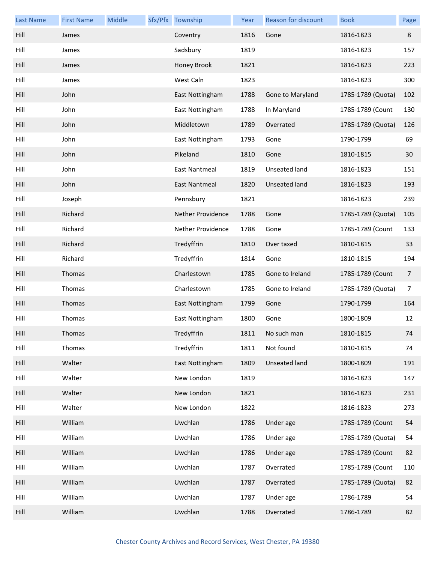| <b>Last Name</b> | <b>First Name</b> | Middle | Sfx/Pfx Township     | Year | Reason for discount  | <b>Book</b>       | Page           |
|------------------|-------------------|--------|----------------------|------|----------------------|-------------------|----------------|
| Hill             | James             |        | Coventry             | 1816 | Gone                 | 1816-1823         | 8              |
| Hill             | James             |        | Sadsbury             | 1819 |                      | 1816-1823         | 157            |
| Hill             | James             |        | Honey Brook          | 1821 |                      | 1816-1823         | 223            |
| Hill             | James             |        | West Caln            | 1823 |                      | 1816-1823         | 300            |
| Hill             | John              |        | East Nottingham      | 1788 | Gone to Maryland     | 1785-1789 (Quota) | 102            |
| Hill             | John              |        | East Nottingham      | 1788 | In Maryland          | 1785-1789 (Count  | 130            |
| Hill             | John              |        | Middletown           | 1789 | Overrated            | 1785-1789 (Quota) | 126            |
| Hill             | John              |        | East Nottingham      | 1793 | Gone                 | 1790-1799         | 69             |
| Hill             | John              |        | Pikeland             | 1810 | Gone                 | 1810-1815         | 30             |
| Hill             | John              |        | <b>East Nantmeal</b> | 1819 | Unseated land        | 1816-1823         | 151            |
| Hill             | John              |        | <b>East Nantmeal</b> | 1820 | Unseated land        | 1816-1823         | 193            |
| Hill             | Joseph            |        | Pennsbury            | 1821 |                      | 1816-1823         | 239            |
| Hill             | Richard           |        | Nether Providence    | 1788 | Gone                 | 1785-1789 (Quota) | 105            |
| Hill             | Richard           |        | Nether Providence    | 1788 | Gone                 | 1785-1789 (Count  | 133            |
| Hill             | Richard           |        | Tredyffrin           | 1810 | Over taxed           | 1810-1815         | 33             |
| Hill             | Richard           |        | Tredyffrin           | 1814 | Gone                 | 1810-1815         | 194            |
| Hill             | Thomas            |        | Charlestown          | 1785 | Gone to Ireland      | 1785-1789 (Count  | $\overline{7}$ |
| Hill             | Thomas            |        | Charlestown          | 1785 | Gone to Ireland      | 1785-1789 (Quota) | $\overline{7}$ |
| Hill             | Thomas            |        | East Nottingham      | 1799 | Gone                 | 1790-1799         | 164            |
| Hill             | Thomas            |        | East Nottingham      | 1800 | Gone                 | 1800-1809         | 12             |
| Hill             | Thomas            |        | Tredyffrin           | 1811 | No such man          | 1810-1815         | 74             |
| Hill             | Thomas            |        | Tredyffrin           | 1811 | Not found            | 1810-1815         | 74             |
| Hill             | Walter            |        | East Nottingham      | 1809 | <b>Unseated land</b> | 1800-1809         | 191            |
| Hill             | Walter            |        | New London           | 1819 |                      | 1816-1823         | 147            |
| Hill             | Walter            |        | New London           | 1821 |                      | 1816-1823         | 231            |
| Hill             | Walter            |        | New London           | 1822 |                      | 1816-1823         | 273            |
| Hill             | William           |        | Uwchlan              | 1786 | Under age            | 1785-1789 (Count  | 54             |
| Hill             | William           |        | Uwchlan              | 1786 | Under age            | 1785-1789 (Quota) | 54             |
| Hill             | William           |        | Uwchlan              | 1786 | Under age            | 1785-1789 (Count  | 82             |
| Hill             | William           |        | Uwchlan              | 1787 | Overrated            | 1785-1789 (Count  | 110            |
| Hill             | William           |        | Uwchlan              | 1787 | Overrated            | 1785-1789 (Quota) | 82             |
| Hill             | William           |        | Uwchlan              | 1787 | Under age            | 1786-1789         | 54             |
| Hill             | William           |        | Uwchlan              | 1788 | Overrated            | 1786-1789         | 82             |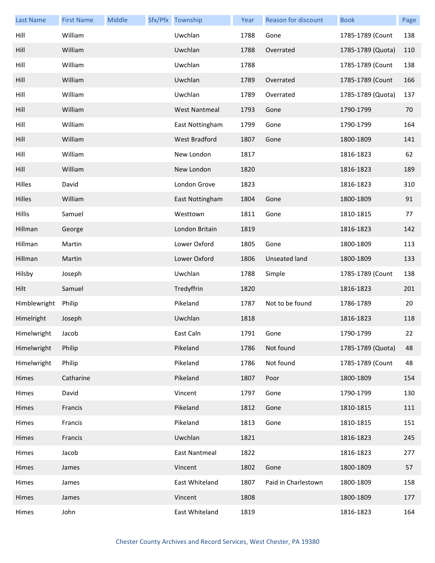| <b>Last Name</b> | <b>First Name</b> | Middle | Sfx/Pfx Township     | Year | Reason for discount  | <b>Book</b>       | Page |
|------------------|-------------------|--------|----------------------|------|----------------------|-------------------|------|
| Hill             | William           |        | Uwchlan              | 1788 | Gone                 | 1785-1789 (Count  | 138  |
| Hill             | William           |        | Uwchlan              | 1788 | Overrated            | 1785-1789 (Quota) | 110  |
| Hill             | William           |        | Uwchlan              | 1788 |                      | 1785-1789 (Count  | 138  |
| Hill             | William           |        | Uwchlan              | 1789 | Overrated            | 1785-1789 (Count  | 166  |
| Hill             | William           |        | Uwchlan              | 1789 | Overrated            | 1785-1789 (Quota) | 137  |
| Hill             | William           |        | <b>West Nantmeal</b> | 1793 | Gone                 | 1790-1799         | 70   |
| Hill             | William           |        | East Nottingham      | 1799 | Gone                 | 1790-1799         | 164  |
| Hill             | William           |        | <b>West Bradford</b> | 1807 | Gone                 | 1800-1809         | 141  |
| Hill             | William           |        | New London           | 1817 |                      | 1816-1823         | 62   |
| Hill             | William           |        | New London           | 1820 |                      | 1816-1823         | 189  |
| Hilles           | David             |        | London Grove         | 1823 |                      | 1816-1823         | 310  |
| Hilles           | William           |        | East Nottingham      | 1804 | Gone                 | 1800-1809         | 91   |
| <b>Hillis</b>    | Samuel            |        | Westtown             | 1811 | Gone                 | 1810-1815         | 77   |
| Hillman          | George            |        | London Britain       | 1819 |                      | 1816-1823         | 142  |
| Hillman          | Martin            |        | Lower Oxford         | 1805 | Gone                 | 1800-1809         | 113  |
| Hillman          | Martin            |        | Lower Oxford         | 1806 | <b>Unseated land</b> | 1800-1809         | 133  |
| Hilsby           | Joseph            |        | Uwchlan              | 1788 | Simple               | 1785-1789 (Count  | 138  |
| Hilt             | Samuel            |        | Tredyffrin           | 1820 |                      | 1816-1823         | 201  |
| Himblewright     | Philip            |        | Pikeland             | 1787 | Not to be found      | 1786-1789         | 20   |
| Himelright       | Joseph            |        | Uwchlan              | 1818 |                      | 1816-1823         | 118  |
| Himelwright      | Jacob             |        | East Caln            | 1791 | Gone                 | 1790-1799         | 22   |
| Himelwright      | Philip            |        | Pikeland             | 1786 | Not found            | 1785-1789 (Quota) | 48   |
| Himelwright      | Philip            |        | Pikeland             | 1786 | Not found            | 1785-1789 (Count  | 48   |
| Himes            | Catharine         |        | Pikeland             | 1807 | Poor                 | 1800-1809         | 154  |
| Himes            | David             |        | Vincent              | 1797 | Gone                 | 1790-1799         | 130  |
| Himes            | Francis           |        | Pikeland             | 1812 | Gone                 | 1810-1815         | 111  |
| Himes            | Francis           |        | Pikeland             | 1813 | Gone                 | 1810-1815         | 151  |
| Himes            | Francis           |        | Uwchlan              | 1821 |                      | 1816-1823         | 245  |
| Himes            | Jacob             |        | <b>East Nantmeal</b> | 1822 |                      | 1816-1823         | 277  |
| Himes            | James             |        | Vincent              | 1802 | Gone                 | 1800-1809         | 57   |
| Himes            | James             |        | East Whiteland       | 1807 | Paid in Charlestown  | 1800-1809         | 158  |
| Himes            | James             |        | Vincent              | 1808 |                      | 1800-1809         | 177  |
| Himes            | John              |        | East Whiteland       | 1819 |                      | 1816-1823         | 164  |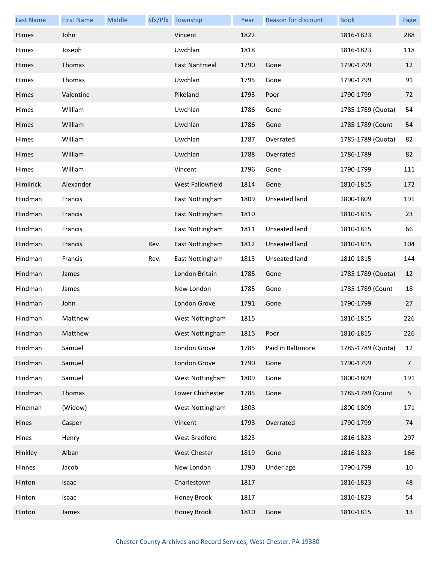| <b>Last Name</b> | <b>First Name</b> | Middle |      | Sfx/Pfx Township     | Year | Reason for discount | <b>Book</b>       | Page           |
|------------------|-------------------|--------|------|----------------------|------|---------------------|-------------------|----------------|
| Himes            | John              |        |      | Vincent              | 1822 |                     | 1816-1823         | 288            |
| Himes            | Joseph            |        |      | Uwchlan              | 1818 |                     | 1816-1823         | 118            |
| Himes            | Thomas            |        |      | <b>East Nantmeal</b> | 1790 | Gone                | 1790-1799         | 12             |
| Himes            | Thomas            |        |      | Uwchlan              | 1795 | Gone                | 1790-1799         | 91             |
| Himes            | Valentine         |        |      | Pikeland             | 1793 | Poor                | 1790-1799         | 72             |
| <b>Himes</b>     | William           |        |      | Uwchlan              | 1786 | Gone                | 1785-1789 (Quota) | 54             |
| Himes            | William           |        |      | Uwchlan              | 1786 | Gone                | 1785-1789 (Count  | 54             |
| Himes            | William           |        |      | Uwchlan              | 1787 | Overrated           | 1785-1789 (Quota) | 82             |
| Himes            | William           |        |      | Uwchlan              | 1788 | Overrated           | 1786-1789         | 82             |
| <b>Himes</b>     | William           |        |      | Vincent              | 1796 | Gone                | 1790-1799         | 111            |
| Himilrick        | Alexander         |        |      | West Fallowfield     | 1814 | Gone                | 1810-1815         | 172            |
| Hindman          | Francis           |        |      | East Nottingham      | 1809 | Unseated land       | 1800-1809         | 191            |
| Hindman          | Francis           |        |      | East Nottingham      | 1810 |                     | 1810-1815         | 23             |
| Hindman          | Francis           |        |      | East Nottingham      | 1811 | Unseated land       | 1810-1815         | 66             |
| Hindman          | Francis           |        | Rev. | East Nottingham      | 1812 | Unseated land       | 1810-1815         | 104            |
| Hindman          | Francis           |        | Rev. | East Nottingham      | 1813 | Unseated land       | 1810-1815         | 144            |
| Hindman          | James             |        |      | London Britain       | 1785 | Gone                | 1785-1789 (Quota) | 12             |
| Hindman          | James             |        |      | New London           | 1785 | Gone                | 1785-1789 (Count  | 18             |
| Hindman          | John              |        |      | London Grove         | 1791 | Gone                | 1790-1799         | 27             |
| Hindman          | Matthew           |        |      | West Nottingham      | 1815 |                     | 1810-1815         | 226            |
| Hindman          | Matthew           |        |      | West Nottingham      | 1815 | Poor                | 1810-1815         | 226            |
| Hindman          | Samuel            |        |      | London Grove         | 1785 | Paid in Baltimore   | 1785-1789 (Quota) | 12             |
| Hindman          | Samuel            |        |      | London Grove         | 1790 | Gone                | 1790-1799         | $\overline{7}$ |
| Hindman          | Samuel            |        |      | West Nottingham      | 1809 | Gone                | 1800-1809         | 191            |
| Hindman          | Thomas            |        |      | Lower Chichester     | 1785 | Gone                | 1785-1789 (Count  | 5              |
| Hineman          | (Widow)           |        |      | West Nottingham      | 1808 |                     | 1800-1809         | 171            |
| Hines            | Casper            |        |      | Vincent              | 1793 | Overrated           | 1790-1799         | 74             |
| Hines            | Henry             |        |      | West Bradford        | 1823 |                     | 1816-1823         | 297            |
| Hinkley          | Alban             |        |      | West Chester         | 1819 | Gone                | 1816-1823         | 166            |
| Hinnes           | Jacob             |        |      | New London           | 1790 | Under age           | 1790-1799         | 10             |
| Hinton           | Isaac             |        |      | Charlestown          | 1817 |                     | 1816-1823         | 48             |
| Hinton           | Isaac             |        |      | Honey Brook          | 1817 |                     | 1816-1823         | 54             |
| Hinton           | James             |        |      | Honey Brook          | 1810 | Gone                | 1810-1815         | 13             |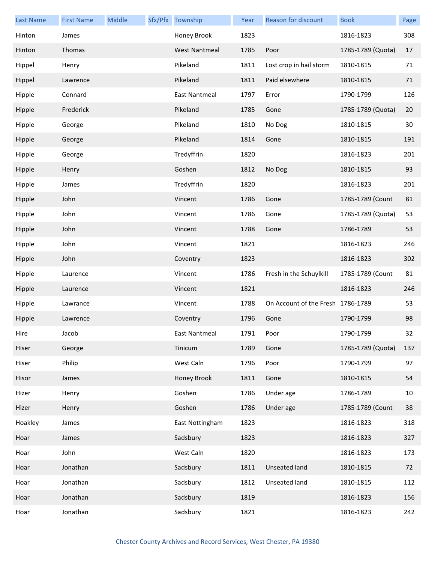| <b>Last Name</b> | <b>First Name</b> | Middle | Sfx/Pfx Township     | Year | Reason for discount               | <b>Book</b>       | Page |
|------------------|-------------------|--------|----------------------|------|-----------------------------------|-------------------|------|
| Hinton           | James             |        | Honey Brook          | 1823 |                                   | 1816-1823         | 308  |
| Hinton           | Thomas            |        | <b>West Nantmeal</b> | 1785 | Poor                              | 1785-1789 (Quota) | 17   |
| Hippel           | Henry             |        | Pikeland             | 1811 | Lost crop in hail storm           | 1810-1815         | 71   |
| Hippel           | Lawrence          |        | Pikeland             | 1811 | Paid elsewhere                    | 1810-1815         | 71   |
| Hipple           | Connard           |        | East Nantmeal        | 1797 | Error                             | 1790-1799         | 126  |
| Hipple           | Frederick         |        | Pikeland             | 1785 | Gone                              | 1785-1789 (Quota) | 20   |
| Hipple           | George            |        | Pikeland             | 1810 | No Dog                            | 1810-1815         | 30   |
| Hipple           | George            |        | Pikeland             | 1814 | Gone                              | 1810-1815         | 191  |
| Hipple           | George            |        | Tredyffrin           | 1820 |                                   | 1816-1823         | 201  |
| Hipple           | Henry             |        | Goshen               | 1812 | No Dog                            | 1810-1815         | 93   |
| Hipple           | James             |        | Tredyffrin           | 1820 |                                   | 1816-1823         | 201  |
| Hipple           | John              |        | Vincent              | 1786 | Gone                              | 1785-1789 (Count  | 81   |
| Hipple           | John              |        | Vincent              | 1786 | Gone                              | 1785-1789 (Quota) | 53   |
| Hipple           | John              |        | Vincent              | 1788 | Gone                              | 1786-1789         | 53   |
| Hipple           | John              |        | Vincent              | 1821 |                                   | 1816-1823         | 246  |
| Hipple           | John              |        | Coventry             | 1823 |                                   | 1816-1823         | 302  |
| Hipple           | Laurence          |        | Vincent              | 1786 | Fresh in the Schuylkill           | 1785-1789 (Count  | 81   |
| Hipple           | Laurence          |        | Vincent              | 1821 |                                   | 1816-1823         | 246  |
| Hipple           | Lawrance          |        | Vincent              | 1788 | On Account of the Fresh 1786-1789 |                   | 53   |
| Hipple           | Lawrence          |        | Coventry             | 1796 | Gone                              | 1790-1799         | 98   |
| Hire             | Jacob             |        | East Nantmeal        | 1791 | Poor                              | 1790-1799         | 32   |
| Hiser            | George            |        | Tinicum              | 1789 | Gone                              | 1785-1789 (Quota) | 137  |
| Hiser            | Philip            |        | West Caln            | 1796 | Poor                              | 1790-1799         | 97   |
| Hisor            | James             |        | Honey Brook          | 1811 | Gone                              | 1810-1815         | 54   |
| Hizer            | Henry             |        | Goshen               | 1786 | Under age                         | 1786-1789         | 10   |
| Hizer            | Henry             |        | Goshen               | 1786 | Under age                         | 1785-1789 (Count  | 38   |
| Hoakley          | James             |        | East Nottingham      | 1823 |                                   | 1816-1823         | 318  |
| Hoar             | James             |        | Sadsbury             | 1823 |                                   | 1816-1823         | 327  |
| Hoar             | John              |        | West Caln            | 1820 |                                   | 1816-1823         | 173  |
| Hoar             | Jonathan          |        | Sadsbury             | 1811 | Unseated land                     | 1810-1815         | 72   |
| Hoar             | Jonathan          |        | Sadsbury             | 1812 | Unseated land                     | 1810-1815         | 112  |
| Hoar             | Jonathan          |        | Sadsbury             | 1819 |                                   | 1816-1823         | 156  |
| Hoar             | Jonathan          |        | Sadsbury             | 1821 |                                   | 1816-1823         | 242  |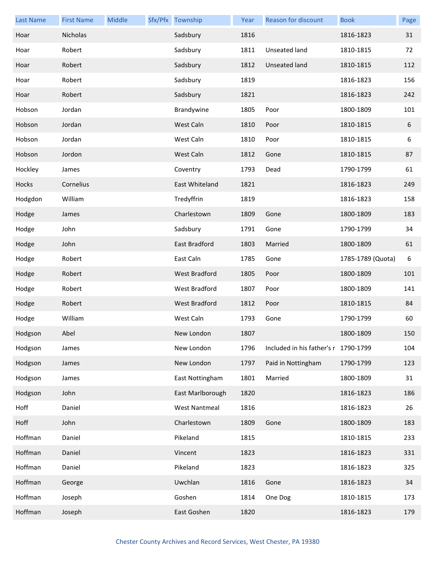| <b>Last Name</b> | <b>First Name</b> | Middle | Sfx/Pfx Township     | Year | Reason for discount                  | <b>Book</b>       | Page |
|------------------|-------------------|--------|----------------------|------|--------------------------------------|-------------------|------|
| Hoar             | Nicholas          |        | Sadsbury             | 1816 |                                      | 1816-1823         | 31   |
| Hoar             | Robert            |        | Sadsbury             | 1811 | Unseated land                        | 1810-1815         | 72   |
| Hoar             | Robert            |        | Sadsbury             | 1812 | Unseated land                        | 1810-1815         | 112  |
| Hoar             | Robert            |        | Sadsbury             | 1819 |                                      | 1816-1823         | 156  |
| Hoar             | Robert            |        | Sadsbury             | 1821 |                                      | 1816-1823         | 242  |
| Hobson           | Jordan            |        | Brandywine           | 1805 | Poor                                 | 1800-1809         | 101  |
| Hobson           | Jordan            |        | West Caln            | 1810 | Poor                                 | 1810-1815         | 6    |
| Hobson           | Jordan            |        | West Caln            | 1810 | Poor                                 | 1810-1815         | 6    |
| Hobson           | Jordon            |        | West Caln            | 1812 | Gone                                 | 1810-1815         | 87   |
| Hockley          | James             |        | Coventry             | 1793 | Dead                                 | 1790-1799         | 61   |
| Hocks            | Cornelius         |        | East Whiteland       | 1821 |                                      | 1816-1823         | 249  |
| Hodgdon          | William           |        | Tredyffrin           | 1819 |                                      | 1816-1823         | 158  |
| Hodge            | James             |        | Charlestown          | 1809 | Gone                                 | 1800-1809         | 183  |
| Hodge            | John              |        | Sadsbury             | 1791 | Gone                                 | 1790-1799         | 34   |
| Hodge            | John              |        | East Bradford        | 1803 | Married                              | 1800-1809         | 61   |
| Hodge            | Robert            |        | East Caln            | 1785 | Gone                                 | 1785-1789 (Quota) | 6    |
| Hodge            | Robert            |        | <b>West Bradford</b> | 1805 | Poor                                 | 1800-1809         | 101  |
| Hodge            | Robert            |        | West Bradford        | 1807 | Poor                                 | 1800-1809         | 141  |
| Hodge            | Robert            |        | West Bradford        | 1812 | Poor                                 | 1810-1815         | 84   |
| Hodge            | William           |        | West Caln            | 1793 | Gone                                 | 1790-1799         | 60   |
| Hodgson          | Abel              |        | New London           | 1807 |                                      | 1800-1809         | 150  |
| Hodgson          | James             |        | New London           | 1796 | Included in his father's r 1790-1799 |                   | 104  |
| Hodgson          | James             |        | New London           | 1797 | Paid in Nottingham                   | 1790-1799         | 123  |
| Hodgson          | James             |        | East Nottingham      | 1801 | Married                              | 1800-1809         | 31   |
| Hodgson          | John              |        | East Marlborough     | 1820 |                                      | 1816-1823         | 186  |
| Hoff             | Daniel            |        | <b>West Nantmeal</b> | 1816 |                                      | 1816-1823         | 26   |
| Hoff             | John              |        | Charlestown          | 1809 | Gone                                 | 1800-1809         | 183  |
| Hoffman          | Daniel            |        | Pikeland             | 1815 |                                      | 1810-1815         | 233  |
| Hoffman          | Daniel            |        | Vincent              | 1823 |                                      | 1816-1823         | 331  |
| Hoffman          | Daniel            |        | Pikeland             | 1823 |                                      | 1816-1823         | 325  |
| Hoffman          | George            |        | Uwchlan              | 1816 | Gone                                 | 1816-1823         | 34   |
| Hoffman          | Joseph            |        | Goshen               | 1814 | One Dog                              | 1810-1815         | 173  |
| Hoffman          | Joseph            |        | East Goshen          | 1820 |                                      | 1816-1823         | 179  |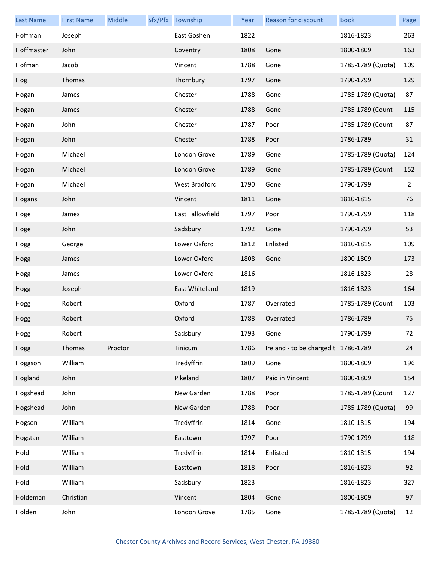| <b>Last Name</b> | <b>First Name</b> | Middle  | Sfx/Pfx Township | Year | Reason for discount                 | <b>Book</b>       | Page           |
|------------------|-------------------|---------|------------------|------|-------------------------------------|-------------------|----------------|
| Hoffman          | Joseph            |         | East Goshen      | 1822 |                                     | 1816-1823         | 263            |
| Hoffmaster       | John              |         | Coventry         | 1808 | Gone                                | 1800-1809         | 163            |
| Hofman           | Jacob             |         | Vincent          | 1788 | Gone                                | 1785-1789 (Quota) | 109            |
| Hog              | Thomas            |         | Thornbury        | 1797 | Gone                                | 1790-1799         | 129            |
| Hogan            | James             |         | Chester          | 1788 | Gone                                | 1785-1789 (Quota) | 87             |
| Hogan            | James             |         | Chester          | 1788 | Gone                                | 1785-1789 (Count  | 115            |
| Hogan            | John              |         | Chester          | 1787 | Poor                                | 1785-1789 (Count  | 87             |
| Hogan            | John              |         | Chester          | 1788 | Poor                                | 1786-1789         | 31             |
| Hogan            | Michael           |         | London Grove     | 1789 | Gone                                | 1785-1789 (Quota) | 124            |
| Hogan            | Michael           |         | London Grove     | 1789 | Gone                                | 1785-1789 (Count  | 152            |
| Hogan            | Michael           |         | West Bradford    | 1790 | Gone                                | 1790-1799         | $\overline{2}$ |
| Hogans           | John              |         | Vincent          | 1811 | Gone                                | 1810-1815         | 76             |
| Hoge             | James             |         | East Fallowfield | 1797 | Poor                                | 1790-1799         | 118            |
| Hoge             | John              |         | Sadsbury         | 1792 | Gone                                | 1790-1799         | 53             |
| Hogg             | George            |         | Lower Oxford     | 1812 | Enlisted                            | 1810-1815         | 109            |
| Hogg             | James             |         | Lower Oxford     | 1808 | Gone                                | 1800-1809         | 173            |
| Hogg             | James             |         | Lower Oxford     | 1816 |                                     | 1816-1823         | 28             |
| Hogg             | Joseph            |         | East Whiteland   | 1819 |                                     | 1816-1823         | 164            |
| Hogg             | Robert            |         | Oxford           | 1787 | Overrated                           | 1785-1789 (Count  | 103            |
| Hogg             | Robert            |         | Oxford           | 1788 | Overrated                           | 1786-1789         | 75             |
| Hogg             | Robert            |         | Sadsbury         | 1793 | Gone                                | 1790-1799         | 72             |
| Hogg             | Thomas            | Proctor | Tinicum          | 1786 | Ireland - to be charged t 1786-1789 |                   | 24             |
| Hoggson          | William           |         | Tredyffrin       | 1809 | Gone                                | 1800-1809         | 196            |
| Hogland          | John              |         | Pikeland         | 1807 | Paid in Vincent                     | 1800-1809         | 154            |
| Hogshead         | John              |         | New Garden       | 1788 | Poor                                | 1785-1789 (Count  | 127            |
| Hogshead         | John              |         | New Garden       | 1788 | Poor                                | 1785-1789 (Quota) | 99             |
| Hogson           | William           |         | Tredyffrin       | 1814 | Gone                                | 1810-1815         | 194            |
| Hogstan          | William           |         | Easttown         | 1797 | Poor                                | 1790-1799         | 118            |
| Hold             | William           |         | Tredyffrin       | 1814 | Enlisted                            | 1810-1815         | 194            |
| Hold             | William           |         | Easttown         | 1818 | Poor                                | 1816-1823         | 92             |
| Hold             | William           |         | Sadsbury         | 1823 |                                     | 1816-1823         | 327            |
| Holdeman         | Christian         |         | Vincent          | 1804 | Gone                                | 1800-1809         | 97             |
| Holden           | John              |         | London Grove     | 1785 | Gone                                | 1785-1789 (Quota) | 12             |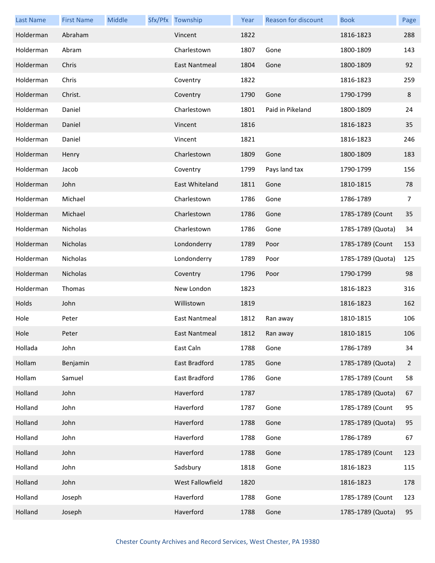| <b>Last Name</b> | <b>First Name</b> | Middle | Sfx/Pfx Township     | Year | Reason for discount | <b>Book</b>       | Page           |
|------------------|-------------------|--------|----------------------|------|---------------------|-------------------|----------------|
| Holderman        | Abraham           |        | Vincent              | 1822 |                     | 1816-1823         | 288            |
| Holderman        | Abram             |        | Charlestown          | 1807 | Gone                | 1800-1809         | 143            |
| Holderman        | Chris             |        | East Nantmeal        | 1804 | Gone                | 1800-1809         | 92             |
| Holderman        | Chris             |        | Coventry             | 1822 |                     | 1816-1823         | 259            |
| Holderman        | Christ.           |        | Coventry             | 1790 | Gone                | 1790-1799         | 8              |
| Holderman        | Daniel            |        | Charlestown          | 1801 | Paid in Pikeland    | 1800-1809         | 24             |
| Holderman        | Daniel            |        | Vincent              | 1816 |                     | 1816-1823         | 35             |
| Holderman        | Daniel            |        | Vincent              | 1821 |                     | 1816-1823         | 246            |
| Holderman        | Henry             |        | Charlestown          | 1809 | Gone                | 1800-1809         | 183            |
| Holderman        | Jacob             |        | Coventry             | 1799 | Pays land tax       | 1790-1799         | 156            |
| Holderman        | John              |        | East Whiteland       | 1811 | Gone                | 1810-1815         | 78             |
| Holderman        | Michael           |        | Charlestown          | 1786 | Gone                | 1786-1789         | 7              |
| Holderman        | Michael           |        | Charlestown          | 1786 | Gone                | 1785-1789 (Count  | 35             |
| Holderman        | Nicholas          |        | Charlestown          | 1786 | Gone                | 1785-1789 (Quota) | 34             |
| Holderman        | Nicholas          |        | Londonderry          | 1789 | Poor                | 1785-1789 (Count  | 153            |
| Holderman        | Nicholas          |        | Londonderry          | 1789 | Poor                | 1785-1789 (Quota) | 125            |
| Holderman        | Nicholas          |        | Coventry             | 1796 | Poor                | 1790-1799         | 98             |
| Holderman        | Thomas            |        | New London           | 1823 |                     | 1816-1823         | 316            |
| Holds            | John              |        | Willistown           | 1819 |                     | 1816-1823         | 162            |
| Hole             | Peter             |        | <b>East Nantmeal</b> | 1812 | Ran away            | 1810-1815         | 106            |
| Hole             | Peter             |        | East Nantmeal        | 1812 | Ran away            | 1810-1815         | 106            |
| Hollada          | John              |        | East Caln            | 1788 | Gone                | 1786-1789         | 34             |
| Hollam           | Benjamin          |        | East Bradford        | 1785 | Gone                | 1785-1789 (Quota) | $\overline{2}$ |
| Hollam           | Samuel            |        | East Bradford        | 1786 | Gone                | 1785-1789 (Count  | 58             |
| Holland          | John              |        | Haverford            | 1787 |                     | 1785-1789 (Quota) | 67             |
| Holland          | John              |        | Haverford            | 1787 | Gone                | 1785-1789 (Count  | 95             |
| Holland          | John              |        | Haverford            | 1788 | Gone                | 1785-1789 (Quota) | 95             |
| Holland          | John              |        | Haverford            | 1788 | Gone                | 1786-1789         | 67             |
| Holland          | John              |        | Haverford            | 1788 | Gone                | 1785-1789 (Count  | 123            |
| Holland          | John              |        | Sadsbury             | 1818 | Gone                | 1816-1823         | 115            |
| Holland          | John              |        | West Fallowfield     | 1820 |                     | 1816-1823         | 178            |
| Holland          | Joseph            |        | Haverford            | 1788 | Gone                | 1785-1789 (Count  | 123            |
| Holland          | Joseph            |        | Haverford            | 1788 | Gone                | 1785-1789 (Quota) | 95             |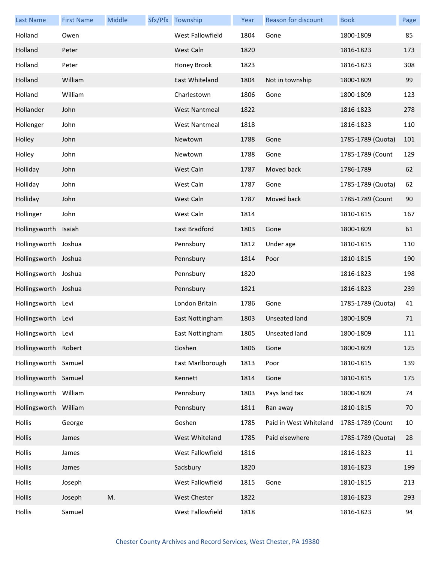| Last Name             | <b>First Name</b> | Middle | Sfx/Pfx Township     | Year | Reason for discount    | <b>Book</b>       | Page |
|-----------------------|-------------------|--------|----------------------|------|------------------------|-------------------|------|
| Holland               | Owen              |        | West Fallowfield     | 1804 | Gone                   | 1800-1809         | 85   |
| Holland               | Peter             |        | West Caln            | 1820 |                        | 1816-1823         | 173  |
| Holland               | Peter             |        | Honey Brook          | 1823 |                        | 1816-1823         | 308  |
| Holland               | William           |        | East Whiteland       | 1804 | Not in township        | 1800-1809         | 99   |
| Holland               | William           |        | Charlestown          | 1806 | Gone                   | 1800-1809         | 123  |
| Hollander             | John              |        | <b>West Nantmeal</b> | 1822 |                        | 1816-1823         | 278  |
| Hollenger             | John              |        | <b>West Nantmeal</b> | 1818 |                        | 1816-1823         | 110  |
| Holley                | John              |        | Newtown              | 1788 | Gone                   | 1785-1789 (Quota) | 101  |
| Holley                | John              |        | Newtown              | 1788 | Gone                   | 1785-1789 (Count  | 129  |
| Holliday              | John              |        | West Caln            | 1787 | Moved back             | 1786-1789         | 62   |
| Holliday              | John              |        | West Caln            | 1787 | Gone                   | 1785-1789 (Quota) | 62   |
| Holliday              | John              |        | West Caln            | 1787 | Moved back             | 1785-1789 (Count  | 90   |
| Hollinger             | John              |        | West Caln            | 1814 |                        | 1810-1815         | 167  |
| Hollingsworth         | Isaiah            |        | East Bradford        | 1803 | Gone                   | 1800-1809         | 61   |
| Hollingsworth         | Joshua            |        | Pennsbury            | 1812 | Under age              | 1810-1815         | 110  |
| Hollingsworth Joshua  |                   |        | Pennsbury            | 1814 | Poor                   | 1810-1815         | 190  |
| Hollingsworth Joshua  |                   |        | Pennsbury            | 1820 |                        | 1816-1823         | 198  |
| Hollingsworth Joshua  |                   |        | Pennsbury            | 1821 |                        | 1816-1823         | 239  |
| Hollingsworth         | Levi              |        | London Britain       | 1786 | Gone                   | 1785-1789 (Quota) | 41   |
| Hollingsworth Levi    |                   |        | East Nottingham      | 1803 | Unseated land          | 1800-1809         | 71   |
| Hollingsworth Levi    |                   |        | East Nottingham      | 1805 | Unseated land          | 1800-1809         | 111  |
| Hollingsworth Robert  |                   |        | Goshen               | 1806 | Gone                   | 1800-1809         | 125  |
| Hollingsworth Samuel  |                   |        | East Marlborough     | 1813 | Poor                   | 1810-1815         | 139  |
| Hollingsworth Samuel  |                   |        | Kennett              | 1814 | Gone                   | 1810-1815         | 175  |
| Hollingsworth William |                   |        | Pennsbury            | 1803 | Pays land tax          | 1800-1809         | 74   |
| Hollingsworth William |                   |        | Pennsbury            | 1811 | Ran away               | 1810-1815         | 70   |
| Hollis                | George            |        | Goshen               | 1785 | Paid in West Whiteland | 1785-1789 (Count  | 10   |
| Hollis                | James             |        | West Whiteland       | 1785 | Paid elsewhere         | 1785-1789 (Quota) | 28   |
| Hollis                | James             |        | West Fallowfield     | 1816 |                        | 1816-1823         | 11   |
| Hollis                | James             |        | Sadsbury             | 1820 |                        | 1816-1823         | 199  |
| Hollis                | Joseph            |        | West Fallowfield     | 1815 | Gone                   | 1810-1815         | 213  |
| Hollis                | Joseph            | M.     | West Chester         | 1822 |                        | 1816-1823         | 293  |
| Hollis                | Samuel            |        | West Fallowfield     | 1818 |                        | 1816-1823         | 94   |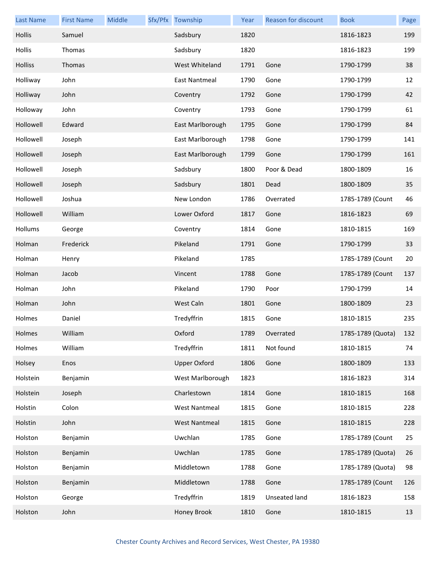| <b>Last Name</b> | <b>First Name</b> | Middle | Sfx/Pfx Township     | Year | <b>Reason for discount</b> | <b>Book</b>       | Page |
|------------------|-------------------|--------|----------------------|------|----------------------------|-------------------|------|
| Hollis           | Samuel            |        | Sadsbury             | 1820 |                            | 1816-1823         | 199  |
| Hollis           | Thomas            |        | Sadsbury             | 1820 |                            | 1816-1823         | 199  |
| <b>Holliss</b>   | Thomas            |        | West Whiteland       | 1791 | Gone                       | 1790-1799         | 38   |
| Holliway         | John              |        | East Nantmeal        | 1790 | Gone                       | 1790-1799         | 12   |
| Holliway         | John              |        | Coventry             | 1792 | Gone                       | 1790-1799         | 42   |
| Holloway         | John              |        | Coventry             | 1793 | Gone                       | 1790-1799         | 61   |
| Hollowell        | Edward            |        | East Marlborough     | 1795 | Gone                       | 1790-1799         | 84   |
| Hollowell        | Joseph            |        | East Marlborough     | 1798 | Gone                       | 1790-1799         | 141  |
| Hollowell        | Joseph            |        | East Marlborough     | 1799 | Gone                       | 1790-1799         | 161  |
| Hollowell        | Joseph            |        | Sadsbury             | 1800 | Poor & Dead                | 1800-1809         | 16   |
| Hollowell        | Joseph            |        | Sadsbury             | 1801 | Dead                       | 1800-1809         | 35   |
| Hollowell        | Joshua            |        | New London           | 1786 | Overrated                  | 1785-1789 (Count  | 46   |
| Hollowell        | William           |        | Lower Oxford         | 1817 | Gone                       | 1816-1823         | 69   |
| Hollums          | George            |        | Coventry             | 1814 | Gone                       | 1810-1815         | 169  |
| Holman           | Frederick         |        | Pikeland             | 1791 | Gone                       | 1790-1799         | 33   |
| Holman           | Henry             |        | Pikeland             | 1785 |                            | 1785-1789 (Count  | 20   |
| Holman           | Jacob             |        | Vincent              | 1788 | Gone                       | 1785-1789 (Count  | 137  |
| Holman           | John              |        | Pikeland             | 1790 | Poor                       | 1790-1799         | 14   |
| Holman           | John              |        | West Caln            | 1801 | Gone                       | 1800-1809         | 23   |
| Holmes           | Daniel            |        | Tredyffrin           | 1815 | Gone                       | 1810-1815         | 235  |
| Holmes           | William           |        | Oxford               | 1789 | Overrated                  | 1785-1789 (Quota) | 132  |
| Holmes           | William           |        | Tredyffrin           | 1811 | Not found                  | 1810-1815         | 74   |
| Holsey           | Enos              |        | <b>Upper Oxford</b>  | 1806 | Gone                       | 1800-1809         | 133  |
| Holstein         | Benjamin          |        | West Marlborough     | 1823 |                            | 1816-1823         | 314  |
| Holstein         | Joseph            |        | Charlestown          | 1814 | Gone                       | 1810-1815         | 168  |
| Holstin          | Colon             |        | <b>West Nantmeal</b> | 1815 | Gone                       | 1810-1815         | 228  |
| Holstin          | John              |        | <b>West Nantmeal</b> | 1815 | Gone                       | 1810-1815         | 228  |
| Holston          | Benjamin          |        | Uwchlan              | 1785 | Gone                       | 1785-1789 (Count  | 25   |
| Holston          | Benjamin          |        | Uwchlan              | 1785 | Gone                       | 1785-1789 (Quota) | 26   |
| Holston          | Benjamin          |        | Middletown           | 1788 | Gone                       | 1785-1789 (Quota) | 98   |
| Holston          | Benjamin          |        | Middletown           | 1788 | Gone                       | 1785-1789 (Count  | 126  |
| Holston          | George            |        | Tredyffrin           | 1819 | Unseated land              | 1816-1823         | 158  |
| Holston          | John              |        | Honey Brook          | 1810 | Gone                       | 1810-1815         | 13   |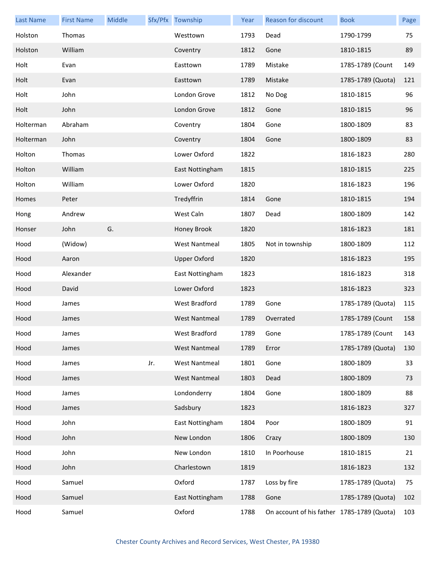| <b>Last Name</b> | <b>First Name</b> | Middle |     | Sfx/Pfx Township     | Year | <b>Reason for discount</b>                 | <b>Book</b>       | Page |
|------------------|-------------------|--------|-----|----------------------|------|--------------------------------------------|-------------------|------|
| Holston          | Thomas            |        |     | Westtown             | 1793 | Dead                                       | 1790-1799         | 75   |
| Holston          | William           |        |     | Coventry             | 1812 | Gone                                       | 1810-1815         | 89   |
| Holt             | Evan              |        |     | Easttown             | 1789 | Mistake                                    | 1785-1789 (Count  | 149  |
| Holt             | Evan              |        |     | Easttown             | 1789 | Mistake                                    | 1785-1789 (Quota) | 121  |
| Holt             | John              |        |     | London Grove         | 1812 | No Dog                                     | 1810-1815         | 96   |
| Holt             | John              |        |     | London Grove         | 1812 | Gone                                       | 1810-1815         | 96   |
| Holterman        | Abraham           |        |     | Coventry             | 1804 | Gone                                       | 1800-1809         | 83   |
| Holterman        | John              |        |     | Coventry             | 1804 | Gone                                       | 1800-1809         | 83   |
| Holton           | Thomas            |        |     | Lower Oxford         | 1822 |                                            | 1816-1823         | 280  |
| Holton           | William           |        |     | East Nottingham      | 1815 |                                            | 1810-1815         | 225  |
| Holton           | William           |        |     | Lower Oxford         | 1820 |                                            | 1816-1823         | 196  |
| Homes            | Peter             |        |     | Tredyffrin           | 1814 | Gone                                       | 1810-1815         | 194  |
| Hong             | Andrew            |        |     | West Caln            | 1807 | Dead                                       | 1800-1809         | 142  |
| Honser           | John              | G.     |     | Honey Brook          | 1820 |                                            | 1816-1823         | 181  |
| Hood             | (Widow)           |        |     | <b>West Nantmeal</b> | 1805 | Not in township                            | 1800-1809         | 112  |
| Hood             | Aaron             |        |     | <b>Upper Oxford</b>  | 1820 |                                            | 1816-1823         | 195  |
| Hood             | Alexander         |        |     | East Nottingham      | 1823 |                                            | 1816-1823         | 318  |
| Hood             | David             |        |     | Lower Oxford         | 1823 |                                            | 1816-1823         | 323  |
| Hood             | James             |        |     | West Bradford        | 1789 | Gone                                       | 1785-1789 (Quota) | 115  |
| Hood             | James             |        |     | <b>West Nantmeal</b> | 1789 | Overrated                                  | 1785-1789 (Count  | 158  |
| Hood             | James             |        |     | West Bradford        | 1789 | Gone                                       | 1785-1789 (Count  | 143  |
| Hood             | James             |        |     | <b>West Nantmeal</b> | 1789 | Error                                      | 1785-1789 (Quota) | 130  |
| Hood             | James             |        | Jr. | <b>West Nantmeal</b> | 1801 | Gone                                       | 1800-1809         | 33   |
| Hood             | James             |        |     | <b>West Nantmeal</b> | 1803 | Dead                                       | 1800-1809         | 73   |
| Hood             | James             |        |     | Londonderry          | 1804 | Gone                                       | 1800-1809         | 88   |
| Hood             | James             |        |     | Sadsbury             | 1823 |                                            | 1816-1823         | 327  |
| Hood             | John              |        |     | East Nottingham      | 1804 | Poor                                       | 1800-1809         | 91   |
| Hood             | John              |        |     | New London           | 1806 | Crazy                                      | 1800-1809         | 130  |
| Hood             | John              |        |     | New London           | 1810 | In Poorhouse                               | 1810-1815         | 21   |
| Hood             | John              |        |     | Charlestown          | 1819 |                                            | 1816-1823         | 132  |
| Hood             | Samuel            |        |     | Oxford               | 1787 | Loss by fire                               | 1785-1789 (Quota) | 75   |
| Hood             | Samuel            |        |     | East Nottingham      | 1788 | Gone                                       | 1785-1789 (Quota) | 102  |
| Hood             | Samuel            |        |     | Oxford               | 1788 | On account of his father 1785-1789 (Quota) |                   | 103  |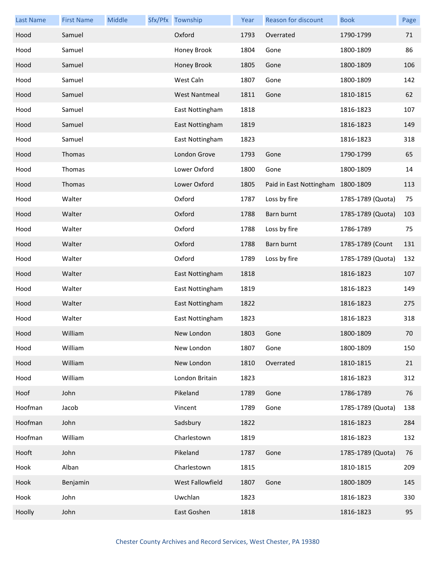| <b>Last Name</b> | <b>First Name</b> | Middle | Sfx/Pfx Township     | Year | Reason for discount               | <b>Book</b>       | Page |
|------------------|-------------------|--------|----------------------|------|-----------------------------------|-------------------|------|
| Hood             | Samuel            |        | Oxford               | 1793 | Overrated                         | 1790-1799         | 71   |
| Hood             | Samuel            |        | Honey Brook          | 1804 | Gone                              | 1800-1809         | 86   |
| Hood             | Samuel            |        | Honey Brook          | 1805 | Gone                              | 1800-1809         | 106  |
| Hood             | Samuel            |        | West Caln            | 1807 | Gone                              | 1800-1809         | 142  |
| Hood             | Samuel            |        | <b>West Nantmeal</b> | 1811 | Gone                              | 1810-1815         | 62   |
| Hood             | Samuel            |        | East Nottingham      | 1818 |                                   | 1816-1823         | 107  |
| Hood             | Samuel            |        | East Nottingham      | 1819 |                                   | 1816-1823         | 149  |
| Hood             | Samuel            |        | East Nottingham      | 1823 |                                   | 1816-1823         | 318  |
| Hood             | Thomas            |        | London Grove         | 1793 | Gone                              | 1790-1799         | 65   |
| Hood             | Thomas            |        | Lower Oxford         | 1800 | Gone                              | 1800-1809         | 14   |
| Hood             | Thomas            |        | Lower Oxford         | 1805 | Paid in East Nottingham 1800-1809 |                   | 113  |
| Hood             | Walter            |        | Oxford               | 1787 | Loss by fire                      | 1785-1789 (Quota) | 75   |
| Hood             | Walter            |        | Oxford               | 1788 | Barn burnt                        | 1785-1789 (Quota) | 103  |
| Hood             | Walter            |        | Oxford               | 1788 | Loss by fire                      | 1786-1789         | 75   |
| Hood             | Walter            |        | Oxford               | 1788 | Barn burnt                        | 1785-1789 (Count  | 131  |
| Hood             | Walter            |        | Oxford               | 1789 | Loss by fire                      | 1785-1789 (Quota) | 132  |
| Hood             | Walter            |        | East Nottingham      | 1818 |                                   | 1816-1823         | 107  |
| Hood             | Walter            |        | East Nottingham      | 1819 |                                   | 1816-1823         | 149  |
| Hood             | Walter            |        | East Nottingham      | 1822 |                                   | 1816-1823         | 275  |
| Hood             | Walter            |        | East Nottingham      | 1823 |                                   | 1816-1823         | 318  |
| Hood             | William           |        | New London           | 1803 | Gone                              | 1800-1809         | 70   |
| Hood             | William           |        | New London           | 1807 | Gone                              | 1800-1809         | 150  |
| Hood             | William           |        | New London           | 1810 | Overrated                         | 1810-1815         | 21   |
| Hood             | William           |        | London Britain       | 1823 |                                   | 1816-1823         | 312  |
| Hoof             | John              |        | Pikeland             | 1789 | Gone                              | 1786-1789         | 76   |
| Hoofman          | Jacob             |        | Vincent              | 1789 | Gone                              | 1785-1789 (Quota) | 138  |
| Hoofman          | John              |        | Sadsbury             | 1822 |                                   | 1816-1823         | 284  |
| Hoofman          | William           |        | Charlestown          | 1819 |                                   | 1816-1823         | 132  |
| Hooft            | John              |        | Pikeland             | 1787 | Gone                              | 1785-1789 (Quota) | 76   |
| Hook             | Alban             |        | Charlestown          | 1815 |                                   | 1810-1815         | 209  |
| Hook             | Benjamin          |        | West Fallowfield     | 1807 | Gone                              | 1800-1809         | 145  |
| Hook             | John              |        | Uwchlan              | 1823 |                                   | 1816-1823         | 330  |
| Hoolly           | John              |        | East Goshen          | 1818 |                                   | 1816-1823         | 95   |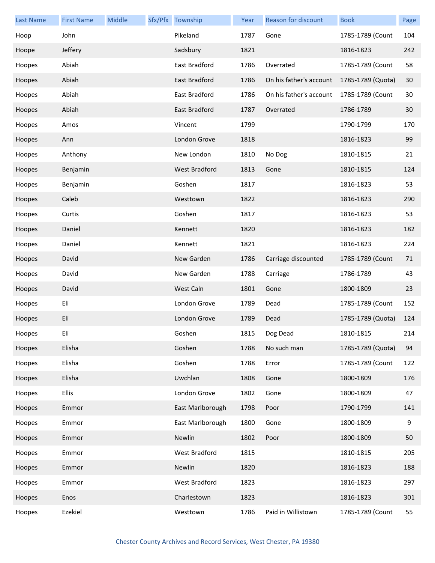| <b>Last Name</b> | <b>First Name</b> | Middle | Sfx/Pfx Township     | Year | <b>Reason for discount</b> | <b>Book</b>       | Page |
|------------------|-------------------|--------|----------------------|------|----------------------------|-------------------|------|
| Hoop             | John              |        | Pikeland             | 1787 | Gone                       | 1785-1789 (Count  | 104  |
| Hoope            | Jeffery           |        | Sadsbury             | 1821 |                            | 1816-1823         | 242  |
| Hoopes           | Abiah             |        | East Bradford        | 1786 | Overrated                  | 1785-1789 (Count  | 58   |
| Hoopes           | Abiah             |        | East Bradford        | 1786 | On his father's account    | 1785-1789 (Quota) | 30   |
| Hoopes           | Abiah             |        | East Bradford        | 1786 | On his father's account    | 1785-1789 (Count  | 30   |
| Hoopes           | Abiah             |        | East Bradford        | 1787 | Overrated                  | 1786-1789         | 30   |
| Hoopes           | Amos              |        | Vincent              | 1799 |                            | 1790-1799         | 170  |
| Hoopes           | Ann               |        | London Grove         | 1818 |                            | 1816-1823         | 99   |
| Hoopes           | Anthony           |        | New London           | 1810 | No Dog                     | 1810-1815         | 21   |
| Hoopes           | Benjamin          |        | <b>West Bradford</b> | 1813 | Gone                       | 1810-1815         | 124  |
| Hoopes           | Benjamin          |        | Goshen               | 1817 |                            | 1816-1823         | 53   |
| Hoopes           | Caleb             |        | Westtown             | 1822 |                            | 1816-1823         | 290  |
| Hoopes           | Curtis            |        | Goshen               | 1817 |                            | 1816-1823         | 53   |
| Hoopes           | Daniel            |        | Kennett              | 1820 |                            | 1816-1823         | 182  |
| Hoopes           | Daniel            |        | Kennett              | 1821 |                            | 1816-1823         | 224  |
| Hoopes           | David             |        | New Garden           | 1786 | Carriage discounted        | 1785-1789 (Count  | 71   |
| Hoopes           | David             |        | New Garden           | 1788 | Carriage                   | 1786-1789         | 43   |
| Hoopes           | David             |        | West Caln            | 1801 | Gone                       | 1800-1809         | 23   |
| Hoopes           | Eli               |        | London Grove         | 1789 | Dead                       | 1785-1789 (Count  | 152  |
| Hoopes           | Eli               |        | London Grove         | 1789 | Dead                       | 1785-1789 (Quota) | 124  |
| Hoopes           | Eli               |        | Goshen               | 1815 | Dog Dead                   | 1810-1815         | 214  |
| Hoopes           | Elisha            |        | Goshen               | 1788 | No such man                | 1785-1789 (Quota) | 94   |
| Hoopes           | Elisha            |        | Goshen               | 1788 | Error                      | 1785-1789 (Count  | 122  |
| Hoopes           | Elisha            |        | Uwchlan              | 1808 | Gone                       | 1800-1809         | 176  |
| Hoopes           | <b>Ellis</b>      |        | London Grove         | 1802 | Gone                       | 1800-1809         | 47   |
| Hoopes           | Emmor             |        | East Marlborough     | 1798 | Poor                       | 1790-1799         | 141  |
| Hoopes           | Emmor             |        | East Marlborough     | 1800 | Gone                       | 1800-1809         | 9    |
| Hoopes           | Emmor             |        | Newlin               | 1802 | Poor                       | 1800-1809         | 50   |
| Hoopes           | Emmor             |        | West Bradford        | 1815 |                            | 1810-1815         | 205  |
| Hoopes           | Emmor             |        | Newlin               | 1820 |                            | 1816-1823         | 188  |
| Hoopes           | Emmor             |        | West Bradford        | 1823 |                            | 1816-1823         | 297  |
| Hoopes           | Enos              |        | Charlestown          | 1823 |                            | 1816-1823         | 301  |
| Hoopes           | Ezekiel           |        | Westtown             | 1786 | Paid in Willistown         | 1785-1789 (Count  | 55   |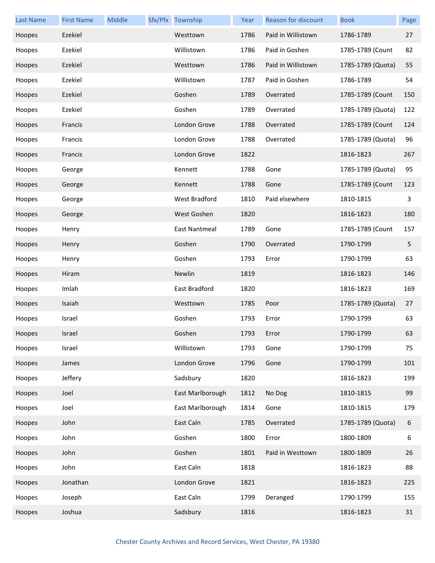| <b>Last Name</b> | <b>First Name</b> | Middle | Sfx/Pfx Township | Year | Reason for discount | <b>Book</b>       | Page |
|------------------|-------------------|--------|------------------|------|---------------------|-------------------|------|
| Hoopes           | Ezekiel           |        | Westtown         | 1786 | Paid in Willistown  | 1786-1789         | 27   |
| Hoopes           | Ezekiel           |        | Willistown       | 1786 | Paid in Goshen      | 1785-1789 (Count  | 82   |
| Hoopes           | Ezekiel           |        | Westtown         | 1786 | Paid in Willistown  | 1785-1789 (Quota) | 55   |
| Hoopes           | Ezekiel           |        | Willistown       | 1787 | Paid in Goshen      | 1786-1789         | 54   |
| Hoopes           | Ezekiel           |        | Goshen           | 1789 | Overrated           | 1785-1789 (Count  | 150  |
| Hoopes           | Ezekiel           |        | Goshen           | 1789 | Overrated           | 1785-1789 (Quota) | 122  |
| Hoopes           | Francis           |        | London Grove     | 1788 | Overrated           | 1785-1789 (Count  | 124  |
| Hoopes           | Francis           |        | London Grove     | 1788 | Overrated           | 1785-1789 (Quota) | 96   |
| Hoopes           | Francis           |        | London Grove     | 1822 |                     | 1816-1823         | 267  |
| Hoopes           | George            |        | Kennett          | 1788 | Gone                | 1785-1789 (Quota) | 95   |
| Hoopes           | George            |        | Kennett          | 1788 | Gone                | 1785-1789 (Count  | 123  |
| Hoopes           | George            |        | West Bradford    | 1810 | Paid elsewhere      | 1810-1815         | 3    |
| Hoopes           | George            |        | West Goshen      | 1820 |                     | 1816-1823         | 180  |
| Hoopes           | Henry             |        | East Nantmeal    | 1789 | Gone                | 1785-1789 (Count  | 157  |
| Hoopes           | Henry             |        | Goshen           | 1790 | Overrated           | 1790-1799         | 5    |
| Hoopes           | Henry             |        | Goshen           | 1793 | Error               | 1790-1799         | 63   |
| Hoopes           | Hiram             |        | Newlin           | 1819 |                     | 1816-1823         | 146  |
| Hoopes           | Imlah             |        | East Bradford    | 1820 |                     | 1816-1823         | 169  |
| Hoopes           | Isaiah            |        | Westtown         | 1785 | Poor                | 1785-1789 (Quota) | 27   |
| Hoopes           | Israel            |        | Goshen           | 1793 | Error               | 1790-1799         | 63   |
| Hoopes           | Israel            |        | Goshen           | 1793 | Error               | 1790-1799         | 63   |
| Hoopes           | Israel            |        | Willistown       | 1793 | Gone                | 1790-1799         | 75   |
| Hoopes           | James             |        | London Grove     | 1796 | Gone                | 1790-1799         | 101  |
| Hoopes           | Jeffery           |        | Sadsbury         | 1820 |                     | 1816-1823         | 199  |
| Hoopes           | Joel              |        | East Marlborough | 1812 | No Dog              | 1810-1815         | 99   |
| Hoopes           | Joel              |        | East Marlborough | 1814 | Gone                | 1810-1815         | 179  |
| Hoopes           | John              |        | East Caln        | 1785 | Overrated           | 1785-1789 (Quota) | 6    |
| Hoopes           | John              |        | Goshen           | 1800 | Error               | 1800-1809         | 6    |
| Hoopes           | John              |        | Goshen           | 1801 | Paid in Westtown    | 1800-1809         | 26   |
| Hoopes           | John              |        | East Caln        | 1818 |                     | 1816-1823         | 88   |
| Hoopes           | Jonathan          |        | London Grove     | 1821 |                     | 1816-1823         | 225  |
| Hoopes           | Joseph            |        | East Caln        | 1799 | Deranged            | 1790-1799         | 155  |
| Hoopes           | Joshua            |        | Sadsbury         | 1816 |                     | 1816-1823         | 31   |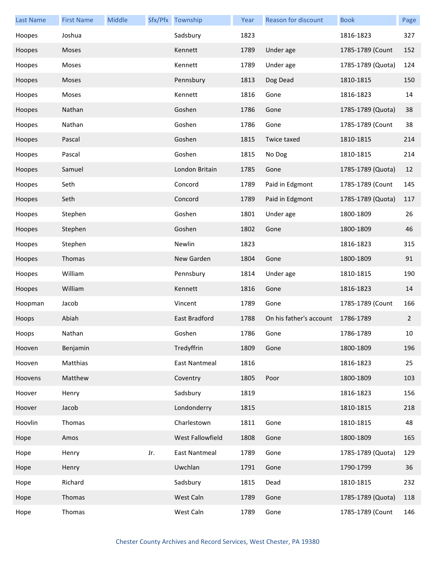| Last Name | <b>First Name</b> | Middle |     | Sfx/Pfx Township     | Year | <b>Reason for discount</b> | <b>Book</b>       | Page           |
|-----------|-------------------|--------|-----|----------------------|------|----------------------------|-------------------|----------------|
| Hoopes    | Joshua            |        |     | Sadsbury             | 1823 |                            | 1816-1823         | 327            |
| Hoopes    | Moses             |        |     | Kennett              | 1789 | Under age                  | 1785-1789 (Count  | 152            |
| Hoopes    | Moses             |        |     | Kennett              | 1789 | Under age                  | 1785-1789 (Quota) | 124            |
| Hoopes    | Moses             |        |     | Pennsbury            | 1813 | Dog Dead                   | 1810-1815         | 150            |
| Hoopes    | Moses             |        |     | Kennett              | 1816 | Gone                       | 1816-1823         | 14             |
| Hoopes    | Nathan            |        |     | Goshen               | 1786 | Gone                       | 1785-1789 (Quota) | 38             |
| Hoopes    | Nathan            |        |     | Goshen               | 1786 | Gone                       | 1785-1789 (Count  | 38             |
| Hoopes    | Pascal            |        |     | Goshen               | 1815 | Twice taxed                | 1810-1815         | 214            |
| Hoopes    | Pascal            |        |     | Goshen               | 1815 | No Dog                     | 1810-1815         | 214            |
| Hoopes    | Samuel            |        |     | London Britain       | 1785 | Gone                       | 1785-1789 (Quota) | 12             |
| Hoopes    | Seth              |        |     | Concord              | 1789 | Paid in Edgmont            | 1785-1789 (Count  | 145            |
| Hoopes    | Seth              |        |     | Concord              | 1789 | Paid in Edgmont            | 1785-1789 (Quota) | 117            |
| Hoopes    | Stephen           |        |     | Goshen               | 1801 | Under age                  | 1800-1809         | 26             |
| Hoopes    | Stephen           |        |     | Goshen               | 1802 | Gone                       | 1800-1809         | 46             |
| Hoopes    | Stephen           |        |     | Newlin               | 1823 |                            | 1816-1823         | 315            |
| Hoopes    | Thomas            |        |     | New Garden           | 1804 | Gone                       | 1800-1809         | 91             |
| Hoopes    | William           |        |     | Pennsbury            | 1814 | Under age                  | 1810-1815         | 190            |
| Hoopes    | William           |        |     | Kennett              | 1816 | Gone                       | 1816-1823         | 14             |
| Hoopman   | Jacob             |        |     | Vincent              | 1789 | Gone                       | 1785-1789 (Count  | 166            |
| Hoops     | Abiah             |        |     | East Bradford        | 1788 | On his father's account    | 1786-1789         | $\overline{2}$ |
| Hoops     | Nathan            |        |     | Goshen               | 1786 | Gone                       | 1786-1789         | 10             |
| Hooven    | Benjamin          |        |     | Tredyffrin           | 1809 | Gone                       | 1800-1809         | 196            |
| Hooven    | Matthias          |        |     | East Nantmeal        | 1816 |                            | 1816-1823         | 25             |
| Hoovens   | Matthew           |        |     | Coventry             | 1805 | Poor                       | 1800-1809         | 103            |
| Hoover    | Henry             |        |     | Sadsbury             | 1819 |                            | 1816-1823         | 156            |
| Hoover    | Jacob             |        |     | Londonderry          | 1815 |                            | 1810-1815         | 218            |
| Hoovlin   | Thomas            |        |     | Charlestown          | 1811 | Gone                       | 1810-1815         | 48             |
| Hope      | Amos              |        |     | West Fallowfield     | 1808 | Gone                       | 1800-1809         | 165            |
| Hope      | Henry             |        | Jr. | <b>East Nantmeal</b> | 1789 | Gone                       | 1785-1789 (Quota) | 129            |
| Hope      | Henry             |        |     | Uwchlan              | 1791 | Gone                       | 1790-1799         | 36             |
| Hope      | Richard           |        |     | Sadsbury             | 1815 | Dead                       | 1810-1815         | 232            |
| Hope      | Thomas            |        |     | West Caln            | 1789 | Gone                       | 1785-1789 (Quota) | 118            |
| Hope      | Thomas            |        |     | West Caln            | 1789 | Gone                       | 1785-1789 (Count  | 146            |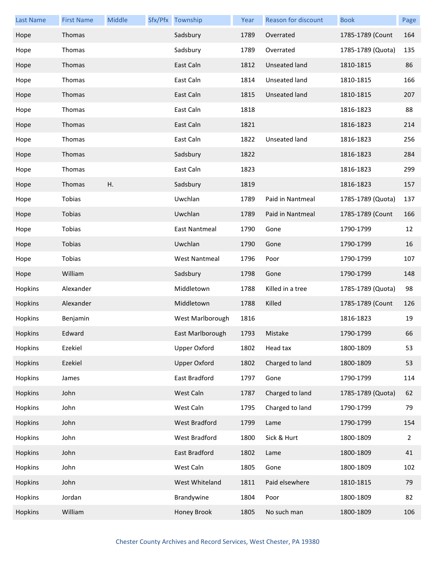| Last Name | <b>First Name</b> | Middle | Sfx/Pfx Township     | Year | <b>Reason for discount</b> | <b>Book</b>       | Page |
|-----------|-------------------|--------|----------------------|------|----------------------------|-------------------|------|
| Hope      | Thomas            |        | Sadsbury             | 1789 | Overrated                  | 1785-1789 (Count  | 164  |
| Hope      | Thomas            |        | Sadsbury             | 1789 | Overrated                  | 1785-1789 (Quota) | 135  |
| Hope      | Thomas            |        | East Caln            | 1812 | Unseated land              | 1810-1815         | 86   |
| Hope      | Thomas            |        | East Caln            | 1814 | Unseated land              | 1810-1815         | 166  |
| Hope      | Thomas            |        | East Caln            | 1815 | Unseated land              | 1810-1815         | 207  |
| Hope      | Thomas            |        | East Caln            | 1818 |                            | 1816-1823         | 88   |
| Hope      | Thomas            |        | East Caln            | 1821 |                            | 1816-1823         | 214  |
| Hope      | Thomas            |        | East Caln            | 1822 | Unseated land              | 1816-1823         | 256  |
| Hope      | Thomas            |        | Sadsbury             | 1822 |                            | 1816-1823         | 284  |
| Hope      | Thomas            |        | East Caln            | 1823 |                            | 1816-1823         | 299  |
| Hope      | Thomas            | Η.     | Sadsbury             | 1819 |                            | 1816-1823         | 157  |
| Hope      | Tobias            |        | Uwchlan              | 1789 | Paid in Nantmeal           | 1785-1789 (Quota) | 137  |
| Hope      | Tobias            |        | Uwchlan              | 1789 | Paid in Nantmeal           | 1785-1789 (Count  | 166  |
| Hope      | Tobias            |        | East Nantmeal        | 1790 | Gone                       | 1790-1799         | 12   |
| Hope      | Tobias            |        | Uwchlan              | 1790 | Gone                       | 1790-1799         | 16   |
| Hope      | Tobias            |        | <b>West Nantmeal</b> | 1796 | Poor                       | 1790-1799         | 107  |
| Hope      | William           |        | Sadsbury             | 1798 | Gone                       | 1790-1799         | 148  |
| Hopkins   | Alexander         |        | Middletown           | 1788 | Killed in a tree           | 1785-1789 (Quota) | 98   |
| Hopkins   | Alexander         |        | Middletown           | 1788 | Killed                     | 1785-1789 (Count  | 126  |
| Hopkins   | Benjamin          |        | West Marlborough     | 1816 |                            | 1816-1823         | 19   |
| Hopkins   | Edward            |        | East Marlborough     | 1793 | Mistake                    | 1790-1799         | 66   |
| Hopkins   | Ezekiel           |        | <b>Upper Oxford</b>  | 1802 | Head tax                   | 1800-1809         | 53   |
| Hopkins   | Ezekiel           |        | <b>Upper Oxford</b>  | 1802 | Charged to land            | 1800-1809         | 53   |
| Hopkins   | James             |        | East Bradford        | 1797 | Gone                       | 1790-1799         | 114  |
| Hopkins   | John              |        | West Caln            | 1787 | Charged to land            | 1785-1789 (Quota) | 62   |
| Hopkins   | John              |        | West Caln            | 1795 | Charged to land            | 1790-1799         | 79   |
| Hopkins   | John              |        | <b>West Bradford</b> | 1799 | Lame                       | 1790-1799         | 154  |
| Hopkins   | John              |        | West Bradford        | 1800 | Sick & Hurt                | 1800-1809         | 2    |
| Hopkins   | John              |        | East Bradford        | 1802 | Lame                       | 1800-1809         | 41   |
| Hopkins   | John              |        | West Caln            | 1805 | Gone                       | 1800-1809         | 102  |
| Hopkins   | John              |        | West Whiteland       | 1811 | Paid elsewhere             | 1810-1815         | 79   |
| Hopkins   | Jordan            |        | Brandywine           | 1804 | Poor                       | 1800-1809         | 82   |
| Hopkins   | William           |        | Honey Brook          | 1805 | No such man                | 1800-1809         | 106  |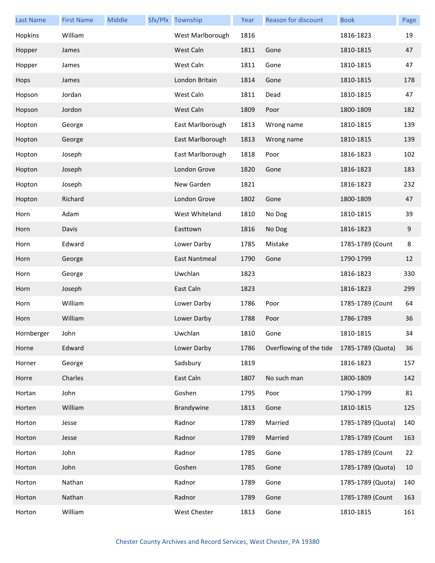| Last Name  | <b>First Name</b> | Middle | Sfx/Pfx Township | Year | Reason for discount     | <b>Book</b>       | Page   |
|------------|-------------------|--------|------------------|------|-------------------------|-------------------|--------|
| Hopkins    | William           |        | West Marlborough | 1816 |                         | 1816-1823         | 19     |
| Hopper     | James             |        | West Caln        | 1811 | Gone                    | 1810-1815         | 47     |
| Hopper     | James             |        | West Caln        | 1811 | Gone                    | 1810-1815         | 47     |
| Hops       | James             |        | London Britain   | 1814 | Gone                    | 1810-1815         | 178    |
| Hopson     | Jordan            |        | West Caln        | 1811 | Dead                    | 1810-1815         | 47     |
| Hopson     | Jordon            |        | West Caln        | 1809 | Poor                    | 1800-1809         | 182    |
| Hopton     | George            |        | East Marlborough | 1813 | Wrong name              | 1810-1815         | 139    |
| Hopton     | George            |        | East Marlborough | 1813 | Wrong name              | 1810-1815         | 139    |
| Hopton     | Joseph            |        | East Marlborough | 1818 | Poor                    | 1816-1823         | 102    |
| Hopton     | Joseph            |        | London Grove     | 1820 | Gone                    | 1816-1823         | 183    |
| Hopton     | Joseph            |        | New Garden       | 1821 |                         | 1816-1823         | 232    |
| Hopton     | Richard           |        | London Grove     | 1802 | Gone                    | 1800-1809         | 47     |
| Horn       | Adam              |        | West Whiteland   | 1810 | No Dog                  | 1810-1815         | 39     |
| Horn       | Davis             |        | Easttown         | 1816 | No Dog                  | 1816-1823         | 9      |
| Horn       | Edward            |        | Lower Darby      | 1785 | Mistake                 | 1785-1789 (Count  | 8      |
| Horn       | George            |        | East Nantmeal    | 1790 | Gone                    | 1790-1799         | 12     |
| Horn       | George            |        | Uwchlan          | 1823 |                         | 1816-1823         | 330    |
| Horn       | Joseph            |        | East Caln        | 1823 |                         | 1816-1823         | 299    |
| Horn       | William           |        | Lower Darby      | 1786 | Poor                    | 1785-1789 (Count  | 64     |
| Horn       | William           |        | Lower Darby      | 1788 | Poor                    | 1786-1789         | 36     |
| Hornberger | John              |        | Uwchlan          | 1810 | Gone                    | 1810-1815         | 34     |
| Horne      | Edward            |        | Lower Darby      | 1786 | Overflowing of the tide | 1785-1789 (Quota) | 36     |
| Horner     | George            |        | Sadsbury         | 1819 |                         | 1816-1823         | 157    |
| Horre      | Charles           |        | East Caln        | 1807 | No such man             | 1800-1809         | 142    |
| Hortan     | John              |        | Goshen           | 1795 | Poor                    | 1790-1799         | 81     |
| Horten     | William           |        | Brandywine       | 1813 | Gone                    | 1810-1815         | 125    |
| Horton     | Jesse             |        | Radnor           | 1789 | Married                 | 1785-1789 (Quota) | 140    |
| Horton     | Jesse             |        | Radnor           | 1789 | Married                 | 1785-1789 (Count  | 163    |
| Horton     | John              |        | Radnor           | 1785 | Gone                    | 1785-1789 (Count  | 22     |
| Horton     | John              |        | Goshen           | 1785 | Gone                    | 1785-1789 (Quota) | $10\,$ |
| Horton     | Nathan            |        | Radnor           | 1789 | Gone                    | 1785-1789 (Quota) | 140    |
| Horton     | Nathan            |        | Radnor           | 1789 | Gone                    | 1785-1789 (Count  | 163    |
| Horton     | William           |        | West Chester     | 1813 | Gone                    | 1810-1815         | 161    |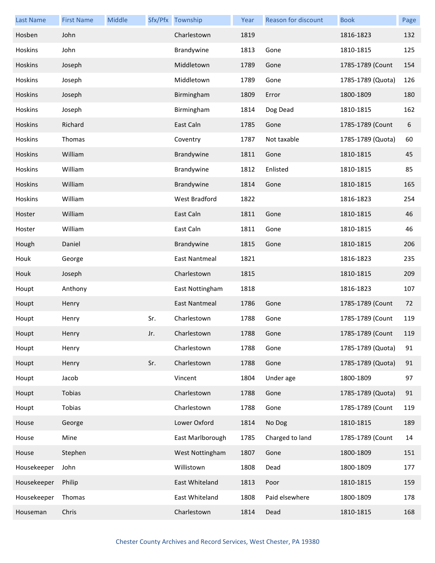| <b>Last Name</b> | <b>First Name</b> | Middle |     | Sfx/Pfx Township     | Year | Reason for discount | <b>Book</b>       | Page |
|------------------|-------------------|--------|-----|----------------------|------|---------------------|-------------------|------|
| Hosben           | John              |        |     | Charlestown          | 1819 |                     | 1816-1823         | 132  |
| Hoskins          | John              |        |     | Brandywine           | 1813 | Gone                | 1810-1815         | 125  |
| <b>Hoskins</b>   | Joseph            |        |     | Middletown           | 1789 | Gone                | 1785-1789 (Count  | 154  |
| Hoskins          | Joseph            |        |     | Middletown           | 1789 | Gone                | 1785-1789 (Quota) | 126  |
| Hoskins          | Joseph            |        |     | Birmingham           | 1809 | Error               | 1800-1809         | 180  |
| Hoskins          | Joseph            |        |     | Birmingham           | 1814 | Dog Dead            | 1810-1815         | 162  |
| Hoskins          | Richard           |        |     | East Caln            | 1785 | Gone                | 1785-1789 (Count  | 6    |
| Hoskins          | Thomas            |        |     | Coventry             | 1787 | Not taxable         | 1785-1789 (Quota) | 60   |
| Hoskins          | William           |        |     | Brandywine           | 1811 | Gone                | 1810-1815         | 45   |
| Hoskins          | William           |        |     | Brandywine           | 1812 | Enlisted            | 1810-1815         | 85   |
| Hoskins          | William           |        |     | Brandywine           | 1814 | Gone                | 1810-1815         | 165  |
| Hoskins          | William           |        |     | West Bradford        | 1822 |                     | 1816-1823         | 254  |
| Hoster           | William           |        |     | East Caln            | 1811 | Gone                | 1810-1815         | 46   |
| Hoster           | William           |        |     | East Caln            | 1811 | Gone                | 1810-1815         | 46   |
| Hough            | Daniel            |        |     | Brandywine           | 1815 | Gone                | 1810-1815         | 206  |
| Houk             | George            |        |     | East Nantmeal        | 1821 |                     | 1816-1823         | 235  |
| Houk             | Joseph            |        |     | Charlestown          | 1815 |                     | 1810-1815         | 209  |
| Houpt            | Anthony           |        |     | East Nottingham      | 1818 |                     | 1816-1823         | 107  |
| Houpt            | Henry             |        |     | <b>East Nantmeal</b> | 1786 | Gone                | 1785-1789 (Count  | 72   |
| Houpt            | Henry             |        | Sr. | Charlestown          | 1788 | Gone                | 1785-1789 (Count  | 119  |
| Houpt            | Henry             |        | Jr. | Charlestown          | 1788 | Gone                | 1785-1789 (Count  | 119  |
| Houpt            | Henry             |        |     | Charlestown          | 1788 | Gone                | 1785-1789 (Quota) | 91   |
| Houpt            | Henry             |        | Sr. | Charlestown          | 1788 | Gone                | 1785-1789 (Quota) | 91   |
| Houpt            | Jacob             |        |     | Vincent              | 1804 | Under age           | 1800-1809         | 97   |
| Houpt            | Tobias            |        |     | Charlestown          | 1788 | Gone                | 1785-1789 (Quota) | 91   |
| Houpt            | Tobias            |        |     | Charlestown          | 1788 | Gone                | 1785-1789 (Count  | 119  |
| House            | George            |        |     | Lower Oxford         | 1814 | No Dog              | 1810-1815         | 189  |
| House            | Mine              |        |     | East Marlborough     | 1785 | Charged to land     | 1785-1789 (Count  | 14   |
| House            | Stephen           |        |     | West Nottingham      | 1807 | Gone                | 1800-1809         | 151  |
| Housekeeper      | John              |        |     | Willistown           | 1808 | Dead                | 1800-1809         | 177  |
| Housekeeper      | Philip            |        |     | East Whiteland       | 1813 | Poor                | 1810-1815         | 159  |
| Housekeeper      | Thomas            |        |     | East Whiteland       | 1808 | Paid elsewhere      | 1800-1809         | 178  |
| Houseman         | Chris             |        |     | Charlestown          | 1814 | Dead                | 1810-1815         | 168  |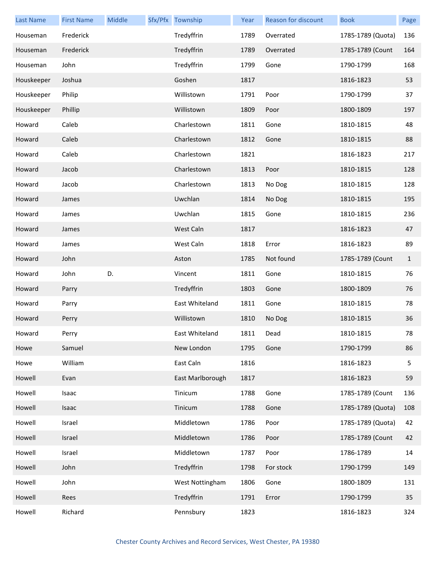| <b>Last Name</b> | <b>First Name</b> | Middle | Sfx/Pfx Township | Year | Reason for discount | <b>Book</b>       | Page         |
|------------------|-------------------|--------|------------------|------|---------------------|-------------------|--------------|
| Houseman         | Frederick         |        | Tredyffrin       | 1789 | Overrated           | 1785-1789 (Quota) | 136          |
| Houseman         | Frederick         |        | Tredyffrin       | 1789 | Overrated           | 1785-1789 (Count  | 164          |
| Houseman         | John              |        | Tredyffrin       | 1799 | Gone                | 1790-1799         | 168          |
| Houskeeper       | Joshua            |        | Goshen           | 1817 |                     | 1816-1823         | 53           |
| Houskeeper       | Philip            |        | Willistown       | 1791 | Poor                | 1790-1799         | 37           |
| Houskeeper       | Phillip           |        | Willistown       | 1809 | Poor                | 1800-1809         | 197          |
| Howard           | Caleb             |        | Charlestown      | 1811 | Gone                | 1810-1815         | 48           |
| Howard           | Caleb             |        | Charlestown      | 1812 | Gone                | 1810-1815         | 88           |
| Howard           | Caleb             |        | Charlestown      | 1821 |                     | 1816-1823         | 217          |
| Howard           | Jacob             |        | Charlestown      | 1813 | Poor                | 1810-1815         | 128          |
| Howard           | Jacob             |        | Charlestown      | 1813 | No Dog              | 1810-1815         | 128          |
| Howard           | James             |        | Uwchlan          | 1814 | No Dog              | 1810-1815         | 195          |
| Howard           | James             |        | Uwchlan          | 1815 | Gone                | 1810-1815         | 236          |
| Howard           | James             |        | West Caln        | 1817 |                     | 1816-1823         | 47           |
| Howard           | James             |        | West Caln        | 1818 | Error               | 1816-1823         | 89           |
| Howard           | John              |        | Aston            | 1785 | Not found           | 1785-1789 (Count  | $\mathbf{1}$ |
| Howard           | John              | D.     | Vincent          | 1811 | Gone                | 1810-1815         | 76           |
| Howard           | Parry             |        | Tredyffrin       | 1803 | Gone                | 1800-1809         | 76           |
| Howard           | Parry             |        | East Whiteland   | 1811 | Gone                | 1810-1815         | 78           |
| Howard           | Perry             |        | Willistown       | 1810 | No Dog              | 1810-1815         | 36           |
| Howard           | Perry             |        | East Whiteland   | 1811 | Dead                | 1810-1815         | 78           |
| Howe             | Samuel            |        | New London       | 1795 | Gone                | 1790-1799         | 86           |
| Howe             | William           |        | East Caln        | 1816 |                     | 1816-1823         | 5            |
| Howell           | Evan              |        | East Marlborough | 1817 |                     | 1816-1823         | 59           |
| Howell           | Isaac             |        | Tinicum          | 1788 | Gone                | 1785-1789 (Count  | 136          |
| Howell           | Isaac             |        | Tinicum          | 1788 | Gone                | 1785-1789 (Quota) | 108          |
| Howell           | Israel            |        | Middletown       | 1786 | Poor                | 1785-1789 (Quota) | 42           |
| Howell           | Israel            |        | Middletown       | 1786 | Poor                | 1785-1789 (Count  | 42           |
| Howell           | Israel            |        | Middletown       | 1787 | Poor                | 1786-1789         | 14           |
| Howell           | John              |        | Tredyffrin       | 1798 | For stock           | 1790-1799         | 149          |
| Howell           | John              |        | West Nottingham  | 1806 | Gone                | 1800-1809         | 131          |
| Howell           | Rees              |        | Tredyffrin       | 1791 | Error               | 1790-1799         | 35           |
| Howell           | Richard           |        | Pennsbury        | 1823 |                     | 1816-1823         | 324          |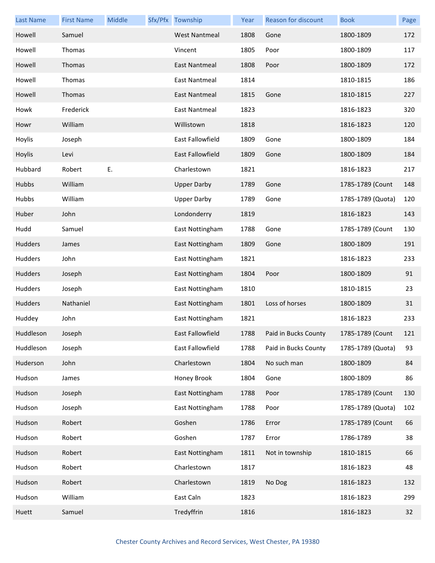| <b>Last Name</b> | <b>First Name</b> | Middle | Sfx/Pfx Township        | Year | <b>Reason for discount</b> | <b>Book</b>       | Page |
|------------------|-------------------|--------|-------------------------|------|----------------------------|-------------------|------|
| Howell           | Samuel            |        | <b>West Nantmeal</b>    | 1808 | Gone                       | 1800-1809         | 172  |
| Howell           | Thomas            |        | Vincent                 | 1805 | Poor                       | 1800-1809         | 117  |
| Howell           | Thomas            |        | <b>East Nantmeal</b>    | 1808 | Poor                       | 1800-1809         | 172  |
| Howell           | Thomas            |        | East Nantmeal           | 1814 |                            | 1810-1815         | 186  |
| Howell           | Thomas            |        | East Nantmeal           | 1815 | Gone                       | 1810-1815         | 227  |
| Howk             | Frederick         |        | East Nantmeal           | 1823 |                            | 1816-1823         | 320  |
| Howr             | William           |        | Willistown              | 1818 |                            | 1816-1823         | 120  |
| Hoylis           | Joseph            |        | East Fallowfield        | 1809 | Gone                       | 1800-1809         | 184  |
| Hoylis           | Levi              |        | <b>East Fallowfield</b> | 1809 | Gone                       | 1800-1809         | 184  |
| Hubbard          | Robert            | E.     | Charlestown             | 1821 |                            | 1816-1823         | 217  |
| Hubbs            | William           |        | <b>Upper Darby</b>      | 1789 | Gone                       | 1785-1789 (Count  | 148  |
| Hubbs            | William           |        | <b>Upper Darby</b>      | 1789 | Gone                       | 1785-1789 (Quota) | 120  |
| Huber            | John              |        | Londonderry             | 1819 |                            | 1816-1823         | 143  |
| Hudd             | Samuel            |        | East Nottingham         | 1788 | Gone                       | 1785-1789 (Count  | 130  |
| Hudders          | James             |        | East Nottingham         | 1809 | Gone                       | 1800-1809         | 191  |
| Hudders          | John              |        | East Nottingham         | 1821 |                            | 1816-1823         | 233  |
| Hudders          | Joseph            |        | East Nottingham         | 1804 | Poor                       | 1800-1809         | 91   |
| Hudders          | Joseph            |        | East Nottingham         | 1810 |                            | 1810-1815         | 23   |
| <b>Hudders</b>   | Nathaniel         |        | East Nottingham         | 1801 | Loss of horses             | 1800-1809         | 31   |
| Huddey           | John              |        | East Nottingham         | 1821 |                            | 1816-1823         | 233  |
| Huddleson        | Joseph            |        | East Fallowfield        | 1788 | Paid in Bucks County       | 1785-1789 (Count  | 121  |
| Huddleson        | Joseph            |        | East Fallowfield        | 1788 | Paid in Bucks County       | 1785-1789 (Quota) | 93   |
| Huderson         | John              |        | Charlestown             | 1804 | No such man                | 1800-1809         | 84   |
| Hudson           | James             |        | Honey Brook             | 1804 | Gone                       | 1800-1809         | 86   |
| Hudson           | Joseph            |        | East Nottingham         | 1788 | Poor                       | 1785-1789 (Count  | 130  |
| Hudson           | Joseph            |        | East Nottingham         | 1788 | Poor                       | 1785-1789 (Quota) | 102  |
| Hudson           | Robert            |        | Goshen                  | 1786 | Error                      | 1785-1789 (Count  | 66   |
| Hudson           | Robert            |        | Goshen                  | 1787 | Error                      | 1786-1789         | 38   |
| Hudson           | Robert            |        | East Nottingham         | 1811 | Not in township            | 1810-1815         | 66   |
| Hudson           | Robert            |        | Charlestown             | 1817 |                            | 1816-1823         | 48   |
| Hudson           | Robert            |        | Charlestown             | 1819 | No Dog                     | 1816-1823         | 132  |
| Hudson           | William           |        | East Caln               | 1823 |                            | 1816-1823         | 299  |
| Huett            | Samuel            |        | Tredyffrin              | 1816 |                            | 1816-1823         | 32   |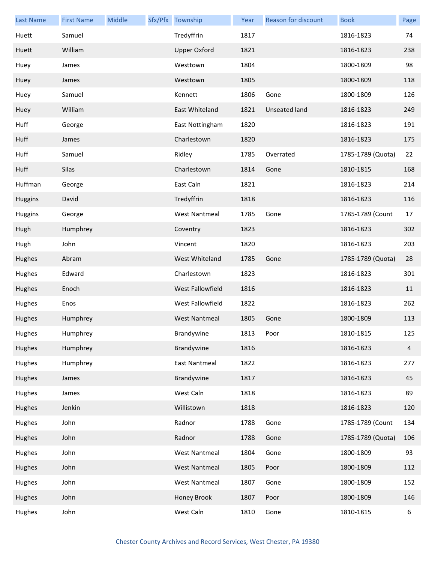| <b>Last Name</b> | <b>First Name</b> | Middle | Sfx/Pfx Township     | Year | Reason for discount | <b>Book</b>       | Page           |
|------------------|-------------------|--------|----------------------|------|---------------------|-------------------|----------------|
| Huett            | Samuel            |        | Tredyffrin           | 1817 |                     | 1816-1823         | 74             |
| Huett            | William           |        | <b>Upper Oxford</b>  | 1821 |                     | 1816-1823         | 238            |
| Huey             | James             |        | Westtown             | 1804 |                     | 1800-1809         | 98             |
| Huey             | James             |        | Westtown             | 1805 |                     | 1800-1809         | 118            |
| Huey             | Samuel            |        | Kennett              | 1806 | Gone                | 1800-1809         | 126            |
| Huey             | William           |        | East Whiteland       | 1821 | Unseated land       | 1816-1823         | 249            |
| Huff             | George            |        | East Nottingham      | 1820 |                     | 1816-1823         | 191            |
| Huff             | James             |        | Charlestown          | 1820 |                     | 1816-1823         | 175            |
| Huff             | Samuel            |        | Ridley               | 1785 | Overrated           | 1785-1789 (Quota) | 22             |
| Huff             | Silas             |        | Charlestown          | 1814 | Gone                | 1810-1815         | 168            |
| Huffman          | George            |        | East Caln            | 1821 |                     | 1816-1823         | 214            |
| <b>Huggins</b>   | David             |        | Tredyffrin           | 1818 |                     | 1816-1823         | 116            |
| <b>Huggins</b>   | George            |        | <b>West Nantmeal</b> | 1785 | Gone                | 1785-1789 (Count  | 17             |
| Hugh             | Humphrey          |        | Coventry             | 1823 |                     | 1816-1823         | 302            |
| Hugh             | John              |        | Vincent              | 1820 |                     | 1816-1823         | 203            |
| Hughes           | Abram             |        | West Whiteland       | 1785 | Gone                | 1785-1789 (Quota) | 28             |
| Hughes           | Edward            |        | Charlestown          | 1823 |                     | 1816-1823         | 301            |
| Hughes           | Enoch             |        | West Fallowfield     | 1816 |                     | 1816-1823         | 11             |
| Hughes           | Enos              |        | West Fallowfield     | 1822 |                     | 1816-1823         | 262            |
| Hughes           | Humphrey          |        | <b>West Nantmeal</b> | 1805 | Gone                | 1800-1809         | 113            |
| Hughes           | Humphrey          |        | Brandywine           | 1813 | Poor                | 1810-1815         | 125            |
| Hughes           | Humphrey          |        | Brandywine           | 1816 |                     | 1816-1823         | $\overline{4}$ |
| Hughes           | Humphrey          |        | East Nantmeal        | 1822 |                     | 1816-1823         | 277            |
| Hughes           | James             |        | Brandywine           | 1817 |                     | 1816-1823         | 45             |
| Hughes           | James             |        | West Caln            | 1818 |                     | 1816-1823         | 89             |
| Hughes           | Jenkin            |        | Willistown           | 1818 |                     | 1816-1823         | 120            |
| Hughes           | John              |        | Radnor               | 1788 | Gone                | 1785-1789 (Count  | 134            |
| Hughes           | John              |        | Radnor               | 1788 | Gone                | 1785-1789 (Quota) | 106            |
| Hughes           | John              |        | <b>West Nantmeal</b> | 1804 | Gone                | 1800-1809         | 93             |
| Hughes           | John              |        | <b>West Nantmeal</b> | 1805 | Poor                | 1800-1809         | 112            |
| Hughes           | John              |        | <b>West Nantmeal</b> | 1807 | Gone                | 1800-1809         | 152            |
| Hughes           | John              |        | Honey Brook          | 1807 | Poor                | 1800-1809         | 146            |
| Hughes           | John              |        | West Caln            | 1810 | Gone                | 1810-1815         | 6              |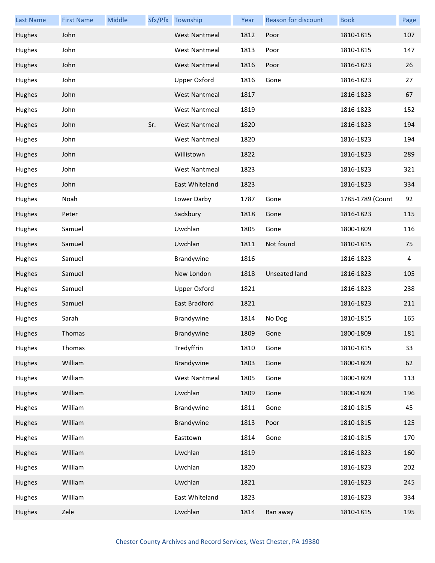| <b>Last Name</b> | <b>First Name</b> | Middle |     | Sfx/Pfx Township     | Year | Reason for discount  | <b>Book</b>      | Page |
|------------------|-------------------|--------|-----|----------------------|------|----------------------|------------------|------|
| Hughes           | John              |        |     | <b>West Nantmeal</b> | 1812 | Poor                 | 1810-1815        | 107  |
| Hughes           | John              |        |     | <b>West Nantmeal</b> | 1813 | Poor                 | 1810-1815        | 147  |
| Hughes           | John              |        |     | <b>West Nantmeal</b> | 1816 | Poor                 | 1816-1823        | 26   |
| Hughes           | John              |        |     | <b>Upper Oxford</b>  | 1816 | Gone                 | 1816-1823        | 27   |
| Hughes           | John              |        |     | <b>West Nantmeal</b> | 1817 |                      | 1816-1823        | 67   |
| Hughes           | John              |        |     | <b>West Nantmeal</b> | 1819 |                      | 1816-1823        | 152  |
| Hughes           | John              |        | Sr. | <b>West Nantmeal</b> | 1820 |                      | 1816-1823        | 194  |
| Hughes           | John              |        |     | <b>West Nantmeal</b> | 1820 |                      | 1816-1823        | 194  |
| Hughes           | John              |        |     | Willistown           | 1822 |                      | 1816-1823        | 289  |
| Hughes           | John              |        |     | <b>West Nantmeal</b> | 1823 |                      | 1816-1823        | 321  |
| Hughes           | John              |        |     | East Whiteland       | 1823 |                      | 1816-1823        | 334  |
| Hughes           | Noah              |        |     | Lower Darby          | 1787 | Gone                 | 1785-1789 (Count | 92   |
| Hughes           | Peter             |        |     | Sadsbury             | 1818 | Gone                 | 1816-1823        | 115  |
| Hughes           | Samuel            |        |     | Uwchlan              | 1805 | Gone                 | 1800-1809        | 116  |
| Hughes           | Samuel            |        |     | Uwchlan              | 1811 | Not found            | 1810-1815        | 75   |
| Hughes           | Samuel            |        |     | Brandywine           | 1816 |                      | 1816-1823        | 4    |
| Hughes           | Samuel            |        |     | New London           | 1818 | <b>Unseated land</b> | 1816-1823        | 105  |
| Hughes           | Samuel            |        |     | <b>Upper Oxford</b>  | 1821 |                      | 1816-1823        | 238  |
| Hughes           | Samuel            |        |     | East Bradford        | 1821 |                      | 1816-1823        | 211  |
| Hughes           | Sarah             |        |     | Brandywine           | 1814 | No Dog               | 1810-1815        | 165  |
| Hughes           | Thomas            |        |     | Brandywine           | 1809 | Gone                 | 1800-1809        | 181  |
| Hughes           | Thomas            |        |     | Tredyffrin           | 1810 | Gone                 | 1810-1815        | 33   |
| Hughes           | William           |        |     | Brandywine           | 1803 | Gone                 | 1800-1809        | 62   |
| Hughes           | William           |        |     | <b>West Nantmeal</b> | 1805 | Gone                 | 1800-1809        | 113  |
| Hughes           | William           |        |     | Uwchlan              | 1809 | Gone                 | 1800-1809        | 196  |
| Hughes           | William           |        |     | Brandywine           | 1811 | Gone                 | 1810-1815        | 45   |
| Hughes           | William           |        |     | Brandywine           | 1813 | Poor                 | 1810-1815        | 125  |
| Hughes           | William           |        |     | Easttown             | 1814 | Gone                 | 1810-1815        | 170  |
| Hughes           | William           |        |     | Uwchlan              | 1819 |                      | 1816-1823        | 160  |
| Hughes           | William           |        |     | Uwchlan              | 1820 |                      | 1816-1823        | 202  |
| Hughes           | William           |        |     | Uwchlan              | 1821 |                      | 1816-1823        | 245  |
| Hughes           | William           |        |     | East Whiteland       | 1823 |                      | 1816-1823        | 334  |
| Hughes           | Zele              |        |     | Uwchlan              | 1814 | Ran away             | 1810-1815        | 195  |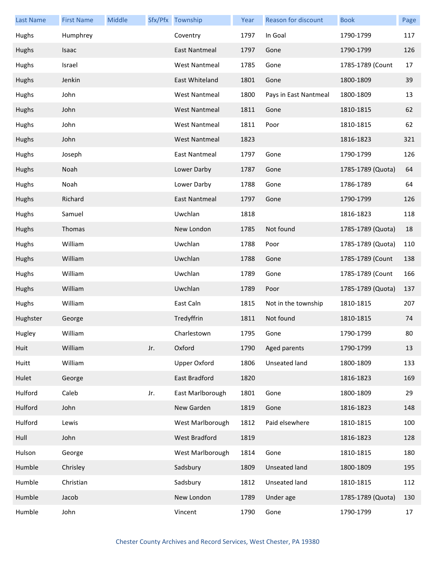| <b>Last Name</b> | <b>First Name</b> | <b>Middle</b> |     | Sfx/Pfx Township     | Year | <b>Reason for discount</b> | <b>Book</b>       | Page |
|------------------|-------------------|---------------|-----|----------------------|------|----------------------------|-------------------|------|
| Hughs            | Humphrey          |               |     | Coventry             | 1797 | In Goal                    | 1790-1799         | 117  |
| Hughs            | Isaac             |               |     | <b>East Nantmeal</b> | 1797 | Gone                       | 1790-1799         | 126  |
| Hughs            | Israel            |               |     | <b>West Nantmeal</b> | 1785 | Gone                       | 1785-1789 (Count  | 17   |
| Hughs            | Jenkin            |               |     | East Whiteland       | 1801 | Gone                       | 1800-1809         | 39   |
| Hughs            | John              |               |     | <b>West Nantmeal</b> | 1800 | Pays in East Nantmeal      | 1800-1809         | 13   |
| Hughs            | John              |               |     | <b>West Nantmeal</b> | 1811 | Gone                       | 1810-1815         | 62   |
| Hughs            | John              |               |     | <b>West Nantmeal</b> | 1811 | Poor                       | 1810-1815         | 62   |
| Hughs            | John              |               |     | <b>West Nantmeal</b> | 1823 |                            | 1816-1823         | 321  |
| Hughs            | Joseph            |               |     | <b>East Nantmeal</b> | 1797 | Gone                       | 1790-1799         | 126  |
| Hughs            | Noah              |               |     | Lower Darby          | 1787 | Gone                       | 1785-1789 (Quota) | 64   |
| Hughs            | Noah              |               |     | Lower Darby          | 1788 | Gone                       | 1786-1789         | 64   |
| Hughs            | Richard           |               |     | East Nantmeal        | 1797 | Gone                       | 1790-1799         | 126  |
| Hughs            | Samuel            |               |     | Uwchlan              | 1818 |                            | 1816-1823         | 118  |
| Hughs            | Thomas            |               |     | New London           | 1785 | Not found                  | 1785-1789 (Quota) | 18   |
| Hughs            | William           |               |     | Uwchlan              | 1788 | Poor                       | 1785-1789 (Quota) | 110  |
| Hughs            | William           |               |     | Uwchlan              | 1788 | Gone                       | 1785-1789 (Count  | 138  |
| Hughs            | William           |               |     | Uwchlan              | 1789 | Gone                       | 1785-1789 (Count  | 166  |
| Hughs            | William           |               |     | Uwchlan              | 1789 | Poor                       | 1785-1789 (Quota) | 137  |
| Hughs            | William           |               |     | East Caln            | 1815 | Not in the township        | 1810-1815         | 207  |
| Hughster         | George            |               |     | Tredyffrin           | 1811 | Not found                  | 1810-1815         | 74   |
| Hugley           | William           |               |     | Charlestown          | 1795 | Gone                       | 1790-1799         | 80   |
| Huit             | William           |               | Jr. | Oxford               | 1790 | Aged parents               | 1790-1799         | 13   |
| Huitt            | William           |               |     | <b>Upper Oxford</b>  | 1806 | Unseated land              | 1800-1809         | 133  |
| Hulet            | George            |               |     | East Bradford        | 1820 |                            | 1816-1823         | 169  |
| Hulford          | Caleb             |               | Jr. | East Marlborough     | 1801 | Gone                       | 1800-1809         | 29   |
| Hulford          | John              |               |     | New Garden           | 1819 | Gone                       | 1816-1823         | 148  |
| Hulford          | Lewis             |               |     | West Marlborough     | 1812 | Paid elsewhere             | 1810-1815         | 100  |
| Hull             | John              |               |     | <b>West Bradford</b> | 1819 |                            | 1816-1823         | 128  |
| Hulson           | George            |               |     | West Marlborough     | 1814 | Gone                       | 1810-1815         | 180  |
| Humble           | Chrisley          |               |     | Sadsbury             | 1809 | Unseated land              | 1800-1809         | 195  |
| Humble           | Christian         |               |     | Sadsbury             | 1812 | Unseated land              | 1810-1815         | 112  |
| Humble           | Jacob             |               |     | New London           | 1789 | Under age                  | 1785-1789 (Quota) | 130  |
| Humble           | John              |               |     | Vincent              | 1790 | Gone                       | 1790-1799         | 17   |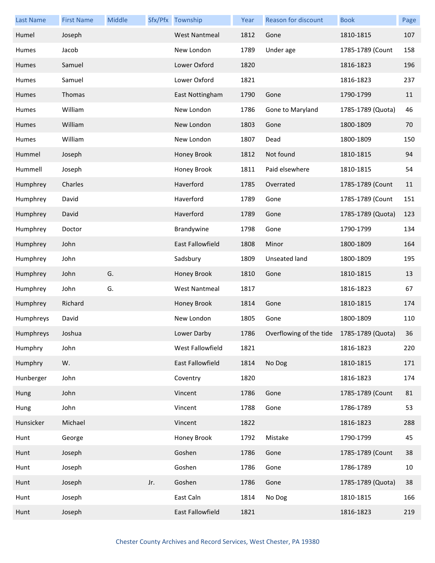| <b>Last Name</b> | <b>First Name</b> | Middle |     | Sfx/Pfx Township        | Year | <b>Reason for discount</b>                | <b>Book</b>       | Page |
|------------------|-------------------|--------|-----|-------------------------|------|-------------------------------------------|-------------------|------|
| Humel            | Joseph            |        |     | <b>West Nantmeal</b>    | 1812 | Gone                                      | 1810-1815         | 107  |
| Humes            | Jacob             |        |     | New London              | 1789 | Under age                                 | 1785-1789 (Count  | 158  |
| Humes            | Samuel            |        |     | Lower Oxford            | 1820 |                                           | 1816-1823         | 196  |
| <b>Humes</b>     | Samuel            |        |     | Lower Oxford            | 1821 |                                           | 1816-1823         | 237  |
| <b>Humes</b>     | Thomas            |        |     | East Nottingham         | 1790 | Gone                                      | 1790-1799         | 11   |
| Humes            | William           |        |     | New London              | 1786 | Gone to Maryland                          | 1785-1789 (Quota) | 46   |
| Humes            | William           |        |     | New London              | 1803 | Gone                                      | 1800-1809         | 70   |
| <b>Humes</b>     | William           |        |     | New London              | 1807 | Dead                                      | 1800-1809         | 150  |
| Hummel           | Joseph            |        |     | Honey Brook             | 1812 | Not found                                 | 1810-1815         | 94   |
| Hummell          | Joseph            |        |     | Honey Brook             | 1811 | Paid elsewhere                            | 1810-1815         | 54   |
| Humphrey         | Charles           |        |     | Haverford               | 1785 | Overrated                                 | 1785-1789 (Count  | 11   |
| Humphrey         | David             |        |     | Haverford               | 1789 | Gone                                      | 1785-1789 (Count  | 151  |
| Humphrey         | David             |        |     | Haverford               | 1789 | Gone                                      | 1785-1789 (Quota) | 123  |
| Humphrey         | Doctor            |        |     | Brandywine              | 1798 | Gone                                      | 1790-1799         | 134  |
| Humphrey         | John              |        |     | <b>East Fallowfield</b> | 1808 | Minor                                     | 1800-1809         | 164  |
| Humphrey         | John              |        |     | Sadsbury                | 1809 | Unseated land                             | 1800-1809         | 195  |
| Humphrey         | John              | G.     |     | Honey Brook             | 1810 | Gone                                      | 1810-1815         | 13   |
| Humphrey         | John              | G.     |     | <b>West Nantmeal</b>    | 1817 |                                           | 1816-1823         | 67   |
| Humphrey         | Richard           |        |     | Honey Brook             | 1814 | Gone                                      | 1810-1815         | 174  |
| Humphreys        | David             |        |     | New London              | 1805 | Gone                                      | 1800-1809         | 110  |
| Humphreys        | Joshua            |        |     | Lower Darby             | 1786 | Overflowing of the tide 1785-1789 (Quota) |                   | 36   |
| Humphry          | John              |        |     | West Fallowfield        | 1821 |                                           | 1816-1823         | 220  |
| Humphry          | W.                |        |     | East Fallowfield        | 1814 | No Dog                                    | 1810-1815         | 171  |
| Hunberger        | John              |        |     | Coventry                | 1820 |                                           | 1816-1823         | 174  |
| Hung             | John              |        |     | Vincent                 | 1786 | Gone                                      | 1785-1789 (Count  | 81   |
| Hung             | John              |        |     | Vincent                 | 1788 | Gone                                      | 1786-1789         | 53   |
| Hunsicker        | Michael           |        |     | Vincent                 | 1822 |                                           | 1816-1823         | 288  |
| Hunt             | George            |        |     | Honey Brook             | 1792 | Mistake                                   | 1790-1799         | 45   |
| Hunt             | Joseph            |        |     | Goshen                  | 1786 | Gone                                      | 1785-1789 (Count  | 38   |
| Hunt             | Joseph            |        |     | Goshen                  | 1786 | Gone                                      | 1786-1789         | 10   |
| Hunt             | Joseph            |        | Jr. | Goshen                  | 1786 | Gone                                      | 1785-1789 (Quota) | 38   |
| Hunt             | Joseph            |        |     | East Caln               | 1814 | No Dog                                    | 1810-1815         | 166  |
| Hunt             | Joseph            |        |     | East Fallowfield        | 1821 |                                           | 1816-1823         | 219  |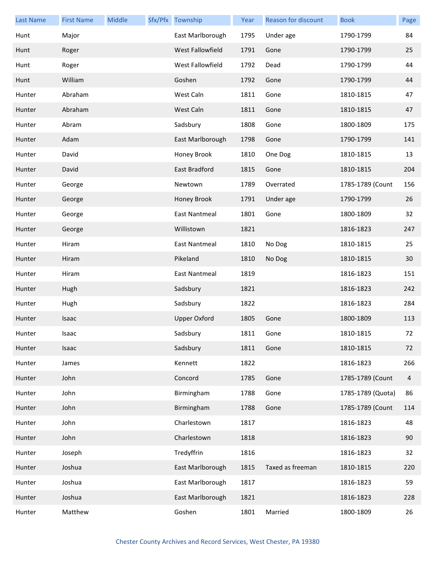| <b>Last Name</b> | <b>First Name</b> | Middle | Sfx/Pfx Township    | Year | <b>Reason for discount</b> | <b>Book</b>       | Page |
|------------------|-------------------|--------|---------------------|------|----------------------------|-------------------|------|
| Hunt             | Major             |        | East Marlborough    | 1795 | Under age                  | 1790-1799         | 84   |
| Hunt             | Roger             |        | West Fallowfield    | 1791 | Gone                       | 1790-1799         | 25   |
| Hunt             | Roger             |        | West Fallowfield    | 1792 | Dead                       | 1790-1799         | 44   |
| Hunt             | William           |        | Goshen              | 1792 | Gone                       | 1790-1799         | 44   |
| Hunter           | Abraham           |        | West Caln           | 1811 | Gone                       | 1810-1815         | 47   |
| Hunter           | Abraham           |        | West Caln           | 1811 | Gone                       | 1810-1815         | 47   |
| Hunter           | Abram             |        | Sadsbury            | 1808 | Gone                       | 1800-1809         | 175  |
| Hunter           | Adam              |        | East Marlborough    | 1798 | Gone                       | 1790-1799         | 141  |
| Hunter           | David             |        | Honey Brook         | 1810 | One Dog                    | 1810-1815         | 13   |
| Hunter           | David             |        | East Bradford       | 1815 | Gone                       | 1810-1815         | 204  |
| Hunter           | George            |        | Newtown             | 1789 | Overrated                  | 1785-1789 (Count  | 156  |
| Hunter           | George            |        | Honey Brook         | 1791 | Under age                  | 1790-1799         | 26   |
| Hunter           | George            |        | East Nantmeal       | 1801 | Gone                       | 1800-1809         | 32   |
| Hunter           | George            |        | Willistown          | 1821 |                            | 1816-1823         | 247  |
| Hunter           | Hiram             |        | East Nantmeal       | 1810 | No Dog                     | 1810-1815         | 25   |
| Hunter           | Hiram             |        | Pikeland            | 1810 | No Dog                     | 1810-1815         | 30   |
| Hunter           | Hiram             |        | East Nantmeal       | 1819 |                            | 1816-1823         | 151  |
| Hunter           | Hugh              |        | Sadsbury            | 1821 |                            | 1816-1823         | 242  |
| Hunter           | Hugh              |        | Sadsbury            | 1822 |                            | 1816-1823         | 284  |
| Hunter           | Isaac             |        | <b>Upper Oxford</b> | 1805 | Gone                       | 1800-1809         | 113  |
| Hunter           | Isaac             |        | Sadsbury            | 1811 | Gone                       | 1810-1815         | 72   |
| Hunter           | Isaac             |        | Sadsbury            | 1811 | Gone                       | 1810-1815         | 72   |
| Hunter           | James             |        | Kennett             | 1822 |                            | 1816-1823         | 266  |
| Hunter           | John              |        | Concord             | 1785 | Gone                       | 1785-1789 (Count  | 4    |
| Hunter           | John              |        | Birmingham          | 1788 | Gone                       | 1785-1789 (Quota) | 86   |
| Hunter           | John              |        | Birmingham          | 1788 | Gone                       | 1785-1789 (Count  | 114  |
| Hunter           | John              |        | Charlestown         | 1817 |                            | 1816-1823         | 48   |
| Hunter           | John              |        | Charlestown         | 1818 |                            | 1816-1823         | 90   |
| Hunter           | Joseph            |        | Tredyffrin          | 1816 |                            | 1816-1823         | 32   |
| Hunter           | Joshua            |        | East Marlborough    | 1815 | Taxed as freeman           | 1810-1815         | 220  |
| Hunter           | Joshua            |        | East Marlborough    | 1817 |                            | 1816-1823         | 59   |
| Hunter           | Joshua            |        | East Marlborough    | 1821 |                            | 1816-1823         | 228  |
| Hunter           | Matthew           |        | Goshen              | 1801 | Married                    | 1800-1809         | 26   |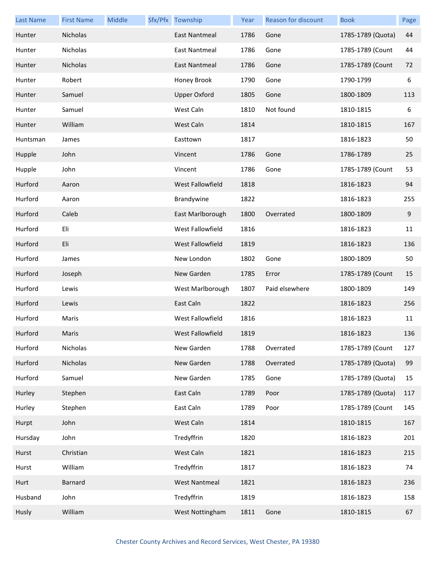| <b>Last Name</b> | <b>First Name</b> | Middle | Sfx/Pfx Township     | Year | Reason for discount | <b>Book</b>       | Page |
|------------------|-------------------|--------|----------------------|------|---------------------|-------------------|------|
| Hunter           | Nicholas          |        | East Nantmeal        | 1786 | Gone                | 1785-1789 (Quota) | 44   |
| Hunter           | Nicholas          |        | East Nantmeal        | 1786 | Gone                | 1785-1789 (Count  | 44   |
| Hunter           | Nicholas          |        | East Nantmeal        | 1786 | Gone                | 1785-1789 (Count  | 72   |
| Hunter           | Robert            |        | Honey Brook          | 1790 | Gone                | 1790-1799         | 6    |
| Hunter           | Samuel            |        | <b>Upper Oxford</b>  | 1805 | Gone                | 1800-1809         | 113  |
| Hunter           | Samuel            |        | West Caln            | 1810 | Not found           | 1810-1815         | 6    |
| Hunter           | William           |        | West Caln            | 1814 |                     | 1810-1815         | 167  |
| Huntsman         | James             |        | Easttown             | 1817 |                     | 1816-1823         | 50   |
| Hupple           | John              |        | Vincent              | 1786 | Gone                | 1786-1789         | 25   |
| Hupple           | John              |        | Vincent              | 1786 | Gone                | 1785-1789 (Count  | 53   |
| Hurford          | Aaron             |        | West Fallowfield     | 1818 |                     | 1816-1823         | 94   |
| Hurford          | Aaron             |        | Brandywine           | 1822 |                     | 1816-1823         | 255  |
| Hurford          | Caleb             |        | East Marlborough     | 1800 | Overrated           | 1800-1809         | 9    |
| Hurford          | Eli               |        | West Fallowfield     | 1816 |                     | 1816-1823         | 11   |
| Hurford          | Eli               |        | West Fallowfield     | 1819 |                     | 1816-1823         | 136  |
| Hurford          | James             |        | New London           | 1802 | Gone                | 1800-1809         | 50   |
| Hurford          | Joseph            |        | New Garden           | 1785 | Error               | 1785-1789 (Count  | 15   |
| Hurford          | Lewis             |        | West Marlborough     | 1807 | Paid elsewhere      | 1800-1809         | 149  |
| Hurford          | Lewis             |        | East Caln            | 1822 |                     | 1816-1823         | 256  |
| Hurford          | Maris             |        | West Fallowfield     | 1816 |                     | 1816-1823         | 11   |
| Hurford          | Maris             |        | West Fallowfield     | 1819 |                     | 1816-1823         | 136  |
| Hurford          | Nicholas          |        | New Garden           | 1788 | Overrated           | 1785-1789 (Count  | 127  |
| Hurford          | Nicholas          |        | New Garden           | 1788 | Overrated           | 1785-1789 (Quota) | 99   |
| Hurford          | Samuel            |        | New Garden           | 1785 | Gone                | 1785-1789 (Quota) | 15   |
| Hurley           | Stephen           |        | East Caln            | 1789 | Poor                | 1785-1789 (Quota) | 117  |
| Hurley           | Stephen           |        | East Caln            | 1789 | Poor                | 1785-1789 (Count  | 145  |
| Hurpt            | John              |        | West Caln            | 1814 |                     | 1810-1815         | 167  |
| Hursday          | John              |        | Tredyffrin           | 1820 |                     | 1816-1823         | 201  |
| Hurst            | Christian         |        | West Caln            | 1821 |                     | 1816-1823         | 215  |
| Hurst            | William           |        | Tredyffrin           | 1817 |                     | 1816-1823         | 74   |
| Hurt             | <b>Barnard</b>    |        | <b>West Nantmeal</b> | 1821 |                     | 1816-1823         | 236  |
| Husband          | John              |        | Tredyffrin           | 1819 |                     | 1816-1823         | 158  |
| Husly            | William           |        | West Nottingham      | 1811 | Gone                | 1810-1815         | 67   |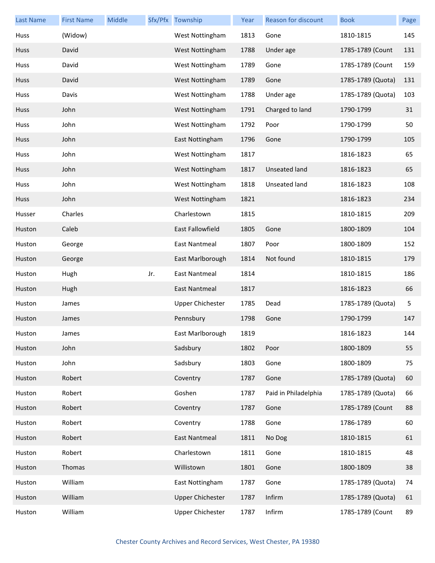| <b>Last Name</b> | <b>First Name</b> | Middle |     | Sfx/Pfx Township        | Year | Reason for discount  | <b>Book</b>       | Page |
|------------------|-------------------|--------|-----|-------------------------|------|----------------------|-------------------|------|
| Huss             | (Widow)           |        |     | West Nottingham         | 1813 | Gone                 | 1810-1815         | 145  |
| <b>Huss</b>      | David             |        |     | West Nottingham         | 1788 | Under age            | 1785-1789 (Count  | 131  |
| Huss             | David             |        |     | West Nottingham         | 1789 | Gone                 | 1785-1789 (Count  | 159  |
| <b>Huss</b>      | David             |        |     | West Nottingham         | 1789 | Gone                 | 1785-1789 (Quota) | 131  |
| Huss             | Davis             |        |     | West Nottingham         | 1788 | Under age            | 1785-1789 (Quota) | 103  |
| <b>Huss</b>      | John              |        |     | West Nottingham         | 1791 | Charged to land      | 1790-1799         | 31   |
| Huss             | John              |        |     | West Nottingham         | 1792 | Poor                 | 1790-1799         | 50   |
| <b>Huss</b>      | John              |        |     | East Nottingham         | 1796 | Gone                 | 1790-1799         | 105  |
| Huss             | John              |        |     | West Nottingham         | 1817 |                      | 1816-1823         | 65   |
| <b>Huss</b>      | John              |        |     | West Nottingham         | 1817 | <b>Unseated land</b> | 1816-1823         | 65   |
| Huss             | John              |        |     | West Nottingham         | 1818 | Unseated land        | 1816-1823         | 108  |
| <b>Huss</b>      | John              |        |     | West Nottingham         | 1821 |                      | 1816-1823         | 234  |
| Husser           | Charles           |        |     | Charlestown             | 1815 |                      | 1810-1815         | 209  |
| Huston           | Caleb             |        |     | East Fallowfield        | 1805 | Gone                 | 1800-1809         | 104  |
| Huston           | George            |        |     | <b>East Nantmeal</b>    | 1807 | Poor                 | 1800-1809         | 152  |
| Huston           | George            |        |     | East Marlborough        | 1814 | Not found            | 1810-1815         | 179  |
| Huston           | Hugh              |        | Jr. | <b>East Nantmeal</b>    | 1814 |                      | 1810-1815         | 186  |
| Huston           | Hugh              |        |     | <b>East Nantmeal</b>    | 1817 |                      | 1816-1823         | 66   |
| Huston           | James             |        |     | <b>Upper Chichester</b> | 1785 | Dead                 | 1785-1789 (Quota) | 5    |
| Huston           | James             |        |     | Pennsbury               | 1798 | Gone                 | 1790-1799         | 147  |
| Huston           | James             |        |     | East Marlborough        | 1819 |                      | 1816-1823         | 144  |
| Huston           | John              |        |     | Sadsbury                | 1802 | Poor                 | 1800-1809         | 55   |
| Huston           | John              |        |     | Sadsbury                | 1803 | Gone                 | 1800-1809         | 75   |
| Huston           | Robert            |        |     | Coventry                | 1787 | Gone                 | 1785-1789 (Quota) | 60   |
| Huston           | Robert            |        |     | Goshen                  | 1787 | Paid in Philadelphia | 1785-1789 (Quota) | 66   |
| Huston           | Robert            |        |     | Coventry                | 1787 | Gone                 | 1785-1789 (Count  | 88   |
| Huston           | Robert            |        |     | Coventry                | 1788 | Gone                 | 1786-1789         | 60   |
| Huston           | Robert            |        |     | <b>East Nantmeal</b>    | 1811 | No Dog               | 1810-1815         | 61   |
| Huston           | Robert            |        |     | Charlestown             | 1811 | Gone                 | 1810-1815         | 48   |
| Huston           | Thomas            |        |     | Willistown              | 1801 | Gone                 | 1800-1809         | 38   |
| Huston           | William           |        |     | East Nottingham         | 1787 | Gone                 | 1785-1789 (Quota) | 74   |
| Huston           | William           |        |     | <b>Upper Chichester</b> | 1787 | Infirm               | 1785-1789 (Quota) | 61   |
| Huston           | William           |        |     | <b>Upper Chichester</b> | 1787 | Infirm               | 1785-1789 (Count  | 89   |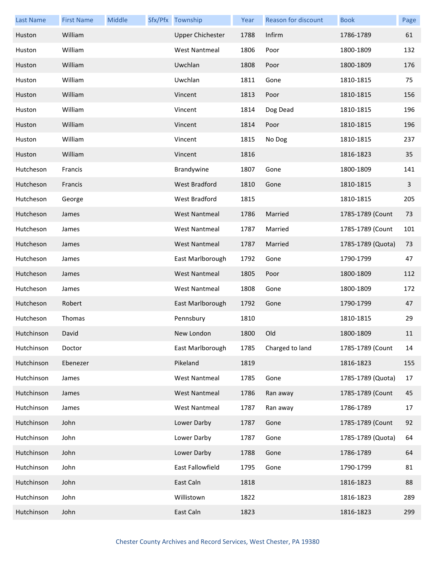| <b>Last Name</b> | <b>First Name</b> | Middle | Sfx/Pfx Township        | Year | Reason for discount | <b>Book</b>       | Page |
|------------------|-------------------|--------|-------------------------|------|---------------------|-------------------|------|
| Huston           | William           |        | <b>Upper Chichester</b> | 1788 | Infirm              | 1786-1789         | 61   |
| Huston           | William           |        | <b>West Nantmeal</b>    | 1806 | Poor                | 1800-1809         | 132  |
| Huston           | William           |        | Uwchlan                 | 1808 | Poor                | 1800-1809         | 176  |
| Huston           | William           |        | Uwchlan                 | 1811 | Gone                | 1810-1815         | 75   |
| Huston           | William           |        | Vincent                 | 1813 | Poor                | 1810-1815         | 156  |
| Huston           | William           |        | Vincent                 | 1814 | Dog Dead            | 1810-1815         | 196  |
| Huston           | William           |        | Vincent                 | 1814 | Poor                | 1810-1815         | 196  |
| Huston           | William           |        | Vincent                 | 1815 | No Dog              | 1810-1815         | 237  |
| Huston           | William           |        | Vincent                 | 1816 |                     | 1816-1823         | 35   |
| Hutcheson        | Francis           |        | Brandywine              | 1807 | Gone                | 1800-1809         | 141  |
| Hutcheson        | Francis           |        | West Bradford           | 1810 | Gone                | 1810-1815         | 3    |
| Hutcheson        | George            |        | <b>West Bradford</b>    | 1815 |                     | 1810-1815         | 205  |
| Hutcheson        | James             |        | <b>West Nantmeal</b>    | 1786 | Married             | 1785-1789 (Count  | 73   |
| Hutcheson        | James             |        | <b>West Nantmeal</b>    | 1787 | Married             | 1785-1789 (Count  | 101  |
| Hutcheson        | James             |        | <b>West Nantmeal</b>    | 1787 | Married             | 1785-1789 (Quota) | 73   |
| Hutcheson        | James             |        | East Marlborough        | 1792 | Gone                | 1790-1799         | 47   |
| Hutcheson        | James             |        | <b>West Nantmeal</b>    | 1805 | Poor                | 1800-1809         | 112  |
| Hutcheson        | James             |        | <b>West Nantmeal</b>    | 1808 | Gone                | 1800-1809         | 172  |
| Hutcheson        | Robert            |        | East Marlborough        | 1792 | Gone                | 1790-1799         | 47   |
| Hutcheson        | Thomas            |        | Pennsbury               | 1810 |                     | 1810-1815         | 29   |
| Hutchinson       | David             |        | New London              | 1800 | Old                 | 1800-1809         | 11   |
| Hutchinson       | Doctor            |        | East Marlborough        | 1785 | Charged to land     | 1785-1789 (Count  | 14   |
| Hutchinson       | Ebenezer          |        | Pikeland                | 1819 |                     | 1816-1823         | 155  |
| Hutchinson       | James             |        | <b>West Nantmeal</b>    | 1785 | Gone                | 1785-1789 (Quota) | 17   |
| Hutchinson       | James             |        | <b>West Nantmeal</b>    | 1786 | Ran away            | 1785-1789 (Count  | 45   |
| Hutchinson       | James             |        | <b>West Nantmeal</b>    | 1787 | Ran away            | 1786-1789         | 17   |
| Hutchinson       | John              |        | Lower Darby             | 1787 | Gone                | 1785-1789 (Count  | 92   |
| Hutchinson       | John              |        | Lower Darby             | 1787 | Gone                | 1785-1789 (Quota) | 64   |
| Hutchinson       | John              |        | Lower Darby             | 1788 | Gone                | 1786-1789         | 64   |
| Hutchinson       | John              |        | East Fallowfield        | 1795 | Gone                | 1790-1799         | 81   |
| Hutchinson       | John              |        | East Caln               | 1818 |                     | 1816-1823         | 88   |
| Hutchinson       | John              |        | Willistown              | 1822 |                     | 1816-1823         | 289  |
| Hutchinson       | John              |        | East Caln               | 1823 |                     | 1816-1823         | 299  |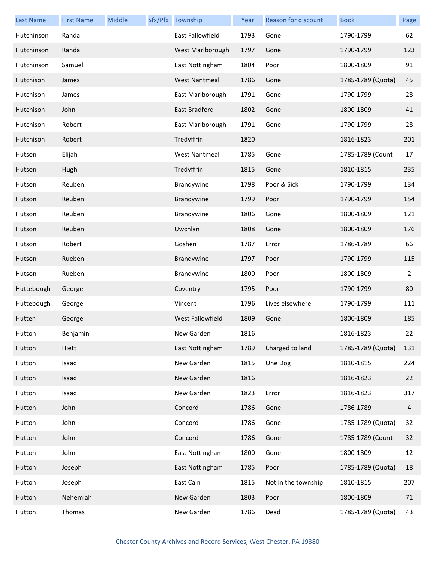| <b>Last Name</b> | <b>First Name</b> | Middle | Sfx/Pfx Township        | Year | Reason for discount | <b>Book</b>       | Page           |
|------------------|-------------------|--------|-------------------------|------|---------------------|-------------------|----------------|
| Hutchinson       | Randal            |        | East Fallowfield        | 1793 | Gone                | 1790-1799         | 62             |
| Hutchinson       | Randal            |        | West Marlborough        | 1797 | Gone                | 1790-1799         | 123            |
| Hutchinson       | Samuel            |        | East Nottingham         | 1804 | Poor                | 1800-1809         | 91             |
| Hutchison        | James             |        | <b>West Nantmeal</b>    | 1786 | Gone                | 1785-1789 (Quota) | 45             |
| Hutchison        | James             |        | East Marlborough        | 1791 | Gone                | 1790-1799         | 28             |
| Hutchison        | John              |        | East Bradford           | 1802 | Gone                | 1800-1809         | 41             |
| Hutchison        | Robert            |        | East Marlborough        | 1791 | Gone                | 1790-1799         | 28             |
| Hutchison        | Robert            |        | Tredyffrin              | 1820 |                     | 1816-1823         | 201            |
| Hutson           | Elijah            |        | <b>West Nantmeal</b>    | 1785 | Gone                | 1785-1789 (Count  | 17             |
| Hutson           | Hugh              |        | Tredyffrin              | 1815 | Gone                | 1810-1815         | 235            |
| Hutson           | Reuben            |        | Brandywine              | 1798 | Poor & Sick         | 1790-1799         | 134            |
| Hutson           | Reuben            |        | Brandywine              | 1799 | Poor                | 1790-1799         | 154            |
| Hutson           | Reuben            |        | Brandywine              | 1806 | Gone                | 1800-1809         | 121            |
| Hutson           | Reuben            |        | Uwchlan                 | 1808 | Gone                | 1800-1809         | 176            |
| Hutson           | Robert            |        | Goshen                  | 1787 | Error               | 1786-1789         | 66             |
| Hutson           | Rueben            |        | Brandywine              | 1797 | Poor                | 1790-1799         | 115            |
| Hutson           | Rueben            |        | Brandywine              | 1800 | Poor                | 1800-1809         | 2              |
| Huttebough       | George            |        | Coventry                | 1795 | Poor                | 1790-1799         | 80             |
| Huttebough       | George            |        | Vincent                 | 1796 | Lives elsewhere     | 1790-1799         | 111            |
| Hutten           | George            |        | <b>West Fallowfield</b> | 1809 | Gone                | 1800-1809         | 185            |
| Hutton           | Benjamin          |        | New Garden              | 1816 |                     | 1816-1823         | 22             |
| Hutton           | Hiett             |        | East Nottingham         | 1789 | Charged to land     | 1785-1789 (Quota) | 131            |
| Hutton           | Isaac             |        | New Garden              | 1815 | One Dog             | 1810-1815         | 224            |
| Hutton           | Isaac             |        | New Garden              | 1816 |                     | 1816-1823         | 22             |
| Hutton           | Isaac             |        | New Garden              | 1823 | Error               | 1816-1823         | 317            |
| Hutton           | John              |        | Concord                 | 1786 | Gone                | 1786-1789         | $\overline{4}$ |
| Hutton           | John              |        | Concord                 | 1786 | Gone                | 1785-1789 (Quota) | 32             |
| Hutton           | John              |        | Concord                 | 1786 | Gone                | 1785-1789 (Count  | 32             |
| Hutton           | John              |        | East Nottingham         | 1800 | Gone                | 1800-1809         | 12             |
| Hutton           | Joseph            |        | East Nottingham         | 1785 | Poor                | 1785-1789 (Quota) | 18             |
| Hutton           | Joseph            |        | East Caln               | 1815 | Not in the township | 1810-1815         | 207            |
| Hutton           | Nehemiah          |        | New Garden              | 1803 | Poor                | 1800-1809         | 71             |
| Hutton           | Thomas            |        | New Garden              | 1786 | Dead                | 1785-1789 (Quota) | 43             |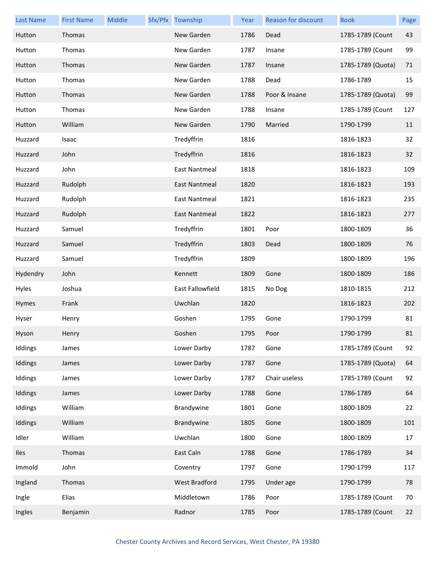| <b>Last Name</b> | <b>First Name</b> | Middle | Sfx/Pfx Township     | Year | Reason for discount | <b>Book</b>       | Page |
|------------------|-------------------|--------|----------------------|------|---------------------|-------------------|------|
| Hutton           | Thomas            |        | New Garden           | 1786 | Dead                | 1785-1789 (Count  | 43   |
| Hutton           | Thomas            |        | New Garden           | 1787 | Insane              | 1785-1789 (Count  | 99   |
| Hutton           | Thomas            |        | New Garden           | 1787 | Insane              | 1785-1789 (Quota) | 71   |
| Hutton           | Thomas            |        | New Garden           | 1788 | Dead                | 1786-1789         | 15   |
| Hutton           | Thomas            |        | New Garden           | 1788 | Poor & Insane       | 1785-1789 (Quota) | 99   |
| Hutton           | Thomas            |        | New Garden           | 1788 | Insane              | 1785-1789 (Count  | 127  |
| Hutton           | William           |        | New Garden           | 1790 | Married             | 1790-1799         | 11   |
| Huzzard          | Isaac             |        | Tredyffrin           | 1816 |                     | 1816-1823         | 32   |
| Huzzard          | John              |        | Tredyffrin           | 1816 |                     | 1816-1823         | 32   |
| Huzzard          | John              |        | East Nantmeal        | 1818 |                     | 1816-1823         | 109  |
| Huzzard          | Rudolph           |        | <b>East Nantmeal</b> | 1820 |                     | 1816-1823         | 193  |
| Huzzard          | Rudolph           |        | <b>East Nantmeal</b> | 1821 |                     | 1816-1823         | 235  |
| Huzzard          | Rudolph           |        | <b>East Nantmeal</b> | 1822 |                     | 1816-1823         | 277  |
| Huzzard          | Samuel            |        | Tredyffrin           | 1801 | Poor                | 1800-1809         | 36   |
| Huzzard          | Samuel            |        | Tredyffrin           | 1803 | Dead                | 1800-1809         | 76   |
| Huzzard          | Samuel            |        | Tredyffrin           | 1809 |                     | 1800-1809         | 196  |
| Hydendry         | John              |        | Kennett              | 1809 | Gone                | 1800-1809         | 186  |
| Hyles            | Joshua            |        | East Fallowfield     | 1815 | No Dog              | 1810-1815         | 212  |
| Hymes            | Frank             |        | Uwchlan              | 1820 |                     | 1816-1823         | 202  |
| Hyser            | Henry             |        | Goshen               | 1795 | Gone                | 1790-1799         | 81   |
| Hyson            | Henry             |        | Goshen               | 1795 | Poor                | 1790-1799         | 81   |
| Iddings          | James             |        | Lower Darby          | 1787 | Gone                | 1785-1789 (Count  | 92   |
| Iddings          | James             |        | Lower Darby          | 1787 | Gone                | 1785-1789 (Quota) | 64   |
| Iddings          | James             |        | Lower Darby          | 1787 | Chair useless       | 1785-1789 (Count  | 92   |
| Iddings          | James             |        | Lower Darby          | 1788 | Gone                | 1786-1789         | 64   |
| Iddings          | William           |        | Brandywine           | 1801 | Gone                | 1800-1809         | 22   |
| Iddings          | William           |        | Brandywine           | 1805 | Gone                | 1800-1809         | 101  |
| Idler            | William           |        | Uwchlan              | 1800 | Gone                | 1800-1809         | 17   |
| Iles             | Thomas            |        | East Caln            | 1788 | Gone                | 1786-1789         | 34   |
| Immold           | John              |        | Coventry             | 1797 | Gone                | 1790-1799         | 117  |
| Ingland          | Thomas            |        | West Bradford        | 1795 | Under age           | 1790-1799         | 78   |
| Ingle            | Elias             |        | Middletown           | 1786 | Poor                | 1785-1789 (Count  | 70   |
| Ingles           | Benjamin          |        | Radnor               | 1785 | Poor                | 1785-1789 (Count  | 22   |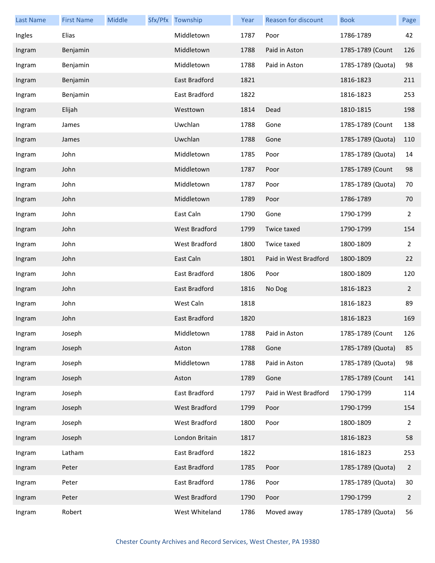| <b>Last Name</b> | <b>First Name</b> | Middle | Sfx/Pfx Township     | Year | Reason for discount   | <b>Book</b>       | Page           |
|------------------|-------------------|--------|----------------------|------|-----------------------|-------------------|----------------|
| Ingles           | Elias             |        | Middletown           | 1787 | Poor                  | 1786-1789         | 42             |
| Ingram           | Benjamin          |        | Middletown           | 1788 | Paid in Aston         | 1785-1789 (Count  | 126            |
| Ingram           | Benjamin          |        | Middletown           | 1788 | Paid in Aston         | 1785-1789 (Quota) | 98             |
| Ingram           | Benjamin          |        | East Bradford        | 1821 |                       | 1816-1823         | 211            |
| Ingram           | Benjamin          |        | East Bradford        | 1822 |                       | 1816-1823         | 253            |
| Ingram           | Elijah            |        | Westtown             | 1814 | Dead                  | 1810-1815         | 198            |
| Ingram           | James             |        | Uwchlan              | 1788 | Gone                  | 1785-1789 (Count  | 138            |
| Ingram           | James             |        | Uwchlan              | 1788 | Gone                  | 1785-1789 (Quota) | 110            |
| Ingram           | John              |        | Middletown           | 1785 | Poor                  | 1785-1789 (Quota) | 14             |
| Ingram           | John              |        | Middletown           | 1787 | Poor                  | 1785-1789 (Count  | 98             |
| Ingram           | John              |        | Middletown           | 1787 | Poor                  | 1785-1789 (Quota) | 70             |
| Ingram           | John              |        | Middletown           | 1789 | Poor                  | 1786-1789         | 70             |
| Ingram           | John              |        | East Caln            | 1790 | Gone                  | 1790-1799         | 2              |
| Ingram           | John              |        | <b>West Bradford</b> | 1799 | Twice taxed           | 1790-1799         | 154            |
| Ingram           | John              |        | West Bradford        | 1800 | Twice taxed           | 1800-1809         | 2              |
| Ingram           | John              |        | East Caln            | 1801 | Paid in West Bradford | 1800-1809         | 22             |
| Ingram           | John              |        | East Bradford        | 1806 | Poor                  | 1800-1809         | 120            |
| Ingram           | John              |        | East Bradford        | 1816 | No Dog                | 1816-1823         | $\overline{2}$ |
| Ingram           | John              |        | West Caln            | 1818 |                       | 1816-1823         | 89             |
| Ingram           | John              |        | East Bradford        | 1820 |                       | 1816-1823         | 169            |
| Ingram           | Joseph            |        | Middletown           | 1788 | Paid in Aston         | 1785-1789 (Count  | 126            |
| Ingram           | Joseph            |        | Aston                | 1788 | Gone                  | 1785-1789 (Quota) | 85             |
| Ingram           | Joseph            |        | Middletown           | 1788 | Paid in Aston         | 1785-1789 (Quota) | 98             |
| Ingram           | Joseph            |        | Aston                | 1789 | Gone                  | 1785-1789 (Count  | 141            |
| Ingram           | Joseph            |        | East Bradford        | 1797 | Paid in West Bradford | 1790-1799         | 114            |
| Ingram           | Joseph            |        | West Bradford        | 1799 | Poor                  | 1790-1799         | 154            |
| Ingram           | Joseph            |        | West Bradford        | 1800 | Poor                  | 1800-1809         | $\overline{2}$ |
| Ingram           | Joseph            |        | London Britain       | 1817 |                       | 1816-1823         | 58             |
| Ingram           | Latham            |        | East Bradford        | 1822 |                       | 1816-1823         | 253            |
| Ingram           | Peter             |        | East Bradford        | 1785 | Poor                  | 1785-1789 (Quota) | $\overline{2}$ |
| Ingram           | Peter             |        | East Bradford        | 1786 | Poor                  | 1785-1789 (Quota) | 30             |
| Ingram           | Peter             |        | <b>West Bradford</b> | 1790 | Poor                  | 1790-1799         | $\overline{2}$ |
| Ingram           | Robert            |        | West Whiteland       | 1786 | Moved away            | 1785-1789 (Quota) | 56             |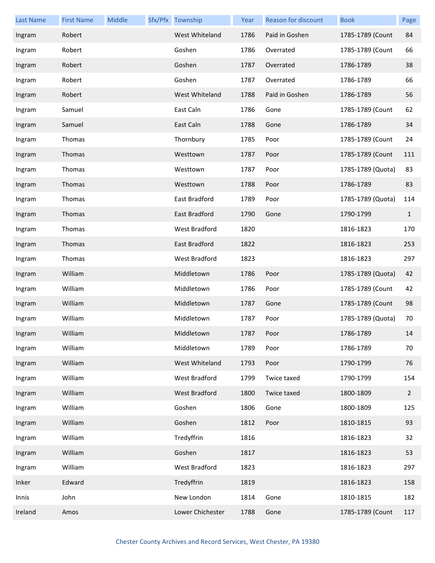| <b>Last Name</b> | <b>First Name</b> | Middle | Sfx/Pfx Township | Year | Reason for discount | <b>Book</b>       | Page           |
|------------------|-------------------|--------|------------------|------|---------------------|-------------------|----------------|
| Ingram           | Robert            |        | West Whiteland   | 1786 | Paid in Goshen      | 1785-1789 (Count  | 84             |
| Ingram           | Robert            |        | Goshen           | 1786 | Overrated           | 1785-1789 (Count  | 66             |
| Ingram           | Robert            |        | Goshen           | 1787 | Overrated           | 1786-1789         | 38             |
| Ingram           | Robert            |        | Goshen           | 1787 | Overrated           | 1786-1789         | 66             |
| Ingram           | Robert            |        | West Whiteland   | 1788 | Paid in Goshen      | 1786-1789         | 56             |
| Ingram           | Samuel            |        | East Caln        | 1786 | Gone                | 1785-1789 (Count  | 62             |
| Ingram           | Samuel            |        | East Caln        | 1788 | Gone                | 1786-1789         | 34             |
| Ingram           | Thomas            |        | Thornbury        | 1785 | Poor                | 1785-1789 (Count  | 24             |
| Ingram           | Thomas            |        | Westtown         | 1787 | Poor                | 1785-1789 (Count  | 111            |
| Ingram           | Thomas            |        | Westtown         | 1787 | Poor                | 1785-1789 (Quota) | 83             |
| Ingram           | Thomas            |        | Westtown         | 1788 | Poor                | 1786-1789         | 83             |
| Ingram           | Thomas            |        | East Bradford    | 1789 | Poor                | 1785-1789 (Quota) | 114            |
| Ingram           | Thomas            |        | East Bradford    | 1790 | Gone                | 1790-1799         | $\mathbf{1}$   |
| Ingram           | Thomas            |        | West Bradford    | 1820 |                     | 1816-1823         | 170            |
| Ingram           | Thomas            |        | East Bradford    | 1822 |                     | 1816-1823         | 253            |
| Ingram           | Thomas            |        | West Bradford    | 1823 |                     | 1816-1823         | 297            |
| Ingram           | William           |        | Middletown       | 1786 | Poor                | 1785-1789 (Quota) | 42             |
| Ingram           | William           |        | Middletown       | 1786 | Poor                | 1785-1789 (Count  | 42             |
| Ingram           | William           |        | Middletown       | 1787 | Gone                | 1785-1789 (Count  | 98             |
| Ingram           | William           |        | Middletown       | 1787 | Poor                | 1785-1789 (Quota) | 70             |
| Ingram           | William           |        | Middletown       | 1787 | Poor                | 1786-1789         | 14             |
| Ingram           | William           |        | Middletown       | 1789 | Poor                | 1786-1789         | 70             |
| Ingram           | William           |        | West Whiteland   | 1793 | Poor                | 1790-1799         | 76             |
| Ingram           | William           |        | West Bradford    | 1799 | Twice taxed         | 1790-1799         | 154            |
| Ingram           | William           |        | West Bradford    | 1800 | Twice taxed         | 1800-1809         | $\overline{2}$ |
| Ingram           | William           |        | Goshen           | 1806 | Gone                | 1800-1809         | 125            |
| Ingram           | William           |        | Goshen           | 1812 | Poor                | 1810-1815         | 93             |
| Ingram           | William           |        | Tredyffrin       | 1816 |                     | 1816-1823         | 32             |
| Ingram           | William           |        | Goshen           | 1817 |                     | 1816-1823         | 53             |
| Ingram           | William           |        | West Bradford    | 1823 |                     | 1816-1823         | 297            |
| Inker            | Edward            |        | Tredyffrin       | 1819 |                     | 1816-1823         | 158            |
| Innis            | John              |        | New London       | 1814 | Gone                | 1810-1815         | 182            |
| Ireland          | Amos              |        | Lower Chichester | 1788 | Gone                | 1785-1789 (Count  | 117            |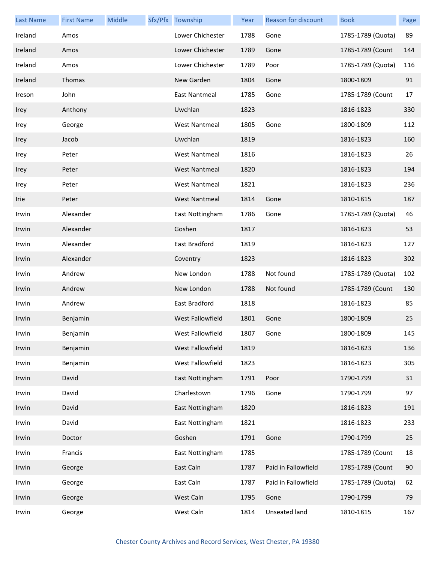| <b>Last Name</b> | <b>First Name</b> | Middle | Sfx/Pfx Township        | Year | <b>Reason for discount</b> | <b>Book</b>       | Page |
|------------------|-------------------|--------|-------------------------|------|----------------------------|-------------------|------|
| Ireland          | Amos              |        | Lower Chichester        | 1788 | Gone                       | 1785-1789 (Quota) | 89   |
| Ireland          | Amos              |        | Lower Chichester        | 1789 | Gone                       | 1785-1789 (Count  | 144  |
| Ireland          | Amos              |        | Lower Chichester        | 1789 | Poor                       | 1785-1789 (Quota) | 116  |
| Ireland          | Thomas            |        | New Garden              | 1804 | Gone                       | 1800-1809         | 91   |
| Ireson           | John              |        | East Nantmeal           | 1785 | Gone                       | 1785-1789 (Count  | 17   |
| Irey             | Anthony           |        | Uwchlan                 | 1823 |                            | 1816-1823         | 330  |
| Irey             | George            |        | <b>West Nantmeal</b>    | 1805 | Gone                       | 1800-1809         | 112  |
| Irey             | Jacob             |        | Uwchlan                 | 1819 |                            | 1816-1823         | 160  |
| Irey             | Peter             |        | <b>West Nantmeal</b>    | 1816 |                            | 1816-1823         | 26   |
| Irey             | Peter             |        | <b>West Nantmeal</b>    | 1820 |                            | 1816-1823         | 194  |
| Irey             | Peter             |        | <b>West Nantmeal</b>    | 1821 |                            | 1816-1823         | 236  |
| Irie             | Peter             |        | <b>West Nantmeal</b>    | 1814 | Gone                       | 1810-1815         | 187  |
| Irwin            | Alexander         |        | East Nottingham         | 1786 | Gone                       | 1785-1789 (Quota) | 46   |
| Irwin            | Alexander         |        | Goshen                  | 1817 |                            | 1816-1823         | 53   |
| Irwin            | Alexander         |        | East Bradford           | 1819 |                            | 1816-1823         | 127  |
| Irwin            | Alexander         |        | Coventry                | 1823 |                            | 1816-1823         | 302  |
| Irwin            | Andrew            |        | New London              | 1788 | Not found                  | 1785-1789 (Quota) | 102  |
| Irwin            | Andrew            |        | New London              | 1788 | Not found                  | 1785-1789 (Count  | 130  |
| Irwin            | Andrew            |        | East Bradford           | 1818 |                            | 1816-1823         | 85   |
| Irwin            | Benjamin          |        | <b>West Fallowfield</b> | 1801 | Gone                       | 1800-1809         | 25   |
| Irwin            | Benjamin          |        | West Fallowfield        | 1807 | Gone                       | 1800-1809         | 145  |
| Irwin            | Benjamin          |        | West Fallowfield        | 1819 |                            | 1816-1823         | 136  |
| Irwin            | Benjamin          |        | West Fallowfield        | 1823 |                            | 1816-1823         | 305  |
| Irwin            | David             |        | East Nottingham         | 1791 | Poor                       | 1790-1799         | 31   |
| Irwin            | David             |        | Charlestown             | 1796 | Gone                       | 1790-1799         | 97   |
| Irwin            | David             |        | East Nottingham         | 1820 |                            | 1816-1823         | 191  |
| Irwin            | David             |        | East Nottingham         | 1821 |                            | 1816-1823         | 233  |
| Irwin            | Doctor            |        | Goshen                  | 1791 | Gone                       | 1790-1799         | 25   |
| Irwin            | Francis           |        | East Nottingham         | 1785 |                            | 1785-1789 (Count  | 18   |
| Irwin            | George            |        | East Caln               | 1787 | Paid in Fallowfield        | 1785-1789 (Count  | 90   |
| Irwin            | George            |        | East Caln               | 1787 | Paid in Fallowfield        | 1785-1789 (Quota) | 62   |
| Irwin            | George            |        | West Caln               | 1795 | Gone                       | 1790-1799         | 79   |
| Irwin            | George            |        | West Caln               | 1814 | Unseated land              | 1810-1815         | 167  |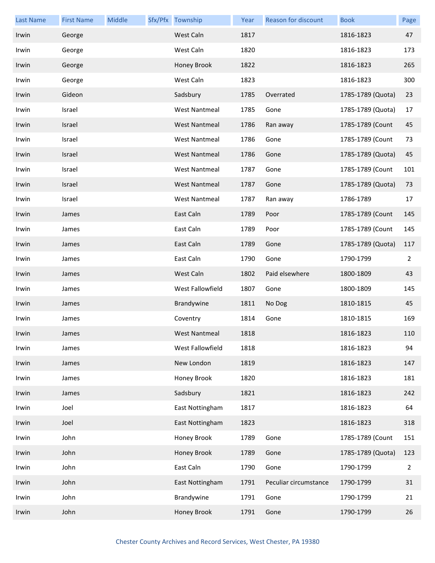| <b>Last Name</b> | <b>First Name</b> | Middle | Sfx/Pfx Township     | Year | Reason for discount   | <b>Book</b>       | Page           |
|------------------|-------------------|--------|----------------------|------|-----------------------|-------------------|----------------|
| Irwin            | George            |        | West Caln            | 1817 |                       | 1816-1823         | 47             |
| Irwin            | George            |        | West Caln            | 1820 |                       | 1816-1823         | 173            |
| Irwin            | George            |        | Honey Brook          | 1822 |                       | 1816-1823         | 265            |
| Irwin            | George            |        | West Caln            | 1823 |                       | 1816-1823         | 300            |
| Irwin            | Gideon            |        | Sadsbury             | 1785 | Overrated             | 1785-1789 (Quota) | 23             |
| Irwin            | Israel            |        | <b>West Nantmeal</b> | 1785 | Gone                  | 1785-1789 (Quota) | 17             |
| Irwin            | Israel            |        | <b>West Nantmeal</b> | 1786 | Ran away              | 1785-1789 (Count  | 45             |
| Irwin            | Israel            |        | <b>West Nantmeal</b> | 1786 | Gone                  | 1785-1789 (Count  | 73             |
| Irwin            | Israel            |        | <b>West Nantmeal</b> | 1786 | Gone                  | 1785-1789 (Quota) | 45             |
| Irwin            | Israel            |        | <b>West Nantmeal</b> | 1787 | Gone                  | 1785-1789 (Count  | 101            |
| Irwin            | Israel            |        | <b>West Nantmeal</b> | 1787 | Gone                  | 1785-1789 (Quota) | 73             |
| Irwin            | Israel            |        | <b>West Nantmeal</b> | 1787 | Ran away              | 1786-1789         | 17             |
| Irwin            | James             |        | East Caln            | 1789 | Poor                  | 1785-1789 (Count  | 145            |
| Irwin            | James             |        | East Caln            | 1789 | Poor                  | 1785-1789 (Count  | 145            |
| Irwin            | James             |        | East Caln            | 1789 | Gone                  | 1785-1789 (Quota) | 117            |
| Irwin            | James             |        | East Caln            | 1790 | Gone                  | 1790-1799         | 2              |
| Irwin            | James             |        | West Caln            | 1802 | Paid elsewhere        | 1800-1809         | 43             |
| Irwin            | James             |        | West Fallowfield     | 1807 | Gone                  | 1800-1809         | 145            |
| Irwin            | James             |        | Brandywine           | 1811 | No Dog                | 1810-1815         | 45             |
| Irwin            | James             |        | Coventry             | 1814 | Gone                  | 1810-1815         | 169            |
| Irwin            | James             |        | West Nantmeal        | 1818 |                       | 1816-1823         | 110            |
| Irwin            | James             |        | West Fallowfield     | 1818 |                       | 1816-1823         | 94             |
| Irwin            | James             |        | New London           | 1819 |                       | 1816-1823         | 147            |
| Irwin            | James             |        | Honey Brook          | 1820 |                       | 1816-1823         | 181            |
| Irwin            | James             |        | Sadsbury             | 1821 |                       | 1816-1823         | 242            |
| Irwin            | Joel              |        | East Nottingham      | 1817 |                       | 1816-1823         | 64             |
| Irwin            | Joel              |        | East Nottingham      | 1823 |                       | 1816-1823         | 318            |
| Irwin            | John              |        | Honey Brook          | 1789 | Gone                  | 1785-1789 (Count  | 151            |
| Irwin            | John              |        | Honey Brook          | 1789 | Gone                  | 1785-1789 (Quota) | 123            |
| Irwin            | John              |        | East Caln            | 1790 | Gone                  | 1790-1799         | $\overline{2}$ |
| Irwin            | John              |        | East Nottingham      | 1791 | Peculiar circumstance | 1790-1799         | 31             |
| Irwin            | John              |        | Brandywine           | 1791 | Gone                  | 1790-1799         | 21             |
| Irwin            | John              |        | Honey Brook          | 1791 | Gone                  | 1790-1799         | 26             |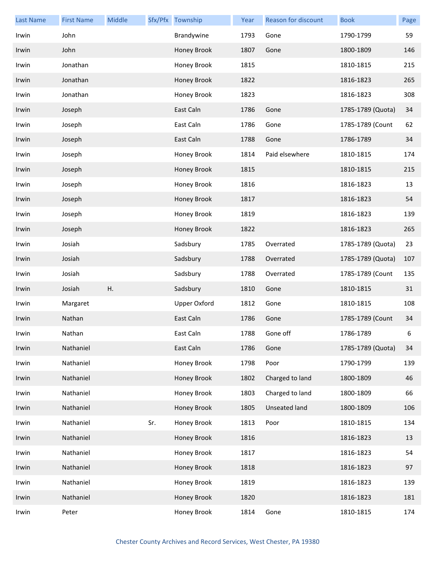| <b>Last Name</b> | <b>First Name</b> | Middle |     | Sfx/Pfx Township    | Year | Reason for discount | <b>Book</b>       | Page |
|------------------|-------------------|--------|-----|---------------------|------|---------------------|-------------------|------|
| Irwin            | John              |        |     | Brandywine          | 1793 | Gone                | 1790-1799         | 59   |
| Irwin            | John              |        |     | Honey Brook         | 1807 | Gone                | 1800-1809         | 146  |
| Irwin            | Jonathan          |        |     | Honey Brook         | 1815 |                     | 1810-1815         | 215  |
| Irwin            | Jonathan          |        |     | Honey Brook         | 1822 |                     | 1816-1823         | 265  |
| Irwin            | Jonathan          |        |     | Honey Brook         | 1823 |                     | 1816-1823         | 308  |
| Irwin            | Joseph            |        |     | East Caln           | 1786 | Gone                | 1785-1789 (Quota) | 34   |
| Irwin            | Joseph            |        |     | East Caln           | 1786 | Gone                | 1785-1789 (Count  | 62   |
| Irwin            | Joseph            |        |     | East Caln           | 1788 | Gone                | 1786-1789         | 34   |
| Irwin            | Joseph            |        |     | Honey Brook         | 1814 | Paid elsewhere      | 1810-1815         | 174  |
| Irwin            | Joseph            |        |     | Honey Brook         | 1815 |                     | 1810-1815         | 215  |
| Irwin            | Joseph            |        |     | Honey Brook         | 1816 |                     | 1816-1823         | 13   |
| Irwin            | Joseph            |        |     | Honey Brook         | 1817 |                     | 1816-1823         | 54   |
| Irwin            | Joseph            |        |     | Honey Brook         | 1819 |                     | 1816-1823         | 139  |
| Irwin            | Joseph            |        |     | Honey Brook         | 1822 |                     | 1816-1823         | 265  |
| Irwin            | Josiah            |        |     | Sadsbury            | 1785 | Overrated           | 1785-1789 (Quota) | 23   |
| Irwin            | Josiah            |        |     | Sadsbury            | 1788 | Overrated           | 1785-1789 (Quota) | 107  |
| Irwin            | Josiah            |        |     | Sadsbury            | 1788 | Overrated           | 1785-1789 (Count  | 135  |
| Irwin            | Josiah            | Η.     |     | Sadsbury            | 1810 | Gone                | 1810-1815         | 31   |
| Irwin            | Margaret          |        |     | <b>Upper Oxford</b> | 1812 | Gone                | 1810-1815         | 108  |
| Irwin            | Nathan            |        |     | East Caln           | 1786 | Gone                | 1785-1789 (Count  | 34   |
| Irwin            | Nathan            |        |     | East Caln           | 1788 | Gone off            | 1786-1789         | 6    |
| Irwin            | Nathaniel         |        |     | East Caln           | 1786 | Gone                | 1785-1789 (Quota) | 34   |
| Irwin            | Nathaniel         |        |     | Honey Brook         | 1798 | Poor                | 1790-1799         | 139  |
| Irwin            | Nathaniel         |        |     | Honey Brook         | 1802 | Charged to land     | 1800-1809         | 46   |
| Irwin            | Nathaniel         |        |     | Honey Brook         | 1803 | Charged to land     | 1800-1809         | 66   |
| Irwin            | Nathaniel         |        |     | Honey Brook         | 1805 | Unseated land       | 1800-1809         | 106  |
| Irwin            | Nathaniel         |        | Sr. | Honey Brook         | 1813 | Poor                | 1810-1815         | 134  |
| Irwin            | Nathaniel         |        |     | Honey Brook         | 1816 |                     | 1816-1823         | 13   |
| Irwin            | Nathaniel         |        |     | Honey Brook         | 1817 |                     | 1816-1823         | 54   |
| Irwin            | Nathaniel         |        |     | Honey Brook         | 1818 |                     | 1816-1823         | 97   |
| Irwin            | Nathaniel         |        |     | Honey Brook         | 1819 |                     | 1816-1823         | 139  |
| Irwin            | Nathaniel         |        |     | Honey Brook         | 1820 |                     | 1816-1823         | 181  |
| Irwin            | Peter             |        |     | Honey Brook         | 1814 | Gone                | 1810-1815         | 174  |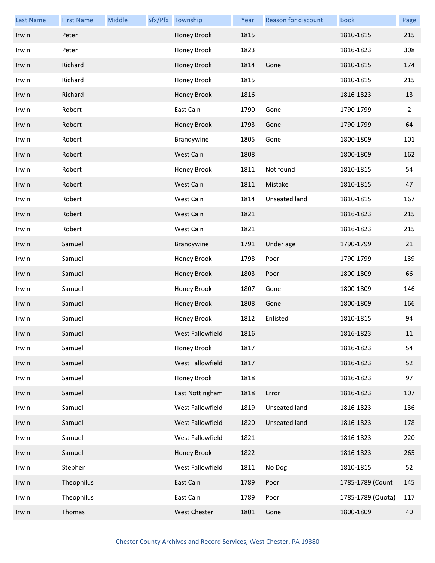| <b>Last Name</b> | <b>First Name</b> | Middle | Sfx/Pfx Township | Year | <b>Reason for discount</b> | <b>Book</b>       | Page           |
|------------------|-------------------|--------|------------------|------|----------------------------|-------------------|----------------|
| Irwin            | Peter             |        | Honey Brook      | 1815 |                            | 1810-1815         | 215            |
| Irwin            | Peter             |        | Honey Brook      | 1823 |                            | 1816-1823         | 308            |
| Irwin            | Richard           |        | Honey Brook      | 1814 | Gone                       | 1810-1815         | 174            |
| Irwin            | Richard           |        | Honey Brook      | 1815 |                            | 1810-1815         | 215            |
| Irwin            | Richard           |        | Honey Brook      | 1816 |                            | 1816-1823         | 13             |
| Irwin            | Robert            |        | East Caln        | 1790 | Gone                       | 1790-1799         | $\overline{2}$ |
| Irwin            | Robert            |        | Honey Brook      | 1793 | Gone                       | 1790-1799         | 64             |
| Irwin            | Robert            |        | Brandywine       | 1805 | Gone                       | 1800-1809         | 101            |
| Irwin            | Robert            |        | West Caln        | 1808 |                            | 1800-1809         | 162            |
| Irwin            | Robert            |        | Honey Brook      | 1811 | Not found                  | 1810-1815         | 54             |
| Irwin            | Robert            |        | West Caln        | 1811 | Mistake                    | 1810-1815         | 47             |
| Irwin            | Robert            |        | West Caln        | 1814 | Unseated land              | 1810-1815         | 167            |
| Irwin            | Robert            |        | West Caln        | 1821 |                            | 1816-1823         | 215            |
| Irwin            | Robert            |        | West Caln        | 1821 |                            | 1816-1823         | 215            |
| Irwin            | Samuel            |        | Brandywine       | 1791 | Under age                  | 1790-1799         | 21             |
| Irwin            | Samuel            |        | Honey Brook      | 1798 | Poor                       | 1790-1799         | 139            |
| Irwin            | Samuel            |        | Honey Brook      | 1803 | Poor                       | 1800-1809         | 66             |
| Irwin            | Samuel            |        | Honey Brook      | 1807 | Gone                       | 1800-1809         | 146            |
| Irwin            | Samuel            |        | Honey Brook      | 1808 | Gone                       | 1800-1809         | 166            |
| Irwin            | Samuel            |        | Honey Brook      | 1812 | Enlisted                   | 1810-1815         | 94             |
| Irwin            | Samuel            |        | West Fallowfield | 1816 |                            | 1816-1823         | 11             |
| Irwin            | Samuel            |        | Honey Brook      | 1817 |                            | 1816-1823         | 54             |
| Irwin            | Samuel            |        | West Fallowfield | 1817 |                            | 1816-1823         | 52             |
| Irwin            | Samuel            |        | Honey Brook      | 1818 |                            | 1816-1823         | 97             |
| Irwin            | Samuel            |        | East Nottingham  | 1818 | Error                      | 1816-1823         | 107            |
| Irwin            | Samuel            |        | West Fallowfield | 1819 | Unseated land              | 1816-1823         | 136            |
| Irwin            | Samuel            |        | West Fallowfield | 1820 | Unseated land              | 1816-1823         | 178            |
| Irwin            | Samuel            |        | West Fallowfield | 1821 |                            | 1816-1823         | 220            |
| Irwin            | Samuel            |        | Honey Brook      | 1822 |                            | 1816-1823         | 265            |
| Irwin            | Stephen           |        | West Fallowfield | 1811 | No Dog                     | 1810-1815         | 52             |
| Irwin            | Theophilus        |        | East Caln        | 1789 | Poor                       | 1785-1789 (Count  | 145            |
| Irwin            | Theophilus        |        | East Caln        | 1789 | Poor                       | 1785-1789 (Quota) | 117            |
| Irwin            | Thomas            |        | West Chester     | 1801 | Gone                       | 1800-1809         | 40             |